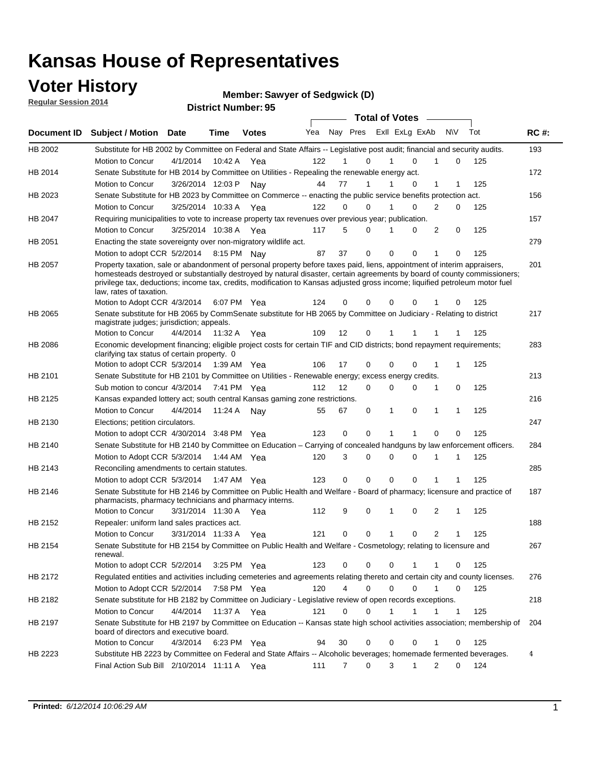### **Voter History**

**Regular Session 2014**

**Member: Sawyer of Sedgwick (D)** 

| <b>District Number: 95</b> |  |
|----------------------------|--|
|                            |  |

|                    |                                                                                                                                                                                                                                                                                                                                                                                                                  |                      |             |               |     |    |                     | <b>Total of Votes</b> |              |                             |     |             |
|--------------------|------------------------------------------------------------------------------------------------------------------------------------------------------------------------------------------------------------------------------------------------------------------------------------------------------------------------------------------------------------------------------------------------------------------|----------------------|-------------|---------------|-----|----|---------------------|-----------------------|--------------|-----------------------------|-----|-------------|
| <b>Document ID</b> | <b>Subject / Motion Date</b>                                                                                                                                                                                                                                                                                                                                                                                     |                      | <b>Time</b> | <b>Votes</b>  | Yea |    | Nay Pres            |                       |              | Exil ExLg ExAb N\V          | Tot | <b>RC#:</b> |
| HB 2002            | Substitute for HB 2002 by Committee on Federal and State Affairs -- Legislative post audit; financial and security audits.                                                                                                                                                                                                                                                                                       |                      |             |               |     |    |                     |                       |              |                             |     | 193         |
|                    | Motion to Concur                                                                                                                                                                                                                                                                                                                                                                                                 | 4/1/2014             | 10:42 A     | Yea           | 122 | 1  | $\Omega$            | 1                     | $\Omega$     | 0<br>1                      | 125 |             |
| HB 2014            | Senate Substitute for HB 2014 by Committee on Utilities - Repealing the renewable energy act.                                                                                                                                                                                                                                                                                                                    |                      |             |               |     |    |                     |                       |              |                             |     | 172         |
|                    | Motion to Concur                                                                                                                                                                                                                                                                                                                                                                                                 | 3/26/2014 12:03 P    |             | Nav           | 44  | 77 | 1                   | 1                     | $\Omega$     | 1                           | 125 |             |
| HB 2023            | Senate Substitute for HB 2023 by Committee on Commerce -- enacting the public service benefits protection act.                                                                                                                                                                                                                                                                                                   |                      |             |               |     |    |                     |                       |              |                             |     | 156         |
|                    | <b>Motion to Concur</b>                                                                                                                                                                                                                                                                                                                                                                                          | 3/25/2014 10:33 A    |             | Yea           | 122 | 0  | $\Omega$            |                       | $\Omega$     | 2<br>0                      | 125 |             |
| HB 2047            | Requiring municipalities to vote to increase property tax revenues over previous year; publication.                                                                                                                                                                                                                                                                                                              |                      |             |               |     |    |                     |                       |              |                             |     | 157         |
|                    | Motion to Concur                                                                                                                                                                                                                                                                                                                                                                                                 | 3/25/2014 10:38 A    |             | Yea           | 117 | 5  | $\Omega$            | 1                     | $\Omega$     | 2<br>0                      | 125 |             |
| HB 2051            | Enacting the state sovereignty over non-migratory wildlife act.                                                                                                                                                                                                                                                                                                                                                  |                      |             |               |     |    |                     |                       |              |                             |     | 279         |
|                    | Motion to adopt CCR 5/2/2014 8:15 PM Nav                                                                                                                                                                                                                                                                                                                                                                         |                      |             |               | 87  | 37 | 0                   | $\Omega$              | $\Omega$     | 1<br>0                      | 125 |             |
| HB 2057            | Property taxation, sale or abandonment of personal property before taxes paid, liens, appointment of interim appraisers,<br>homesteads destroyed or substantially destroyed by natural disaster, certain agreements by board of county commissioners;<br>privilege tax, deductions; income tax, credits, modification to Kansas adjusted gross income; liquified petroleum motor fuel<br>law, rates of taxation. |                      |             |               |     |    |                     |                       |              |                             |     | 201         |
|                    | Motion to Adopt CCR 4/3/2014                                                                                                                                                                                                                                                                                                                                                                                     |                      |             | 6:07 PM Yea   | 124 |    | 0<br>0              | 0                     | $\Omega$     | 0                           | 125 |             |
| <b>HB 2065</b>     | Senate substitute for HB 2065 by CommSenate substitute for HB 2065 by Committee on Judiciary - Relating to district<br>magistrate judges; jurisdiction; appeals.                                                                                                                                                                                                                                                 |                      |             |               |     |    |                     |                       |              |                             |     | 217         |
|                    | Motion to Concur                                                                                                                                                                                                                                                                                                                                                                                                 | 4/4/2014             | 11:32 A     | Yea           | 109 | 12 | 0                   | 1                     | 1            | 1                           | 125 |             |
| <b>HB 2086</b>     | Economic development financing; eligible project costs for certain TIF and CID districts; bond repayment requirements;<br>clarifying tax status of certain property. 0                                                                                                                                                                                                                                           |                      |             |               |     |    |                     |                       |              |                             |     | 283         |
|                    | Motion to adopt CCR 5/3/2014 1:39 AM Yea                                                                                                                                                                                                                                                                                                                                                                         |                      |             |               | 106 | 17 | 0                   | $\Omega$              | $\Omega$     | 1<br>1                      | 125 |             |
| HB 2101            | Senate Substitute for HB 2101 by Committee on Utilities - Renewable energy; excess energy credits.                                                                                                                                                                                                                                                                                                               |                      |             |               |     |    |                     |                       |              |                             |     | 213         |
|                    | Sub motion to concur 4/3/2014                                                                                                                                                                                                                                                                                                                                                                                    |                      |             | 7:41 PM Yea   | 112 | 12 | 0                   | 0                     | $\mathbf 0$  | 1<br>0                      | 125 |             |
| HB 2125            | Kansas expanded lottery act; south central Kansas gaming zone restrictions.                                                                                                                                                                                                                                                                                                                                      |                      |             |               |     |    |                     |                       |              |                             |     | 216         |
|                    | Motion to Concur                                                                                                                                                                                                                                                                                                                                                                                                 | 4/4/2014             | 11:24 A     | Nav           | 55  | 67 | 0                   | $\mathbf{1}$          | 0            | 1<br>1                      | 125 |             |
| HB 2130            | Elections; petition circulators.                                                                                                                                                                                                                                                                                                                                                                                 |                      |             |               |     |    |                     |                       |              |                             |     | 247         |
|                    | Motion to adopt CCR 4/30/2014 3:48 PM Yea                                                                                                                                                                                                                                                                                                                                                                        |                      |             |               | 123 | 0  | 0                   | 1                     | 1            | 0<br>0                      | 125 |             |
| HB 2140            | Senate Substitute for HB 2140 by Committee on Education – Carrying of concealed handguns by law enforcement officers.                                                                                                                                                                                                                                                                                            |                      |             |               |     |    |                     |                       |              |                             |     | 284         |
|                    | Motion to Adopt CCR 5/3/2014 1:44 AM Yea                                                                                                                                                                                                                                                                                                                                                                         |                      |             |               | 120 |    | 3<br>0              | 0                     | $\mathbf 0$  | 1<br>1                      | 125 |             |
| HB 2143            | Reconciling amendments to certain statutes.                                                                                                                                                                                                                                                                                                                                                                      |                      |             |               |     |    |                     |                       |              |                             |     | 285         |
|                    | Motion to adopt CCR 5/3/2014 1:47 AM Yea                                                                                                                                                                                                                                                                                                                                                                         |                      |             |               | 123 | 0  | 0                   | $\mathbf 0$           | 0            | 1                           | 125 |             |
| HB 2146            | Senate Substitute for HB 2146 by Committee on Public Health and Welfare - Board of pharmacy; licensure and practice of<br>pharmacists, pharmacy technicians and pharmacy interns.                                                                                                                                                                                                                                |                      |             |               |     |    |                     |                       |              |                             |     | 187         |
|                    | Motion to Concur                                                                                                                                                                                                                                                                                                                                                                                                 | 3/31/2014 11:30 A    |             | Yea           | 112 | 9  | 0                   | 1                     | 0            | 2<br>1                      | 125 |             |
| HB 2152            | Repealer: uniform land sales practices act.                                                                                                                                                                                                                                                                                                                                                                      |                      |             |               |     |    |                     |                       |              |                             |     | 188         |
|                    | Motion to Concur                                                                                                                                                                                                                                                                                                                                                                                                 | 3/31/2014 11:33 A    |             | Yea           | 121 |    | 0<br>0              | $\mathbf{1}$          | 0            | 2<br>1                      | 125 |             |
| HB 2154            | Senate Substitute for HB 2154 by Committee on Public Health and Welfare - Cosmetology; relating to licensure and<br>renewal.                                                                                                                                                                                                                                                                                     |                      |             |               |     |    |                     |                       |              |                             |     | 267         |
|                    | Motion to adopt CCR 5/2/2014                                                                                                                                                                                                                                                                                                                                                                                     |                      |             | $3:25$ PM Yea | 123 |    | 0<br>0              | 0                     |              | 0<br>1                      | 125 |             |
| HB 2172            | Regulated entities and activities including cemeteries and agreements relating thereto and certain city and county licenses.                                                                                                                                                                                                                                                                                     |                      |             |               |     |    |                     |                       |              |                             |     | 276         |
|                    | Motion to Adopt CCR 5/2/2014 7:58 PM Yea                                                                                                                                                                                                                                                                                                                                                                         |                      |             |               | 120 |    | $\overline{4}$<br>0 | $\mathbf 0$           | $\Omega$     | $\mathbf{1}$<br>$\mathbf 0$ | 125 |             |
| HB 2182            | Senate substitute for HB 2182 by Committee on Judiciary - Legislative review of open records exceptions.                                                                                                                                                                                                                                                                                                         |                      |             |               |     |    |                     |                       |              |                             |     | 218         |
|                    | Motion to Concur                                                                                                                                                                                                                                                                                                                                                                                                 | 4/4/2014 11:37 A Yea |             |               | 121 |    | 0<br>0              | 1                     | $\mathbf{1}$ | $\mathbf 1$<br>$\mathbf 1$  | 125 |             |
| HB 2197            | Senate Substitute for HB 2197 by Committee on Education -- Kansas state high school activities association; membership of                                                                                                                                                                                                                                                                                        |                      |             |               |     |    |                     |                       |              |                             |     | 204         |
|                    | board of directors and executive board.                                                                                                                                                                                                                                                                                                                                                                          |                      |             |               |     |    |                     |                       |              |                             |     |             |
|                    | Motion to Concur                                                                                                                                                                                                                                                                                                                                                                                                 | 4/3/2014             |             | 6:23 PM Yea   | 94  | 30 | 0                   | 0                     | 0            | 0<br>1                      | 125 |             |
| HB 2223            | Substitute HB 2223 by Committee on Federal and State Affairs -- Alcoholic beverages; homemade fermented beverages.<br>Final Action Sub Bill 2/10/2014 11:11 A Yea                                                                                                                                                                                                                                                |                      |             |               | 111 |    | 0<br>7              | 3                     | $\mathbf 1$  | 2<br>0                      | 124 | 4           |
|                    |                                                                                                                                                                                                                                                                                                                                                                                                                  |                      |             |               |     |    |                     |                       |              |                             |     |             |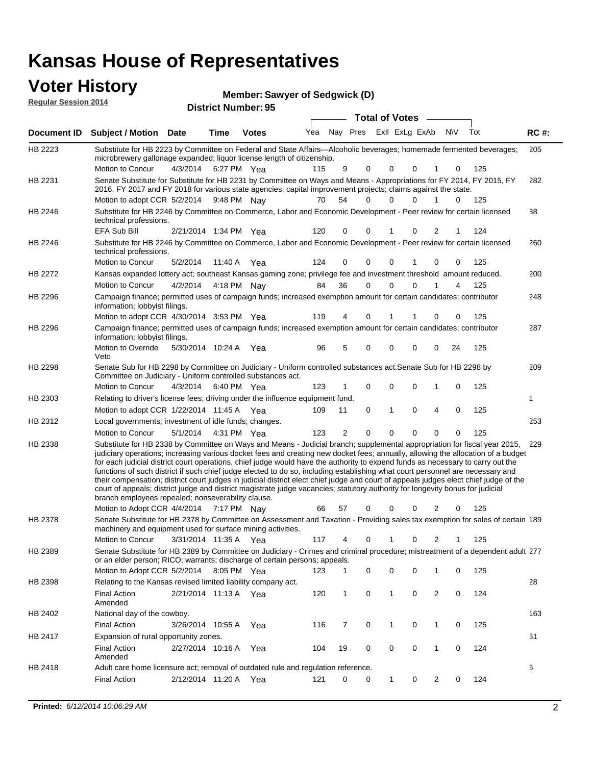| <b>Voter History</b>        |                                                                                                                                                                                                                                                                                                                                                                                                                                                                                                                                                                                                                                                                                                                                                                                                                                                                                                                 |                       |         | Member: Sawyer of Sedgwick (D) |                             |                |   |             |                       |                          |           |     |             |
|-----------------------------|-----------------------------------------------------------------------------------------------------------------------------------------------------------------------------------------------------------------------------------------------------------------------------------------------------------------------------------------------------------------------------------------------------------------------------------------------------------------------------------------------------------------------------------------------------------------------------------------------------------------------------------------------------------------------------------------------------------------------------------------------------------------------------------------------------------------------------------------------------------------------------------------------------------------|-----------------------|---------|--------------------------------|-----------------------------|----------------|---|-------------|-----------------------|--------------------------|-----------|-----|-------------|
| <b>Regular Session 2014</b> |                                                                                                                                                                                                                                                                                                                                                                                                                                                                                                                                                                                                                                                                                                                                                                                                                                                                                                                 |                       |         | <b>District Number: 95</b>     |                             |                |   |             |                       |                          |           |     |             |
|                             |                                                                                                                                                                                                                                                                                                                                                                                                                                                                                                                                                                                                                                                                                                                                                                                                                                                                                                                 |                       |         |                                |                             |                |   |             | <b>Total of Votes</b> |                          |           |     |             |
|                             | Document ID Subject / Motion Date                                                                                                                                                                                                                                                                                                                                                                                                                                                                                                                                                                                                                                                                                                                                                                                                                                                                               |                       | Time    | <b>Votes</b>                   | Yea Nay Pres ExII ExLg ExAb |                |   |             |                       |                          | <b>NV</b> | Tot | <b>RC#:</b> |
| HB 2223                     | Substitute for HB 2223 by Committee on Federal and State Affairs—Alcoholic beverages; homemade fermented beverages;<br>microbrewery gallonage expanded; liquor license length of citizenship.<br>Motion to Concur                                                                                                                                                                                                                                                                                                                                                                                                                                                                                                                                                                                                                                                                                               | 4/3/2014              |         | 6:27 PM Yea                    | 115                         | 9              | 0 | 0           |                       | 0<br>1                   | 0         | 125 | 205         |
| HB 2231                     | Senate Substitute for Substitute for HB 2231 by Committee on Ways and Means - Appropriations for FY 2014, FY 2015, FY<br>2016, FY 2017 and FY 2018 for various state agencies; capital improvement projects; claims against the state.<br>Motion to adopt CCR 5/2/2014 9:48 PM Nay                                                                                                                                                                                                                                                                                                                                                                                                                                                                                                                                                                                                                              |                       |         |                                | 70                          | 54             | 0 | $\Omega$    |                       | $\Omega$<br>$\mathbf{1}$ | 0         | 125 | 282         |
| HB 2246                     | Substitute for HB 2246 by Committee on Commerce, Labor and Economic Development - Peer review for certain licensed<br>technical professions.                                                                                                                                                                                                                                                                                                                                                                                                                                                                                                                                                                                                                                                                                                                                                                    |                       |         |                                |                             |                |   |             |                       |                          |           |     | 38          |
|                             | EFA Sub Bill                                                                                                                                                                                                                                                                                                                                                                                                                                                                                                                                                                                                                                                                                                                                                                                                                                                                                                    | 2/21/2014 1:34 PM Yea |         |                                | 120                         | 0              | 0 | 1           |                       | 2<br>0                   | 1         | 124 |             |
| HB 2246                     | Substitute for HB 2246 by Committee on Commerce, Labor and Economic Development - Peer review for certain licensed<br>technical professions.                                                                                                                                                                                                                                                                                                                                                                                                                                                                                                                                                                                                                                                                                                                                                                    |                       |         |                                |                             |                |   |             |                       |                          |           |     | 260         |
|                             | Motion to Concur                                                                                                                                                                                                                                                                                                                                                                                                                                                                                                                                                                                                                                                                                                                                                                                                                                                                                                | 5/2/2014              | 11:40 A | Yea                            | 124                         | 0              | 0 | 0           |                       | 0<br>1                   | 0         | 125 |             |
| HB 2272                     | Kansas expanded lottery act; southeast Kansas gaming zone; privilege fee and investment threshold amount reduced.                                                                                                                                                                                                                                                                                                                                                                                                                                                                                                                                                                                                                                                                                                                                                                                               |                       |         |                                |                             |                |   |             |                       |                          |           |     | 200         |
|                             | Motion to Concur                                                                                                                                                                                                                                                                                                                                                                                                                                                                                                                                                                                                                                                                                                                                                                                                                                                                                                | 4/2/2014              |         | 4:18 PM Nay                    | 84                          | 36             | 0 | $\mathbf 0$ |                       | $\mathbf 0$<br>1         | 4         | 125 |             |
| HB 2296                     | Campaign finance; permitted uses of campaign funds; increased exemption amount for certain candidates; contributor<br>information; lobbyist filings.                                                                                                                                                                                                                                                                                                                                                                                                                                                                                                                                                                                                                                                                                                                                                            |                       |         |                                |                             |                |   |             |                       |                          |           |     | 248         |
|                             | Motion to adopt CCR 4/30/2014 3:53 PM Yea                                                                                                                                                                                                                                                                                                                                                                                                                                                                                                                                                                                                                                                                                                                                                                                                                                                                       |                       |         |                                | 119                         | 4              | 0 |             |                       | 0                        | 0         | 125 |             |
| HB 2296                     | Campaign finance; permitted uses of campaign funds; increased exemption amount for certain candidates; contributor<br>information; lobbyist filings.<br>Motion to Override                                                                                                                                                                                                                                                                                                                                                                                                                                                                                                                                                                                                                                                                                                                                      | 5/30/2014 10:24 A     |         | Yea                            | 96                          | 5              | 0 | 0           |                       | 0<br>0                   | 24        | 125 | 287         |
| HB 2298                     | Veto<br>Senate Sub for HB 2298 by Committee on Judiciary - Uniform controlled substances act. Senate Sub for HB 2298 by<br>Committee on Judiciary - Uniform controlled substances act.                                                                                                                                                                                                                                                                                                                                                                                                                                                                                                                                                                                                                                                                                                                          |                       |         |                                |                             |                |   |             |                       |                          |           |     | 209         |
|                             | Motion to Concur                                                                                                                                                                                                                                                                                                                                                                                                                                                                                                                                                                                                                                                                                                                                                                                                                                                                                                | 4/3/2014              |         | 6:40 PM Yea                    | 123                         | $\mathbf{1}$   | 0 | 0           |                       | 0<br>1                   | 0         | 125 |             |
| HB 2303                     | Relating to driver's license fees; driving under the influence equipment fund.                                                                                                                                                                                                                                                                                                                                                                                                                                                                                                                                                                                                                                                                                                                                                                                                                                  |                       |         |                                |                             |                |   |             |                       |                          |           |     | 1           |
|                             | Motion to adopt CCR 1/22/2014 11:45 A Yea                                                                                                                                                                                                                                                                                                                                                                                                                                                                                                                                                                                                                                                                                                                                                                                                                                                                       |                       |         |                                | 109                         | 11             | 0 | 1           |                       | 0<br>4                   | 0         | 125 |             |
| HB 2312                     | Local governments; investment of idle funds; changes.                                                                                                                                                                                                                                                                                                                                                                                                                                                                                                                                                                                                                                                                                                                                                                                                                                                           |                       |         |                                |                             |                |   |             |                       |                          |           |     | 253         |
|                             | Motion to Concur                                                                                                                                                                                                                                                                                                                                                                                                                                                                                                                                                                                                                                                                                                                                                                                                                                                                                                | 5/1/2014              |         | 4:31 PM Yea                    | 123                         | $\overline{2}$ | 0 | $\mathbf 0$ |                       | $\mathbf 0$<br>0         | 0         | 125 |             |
| HB 2338                     | Substitute for HB 2338 by Committee on Ways and Means - Judicial branch; supplemental appropriation for fiscal year 2015,<br>judiciary operations; increasing various docket fees and creating new docket fees; annually, allowing the allocation of a budget<br>for each judicial district court operations, chief judge would have the authority to expend funds as necessary to carry out the<br>functions of such district if such chief judge elected to do so, including establishing what court personnel are necessary and<br>their compensation; district court judges in judicial district elect chief judge and court of appeals judges elect chief judge of the<br>court of appeals; district judge and district magistrate judge vacancies; statutory authority for longevity bonus for judicial<br>branch employees repealed; nonseverability clause.<br>Motion to Adopt CCR 4/4/2014 7:17 PM Nay |                       |         |                                |                             |                |   |             |                       | 57 0 0 0 2 0             |           | 125 | 229         |
| HB 2378                     | Senate Substitute for HB 2378 by Committee on Assessment and Taxation - Providing sales tax exemption for sales of certain 189                                                                                                                                                                                                                                                                                                                                                                                                                                                                                                                                                                                                                                                                                                                                                                                  |                       |         |                                |                             |                |   |             |                       |                          |           |     |             |
|                             | machinery and equipment used for surface mining activities.<br>Motion to Concur                                                                                                                                                                                                                                                                                                                                                                                                                                                                                                                                                                                                                                                                                                                                                                                                                                 | 3/31/2014 11:35 A Yea |         |                                | 117                         | 4              | 0 | 1           |                       | 2<br>0                   | 1         | 125 |             |
| HB 2389                     | Senate Substitute for HB 2389 by Committee on Judiciary - Crimes and criminal procedure; mistreatment of a dependent adult 277<br>or an elder person; RICO; warrants; discharge of certain persons; appeals.                                                                                                                                                                                                                                                                                                                                                                                                                                                                                                                                                                                                                                                                                                    |                       |         |                                |                             |                |   |             |                       |                          |           |     |             |
|                             | Motion to Adopt CCR 5/2/2014 8:05 PM Yea                                                                                                                                                                                                                                                                                                                                                                                                                                                                                                                                                                                                                                                                                                                                                                                                                                                                        |                       |         |                                | 123                         | 1              | 0 | 0           |                       | 0<br>1                   | 0         | 125 |             |
| HB 2398                     | Relating to the Kansas revised limited liability company act.                                                                                                                                                                                                                                                                                                                                                                                                                                                                                                                                                                                                                                                                                                                                                                                                                                                   |                       |         |                                |                             |                |   |             |                       |                          |           |     | 28          |
|                             | <b>Final Action</b><br>Amended                                                                                                                                                                                                                                                                                                                                                                                                                                                                                                                                                                                                                                                                                                                                                                                                                                                                                  | 2/21/2014 11:13 A Yea |         |                                | 120                         | 1              | 0 | 1           |                       | 0<br>2                   | 0         | 124 |             |
| HB 2402                     | National day of the cowboy.                                                                                                                                                                                                                                                                                                                                                                                                                                                                                                                                                                                                                                                                                                                                                                                                                                                                                     |                       |         |                                |                             |                |   |             |                       |                          |           |     | 163         |
|                             | <b>Final Action</b>                                                                                                                                                                                                                                                                                                                                                                                                                                                                                                                                                                                                                                                                                                                                                                                                                                                                                             | 3/26/2014 10:55 A     |         | Yea                            | 116                         | 7              | 0 | 1           |                       | 0<br>1                   | 0         | 125 |             |
| HB 2417                     | Expansion of rural opportunity zones.                                                                                                                                                                                                                                                                                                                                                                                                                                                                                                                                                                                                                                                                                                                                                                                                                                                                           |                       |         |                                |                             |                |   |             |                       |                          |           |     | 61          |
|                             | <b>Final Action</b><br>Amended                                                                                                                                                                                                                                                                                                                                                                                                                                                                                                                                                                                                                                                                                                                                                                                                                                                                                  | 2/27/2014 10:16 A     |         | Yea                            | 104                         | 19             | 0 | 0           |                       | 0<br>1                   | 0         | 124 |             |
| HB 2418                     | Adult care home licensure act; removal of outdated rule and regulation reference.                                                                                                                                                                                                                                                                                                                                                                                                                                                                                                                                                                                                                                                                                                                                                                                                                               |                       |         |                                |                             |                |   |             |                       |                          |           |     | 6           |

2/12/2014 Final Action Yea 124

121 0 0 1 0 2 0 124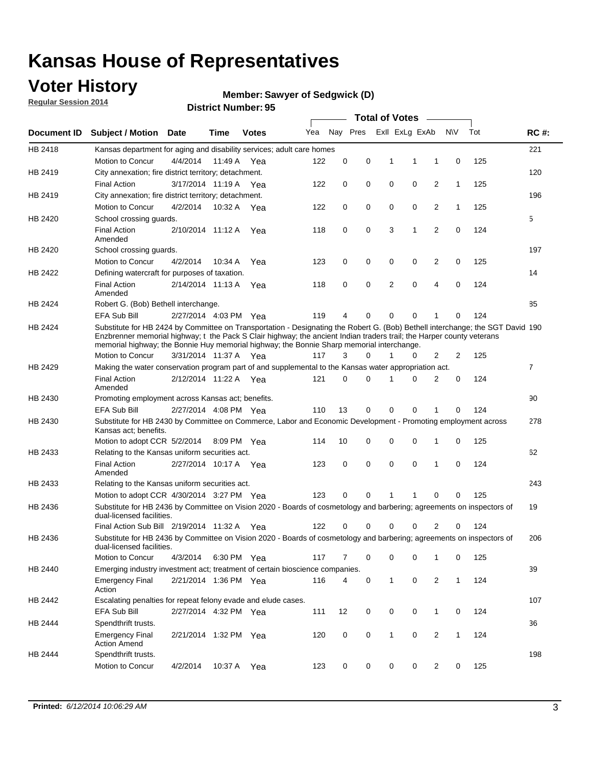### **Voter History**

**Regular Session 2014**

#### **Member: Sawyer of Sedgwick (D)**

|             |                                                                                                                                                                                                                                                                                                                                                      |                       |             | DISTRICT MAILINGL 33 |     |          |          |              | <b>Total of Votes</b> |                |              |     |                |
|-------------|------------------------------------------------------------------------------------------------------------------------------------------------------------------------------------------------------------------------------------------------------------------------------------------------------------------------------------------------------|-----------------------|-------------|----------------------|-----|----------|----------|--------------|-----------------------|----------------|--------------|-----|----------------|
| Document ID | <b>Subject / Motion</b>                                                                                                                                                                                                                                                                                                                              | Date                  | Time        | <b>Votes</b>         | Yea |          | Nay Pres |              | Exll ExLg ExAb        |                | N\V          | Tot | <b>RC#:</b>    |
| HB 2418     | Kansas department for aging and disability services; adult care homes                                                                                                                                                                                                                                                                                |                       |             |                      |     |          |          |              |                       |                |              |     | 221            |
|             | <b>Motion to Concur</b>                                                                                                                                                                                                                                                                                                                              | 4/4/2014              | 11:49 A     | Yea                  | 122 | 0        | 0        | 1            | 1                     | 1              | 0            | 125 |                |
| HB 2419     | City annexation; fire district territory; detachment.                                                                                                                                                                                                                                                                                                |                       |             |                      |     |          |          |              |                       |                |              |     | 120            |
|             | <b>Final Action</b>                                                                                                                                                                                                                                                                                                                                  | 3/17/2014 11:19 A     |             | Yea                  | 122 | 0        | 0        | 0            | 0                     | $\overline{2}$ | $\mathbf{1}$ | 125 |                |
| HB 2419     | City annexation; fire district territory; detachment.                                                                                                                                                                                                                                                                                                |                       |             |                      |     |          |          |              |                       |                |              |     | 196            |
|             | Motion to Concur                                                                                                                                                                                                                                                                                                                                     | 4/2/2014              | 10:32 A     | Yea                  | 122 | 0        | 0        | 0            | 0                     | $\overline{2}$ | 1            | 125 |                |
| HB 2420     | School crossing quards.                                                                                                                                                                                                                                                                                                                              |                       |             |                      |     |          |          |              |                       |                |              |     | 5              |
|             | <b>Final Action</b><br>Amended                                                                                                                                                                                                                                                                                                                       | 2/10/2014 11:12 A     |             | Yea                  | 118 | 0        | 0        | 3            | 1                     | $\overline{2}$ | 0            | 124 |                |
| HB 2420     | School crossing guards.                                                                                                                                                                                                                                                                                                                              |                       |             |                      |     |          |          |              |                       |                |              |     | 197            |
|             | Motion to Concur                                                                                                                                                                                                                                                                                                                                     | 4/2/2014              | 10:34 A     | Yea                  | 123 | 0        | 0        | 0            | 0                     | 2              | 0            | 125 |                |
| HB 2422     | Defining watercraft for purposes of taxation.                                                                                                                                                                                                                                                                                                        |                       |             |                      |     |          |          |              |                       |                |              |     | 14             |
|             | <b>Final Action</b><br>Amended                                                                                                                                                                                                                                                                                                                       | 2/14/2014 11:13 A     |             | Yea                  | 118 | 0        | 0        | 2            | $\mathbf 0$           | $\overline{4}$ | 0            | 124 |                |
| HB 2424     | Robert G. (Bob) Bethell interchange.                                                                                                                                                                                                                                                                                                                 |                       |             |                      |     |          |          |              |                       |                |              |     | 85             |
|             | <b>EFA Sub Bill</b>                                                                                                                                                                                                                                                                                                                                  | 2/27/2014 4:03 PM Yea |             |                      | 119 | 4        | 0        | $\Omega$     | $\Omega$              | 1              | 0            | 124 |                |
| HB 2424     | Substitute for HB 2424 by Committee on Transportation - Designating the Robert G. (Bob) Bethell interchange; the SGT David 190<br>Enzbrenner memorial highway; t the Pack S Clair highway; the ancient Indian traders trail; the Harper county veterans<br>memorial highway; the Bonnie Huy memorial highway; the Bonnie Sharp memorial interchange. |                       |             |                      |     |          |          |              |                       |                |              |     |                |
|             | Motion to Concur                                                                                                                                                                                                                                                                                                                                     | 3/31/2014 11:37 A Yea |             |                      | 117 | 3        | $\Omega$ | 1            | 0                     | $\overline{2}$ | 2            | 125 |                |
| HB 2429     | Making the water conservation program part of and supplemental to the Kansas water appropriation act.                                                                                                                                                                                                                                                |                       |             |                      |     |          |          |              |                       |                |              |     | $\overline{7}$ |
|             | <b>Final Action</b><br>Amended                                                                                                                                                                                                                                                                                                                       | 2/12/2014 11:22 A Yea |             |                      | 121 | $\Omega$ | $\Omega$ | 1            | 0                     | $\overline{2}$ | $\mathbf 0$  | 124 |                |
| HB 2430     | Promoting employment across Kansas act; benefits.                                                                                                                                                                                                                                                                                                    |                       |             |                      |     |          |          |              |                       |                |              |     | 90             |
|             | <b>EFA Sub Bill</b>                                                                                                                                                                                                                                                                                                                                  | 2/27/2014 4:08 PM Yea |             |                      | 110 | 13       | 0        | $\mathbf 0$  | 0                     |                | 0            | 124 |                |
| HB 2430     | Substitute for HB 2430 by Committee on Commerce, Labor and Economic Development - Promoting employment across<br>Kansas act; benefits.                                                                                                                                                                                                               |                       |             |                      |     |          |          |              |                       |                |              |     | 278            |
|             | Motion to adopt CCR 5/2/2014                                                                                                                                                                                                                                                                                                                         |                       | 8:09 PM Yea |                      | 114 | 10       | 0        | 0            | 0                     | 1              | 0            | 125 |                |
| HB 2433     | Relating to the Kansas uniform securities act.                                                                                                                                                                                                                                                                                                       |                       |             |                      |     |          |          |              |                       |                |              |     | 62             |
|             | <b>Final Action</b><br>Amended                                                                                                                                                                                                                                                                                                                       | 2/27/2014 10:17 A Yea |             |                      | 123 | 0        | 0        | $\mathbf 0$  | $\mathbf 0$           | 1              | 0            | 124 |                |
| HB 2433     | Relating to the Kansas uniform securities act.                                                                                                                                                                                                                                                                                                       |                       |             |                      |     |          |          |              |                       |                |              |     | 243            |
|             | Motion to adopt CCR 4/30/2014 3:27 PM Yea                                                                                                                                                                                                                                                                                                            |                       |             |                      | 123 | $\Omega$ | $\Omega$ | 1            | 1                     | $\Omega$       | 0            | 125 |                |
| HB 2436     | Substitute for HB 2436 by Committee on Vision 2020 - Boards of cosmetology and barbering; agreements on inspectors of<br>dual-licensed facilities.                                                                                                                                                                                                   |                       |             |                      |     |          |          |              |                       |                |              |     | 19             |
|             | Final Action Sub Bill 2/19/2014 11:32 A                                                                                                                                                                                                                                                                                                              |                       |             | Yea                  | 122 | ი        | 0        | O            | 0                     | 2              | 0            | 124 |                |
| HB 2436     | Substitute for HB 2436 by Committee on Vision 2020 - Boards of cosmetology and barbering; agreements on inspectors of<br>dual-licensed facilities.                                                                                                                                                                                                   |                       |             |                      |     |          |          |              |                       |                |              |     | 206            |
|             | Motion to Concur                                                                                                                                                                                                                                                                                                                                     | 4/3/2014              | 6:30 PM Yea |                      | 117 | 7        | 0        | 0            | 0                     | 1              | 0            | 125 |                |
| HB 2440     | Emerging industry investment act; treatment of certain bioscience companies.                                                                                                                                                                                                                                                                         |                       |             |                      |     |          |          |              |                       |                |              |     | 39             |
|             | <b>Emergency Final</b><br>Action                                                                                                                                                                                                                                                                                                                     | 2/21/2014 1:36 PM Yea |             |                      | 116 | 4        | 0        | $\mathbf{1}$ | 0                     | 2              | $\mathbf{1}$ | 124 |                |
| HB 2442     | Escalating penalties for repeat felony evade and elude cases.                                                                                                                                                                                                                                                                                        |                       |             |                      |     |          |          |              |                       |                |              |     | 107            |
|             | EFA Sub Bill                                                                                                                                                                                                                                                                                                                                         | 2/27/2014 4:32 PM Yea |             |                      | 111 | 12       | 0        | 0            | 0                     | $\mathbf{1}$   | 0            | 124 |                |
| HB 2444     | Spendthrift trusts.                                                                                                                                                                                                                                                                                                                                  |                       |             |                      |     |          |          |              |                       |                |              |     | 36             |
|             | <b>Emergency Final</b><br><b>Action Amend</b>                                                                                                                                                                                                                                                                                                        | 2/21/2014 1:32 PM Yea |             |                      | 120 | 0        | 0        | $\mathbf{1}$ | 0                     | $\overline{2}$ | $\mathbf{1}$ | 124 |                |
| HB 2444     | Spendthrift trusts.                                                                                                                                                                                                                                                                                                                                  |                       |             |                      |     |          |          |              |                       |                |              |     | 198            |
|             | Motion to Concur                                                                                                                                                                                                                                                                                                                                     | 4/2/2014              | 10:37 A Yea |                      | 123 | 0        | 0        | 0            | 0                     | $\overline{2}$ | 0            | 125 |                |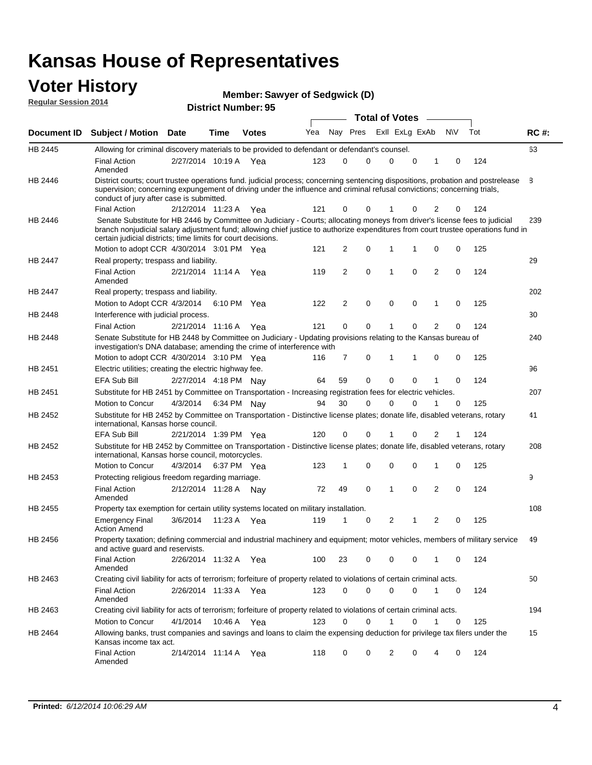#### **Voter History Regular Session 2014**

| Member: Sawyer of Sedgwick (D) |  |  |
|--------------------------------|--|--|
|--------------------------------|--|--|

|                    |                                                                                                                                                                                                                                                                                                                                 |                       |      |              |     |                |          |   | <b>Total of Votes</b> |             |                |           |   |     |             |
|--------------------|---------------------------------------------------------------------------------------------------------------------------------------------------------------------------------------------------------------------------------------------------------------------------------------------------------------------------------|-----------------------|------|--------------|-----|----------------|----------|---|-----------------------|-------------|----------------|-----------|---|-----|-------------|
| <b>Document ID</b> | <b>Subject / Motion</b>                                                                                                                                                                                                                                                                                                         | <b>Date</b>           | Time | <b>Votes</b> | Yea |                | Nay Pres |   | Exll ExLg ExAb        |             |                | <b>NV</b> |   | Tot | <b>RC#:</b> |
| HB 2445            | Allowing for criminal discovery materials to be provided to defendant or defendant's counsel.                                                                                                                                                                                                                                   |                       |      |              |     |                |          |   |                       |             |                |           |   |     | 63          |
|                    | <b>Final Action</b><br>Amended                                                                                                                                                                                                                                                                                                  | 2/27/2014 10:19 A     |      | Yea          | 123 | 0              | 0        |   | $\Omega$              | $\mathbf 0$ | 1              |           | 0 | 124 |             |
| HB 2446            | District courts; court trustee operations fund, judicial process; concerning sentencing dispositions, probation and postrelease<br>supervision; concerning expungement of driving under the influence and criminal refusal convictions; concerning trials,<br>conduct of jury after case is submitted.                          |                       |      |              |     |                |          |   |                       |             |                |           |   |     | 8           |
|                    | <b>Final Action</b>                                                                                                                                                                                                                                                                                                             | 2/12/2014 11:23 A     |      | Yea          | 121 | 0              | 0        |   |                       | 0           | $\overline{2}$ |           | 0 | 124 |             |
| HB 2446            | Senate Substitute for HB 2446 by Committee on Judiciary - Courts; allocating moneys from driver's license fees to judicial<br>branch nonjudicial salary adjustment fund; allowing chief justice to authorize expenditures from court trustee operations fund in<br>certain judicial districts; time limits for court decisions. |                       |      |              |     |                |          |   |                       |             |                |           |   |     | 239         |
|                    | Motion to adopt CCR 4/30/2014 3:01 PM Yea                                                                                                                                                                                                                                                                                       |                       |      |              | 121 | 2              | 0        |   | 1                     | 1           | 0              |           | 0 | 125 |             |
| <b>HB 2447</b>     | Real property; trespass and liability.                                                                                                                                                                                                                                                                                          |                       |      |              |     |                |          |   |                       |             |                |           |   |     | 29          |
|                    | <b>Final Action</b><br>Amended                                                                                                                                                                                                                                                                                                  | 2/21/2014 11:14 A Yea |      |              | 119 | 2              |          | 0 | $\mathbf{1}$          | 0           | 2              |           | 0 | 124 |             |
| HB 2447            | Real property; trespass and liability.                                                                                                                                                                                                                                                                                          |                       |      |              |     |                |          |   |                       |             |                |           |   |     | 202         |
|                    | Motion to Adopt CCR 4/3/2014                                                                                                                                                                                                                                                                                                    |                       |      | 6:10 PM Yea  | 122 | $\overline{2}$ | 0        |   | $\mathbf 0$           | $\mathbf 0$ | 1              |           | 0 | 125 |             |
| HB 2448            | Interference with judicial process.                                                                                                                                                                                                                                                                                             |                       |      |              |     |                |          |   |                       |             |                |           |   |     | 30          |
|                    | <b>Final Action</b>                                                                                                                                                                                                                                                                                                             | 2/21/2014 11:16 A     |      | Yea          | 121 | 0              | 0        |   | 1                     | $\Omega$    | $\overline{2}$ |           | 0 | 124 |             |
| HB 2448            | Senate Substitute for HB 2448 by Committee on Judiciary - Updating provisions relating to the Kansas bureau of<br>investigation's DNA database; amending the crime of interference with                                                                                                                                         |                       |      |              |     |                |          |   |                       |             |                |           |   |     | 240         |
|                    | Motion to adopt CCR 4/30/2014 3:10 PM Yea                                                                                                                                                                                                                                                                                       |                       |      |              | 116 | 7              | 0        |   | 1                     | 1           | 0              |           | 0 | 125 |             |
| HB 2451            | Electric utilities; creating the electric highway fee.                                                                                                                                                                                                                                                                          |                       |      |              |     |                |          |   |                       |             |                |           |   |     | 96          |
|                    | EFA Sub Bill                                                                                                                                                                                                                                                                                                                    | 2/27/2014 4:18 PM Nay |      |              | 64  | 59             | 0        |   | $\Omega$              | 0           | 1              |           | 0 | 124 |             |
| HB 2451            | Substitute for HB 2451 by Committee on Transportation - Increasing registration fees for electric vehicles.                                                                                                                                                                                                                     |                       |      |              |     |                |          |   |                       |             |                |           |   |     | 207         |
|                    | Motion to Concur                                                                                                                                                                                                                                                                                                                | 4/3/2014              |      | 6:34 PM Nay  | 94  | 30             | 0        |   | $\Omega$              | 0           |                |           | 0 | 125 |             |
| HB 2452            | Substitute for HB 2452 by Committee on Transportation - Distinctive license plates; donate life, disabled veterans, rotary<br>international, Kansas horse council.                                                                                                                                                              |                       |      |              |     |                |          |   |                       |             |                |           |   |     | 41          |
|                    | <b>EFA Sub Bill</b>                                                                                                                                                                                                                                                                                                             | 2/21/2014 1:39 PM Yea |      |              | 120 | 0              | 0        |   |                       | 0           | 2              |           | 1 | 124 |             |
| HB 2452            | Substitute for HB 2452 by Committee on Transportation - Distinctive license plates; donate life, disabled veterans, rotary<br>international, Kansas horse council, motorcycles.                                                                                                                                                 |                       |      |              |     |                |          |   |                       |             |                |           |   |     | 208         |
|                    | Motion to Concur                                                                                                                                                                                                                                                                                                                | 4/3/2014              |      | 6:37 PM Yea  | 123 | 1              | 0        |   | 0                     | $\mathbf 0$ | 1              |           | 0 | 125 |             |
| HB 2453            | Protecting religious freedom regarding marriage.                                                                                                                                                                                                                                                                                |                       |      |              |     |                |          |   |                       |             |                |           |   |     | 9           |
|                    | <b>Final Action</b><br>Amended                                                                                                                                                                                                                                                                                                  | 2/12/2014 11:28 A Nay |      |              | 72  | 49             |          | 0 | $\mathbf{1}$          | 0           | 2              |           | 0 | 124 |             |
| HB 2455            | Property tax exemption for certain utility systems located on military installation.                                                                                                                                                                                                                                            |                       |      |              |     |                |          |   |                       |             |                |           |   |     | 108         |
|                    | <b>Emergency Final</b><br><b>Action Amend</b>                                                                                                                                                                                                                                                                                   | 3/6/2014              |      | 11:23 A Yea  | 119 | 1              | 0        |   | 2                     | 1           | $\overline{2}$ |           | 0 | 125 |             |
| HB 2456            | Property taxation; defining commercial and industrial machinery and equipment; motor vehicles, members of military service<br>and active guard and reservists.                                                                                                                                                                  |                       |      |              |     |                |          |   |                       |             |                |           |   |     | 49          |
|                    | <b>Final Action</b><br>Amended                                                                                                                                                                                                                                                                                                  | 2/26/2014 11:32 A Yea |      |              | 100 | 23             | 0        |   | 0                     | 0           | 1              |           | 0 | 124 |             |
| HB 2463            | Creating civil liability for acts of terrorism; forfeiture of property related to violations of certain criminal acts.                                                                                                                                                                                                          |                       |      |              |     |                |          |   |                       |             |                |           |   |     | 50          |
|                    | <b>Final Action</b><br>Amended                                                                                                                                                                                                                                                                                                  | 2/26/2014 11:33 A Yea |      |              | 123 | 0              | 0        |   | 0                     | $\mathbf 0$ | 1              |           | 0 | 124 |             |
| HB 2463            | Creating civil liability for acts of terrorism; forfeiture of property related to violations of certain criminal acts.                                                                                                                                                                                                          |                       |      |              |     |                |          |   |                       |             |                |           |   |     | 194         |
|                    | Motion to Concur                                                                                                                                                                                                                                                                                                                | 4/1/2014              |      | 10:46 A Yea  | 123 | 0              | 0        |   | $\mathbf{1}$          | 0           | 1              |           | 0 | 125 |             |
| HB 2464            | Allowing banks, trust companies and savings and loans to claim the expensing deduction for privilege tax filers under the<br>Kansas income tax act.                                                                                                                                                                             |                       |      |              |     |                |          |   |                       |             |                |           |   |     | 15          |
|                    | <b>Final Action</b><br>Amended                                                                                                                                                                                                                                                                                                  | 2/14/2014 11:14 A Yea |      |              | 118 | 0              | 0        |   | 2                     | 0           | 4              |           | 0 | 124 |             |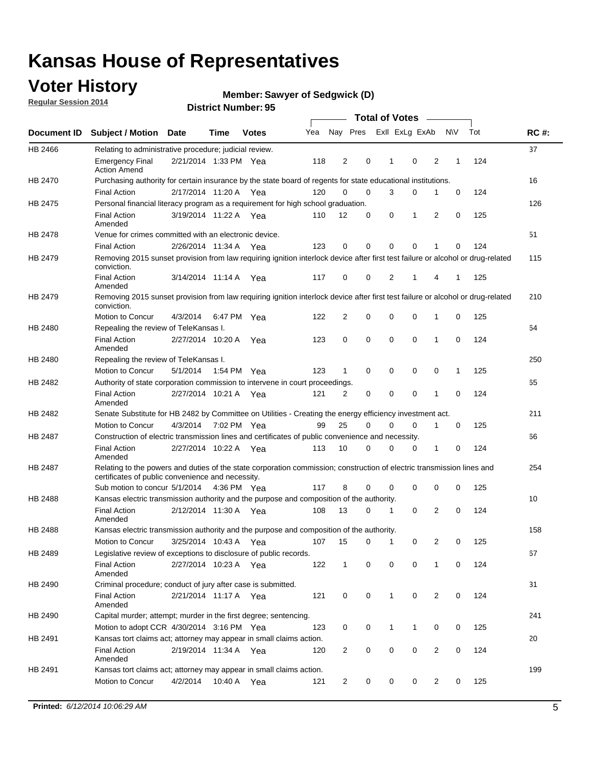### **Voter History**

**Regular Session 2014**

#### **Member: Sawyer of Sedgwick (D)**

|                    |                                                                                                                                                                             |                       |             |              |     | <b>Total of Votes</b> |                         |             |              |             |                |             |     |             |
|--------------------|-----------------------------------------------------------------------------------------------------------------------------------------------------------------------------|-----------------------|-------------|--------------|-----|-----------------------|-------------------------|-------------|--------------|-------------|----------------|-------------|-----|-------------|
| <b>Document ID</b> | <b>Subject / Motion Date</b>                                                                                                                                                |                       | Time        | <b>Votes</b> | Yea |                       | Nay Pres ExII ExLg ExAb |             |              |             |                | N\V         | Tot | <b>RC#:</b> |
| HB 2466            | Relating to administrative procedure; judicial review.                                                                                                                      |                       |             |              |     |                       |                         |             |              |             |                |             |     | 37          |
|                    | <b>Emergency Final</b><br><b>Action Amend</b>                                                                                                                               | 2/21/2014 1:33 PM Yea |             |              | 118 | 2                     |                         | 0           | 1            | $\mathbf 0$ | 2              | 1           | 124 |             |
| <b>HB 2470</b>     | Purchasing authority for certain insurance by the state board of regents for state educational institutions.                                                                |                       |             |              |     |                       |                         |             |              |             |                |             |     | 16          |
|                    | <b>Final Action</b>                                                                                                                                                         | 2/17/2014 11:20 A Yea |             |              | 120 | 0                     |                         | 0           | 3            | 0           | 1              | 0           | 124 |             |
| HB 2475            | Personal financial literacy program as a requirement for high school graduation.                                                                                            |                       |             |              |     |                       |                         |             |              |             |                |             |     | 126         |
|                    | <b>Final Action</b><br>Amended                                                                                                                                              | 3/19/2014 11:22 A Yea |             |              | 110 | 12                    |                         | 0           | 0            | 1           | 2              | 0           | 125 |             |
| HB 2478            | Venue for crimes committed with an electronic device.                                                                                                                       |                       |             |              |     |                       |                         |             |              |             |                |             |     | 51          |
|                    | <b>Final Action</b>                                                                                                                                                         | 2/26/2014 11:34 A     |             | Yea          | 123 | 0                     |                         | 0           | $\Omega$     | $\mathbf 0$ | 1              | $\mathbf 0$ | 124 |             |
| HB 2479            | Removing 2015 sunset provision from law requiring ignition interlock device after first test failure or alcohol or drug-related<br>conviction.                              |                       |             |              |     |                       |                         |             |              |             |                |             |     | 115         |
|                    | <b>Final Action</b><br>Amended                                                                                                                                              | 3/14/2014 11:14 A     |             | Yea          | 117 | 0                     |                         | 0           | 2            | 1           | 4              | 1           | 125 |             |
| HB 2479            | Removing 2015 sunset provision from law requiring ignition interlock device after first test failure or alcohol or drug-related<br>conviction.                              |                       |             |              |     |                       |                         |             |              |             |                |             |     | 210         |
|                    | Motion to Concur                                                                                                                                                            | 4/3/2014              |             | 6:47 PM Yea  | 122 | $\overline{2}$        |                         | 0           | $\mathbf 0$  | 0           | 1              | 0           | 125 |             |
| HB 2480            | Repealing the review of TeleKansas I.                                                                                                                                       |                       |             |              |     |                       |                         |             |              |             |                |             |     | 64          |
|                    | <b>Final Action</b><br>Amended                                                                                                                                              | 2/27/2014 10:20 A Yea |             |              | 123 | 0                     |                         | 0           | $\mathbf 0$  | $\mathbf 0$ | 1              | 0           | 124 |             |
| HB 2480            | Repealing the review of TeleKansas I.                                                                                                                                       |                       |             |              |     |                       |                         |             |              |             |                |             |     | 250         |
|                    | Motion to Concur                                                                                                                                                            | 5/1/2014              | 1:54 PM Yea |              | 123 | $\mathbf{1}$          |                         | 0           | 0            | 0           | 0              | 1           | 125 |             |
| HB 2482            | Authority of state corporation commission to intervene in court proceedings.                                                                                                |                       |             |              |     |                       |                         |             |              |             |                |             |     | 65          |
|                    | <b>Final Action</b><br>Amended                                                                                                                                              | 2/27/2014 10:21 A     |             | Yea          | 121 | 2                     |                         | 0           | 0            | $\mathbf 0$ | 1              | 0           | 124 |             |
| HB 2482            | Senate Substitute for HB 2482 by Committee on Utilities - Creating the energy efficiency investment act.                                                                    |                       |             |              |     |                       |                         |             |              |             |                |             |     | 211         |
|                    | Motion to Concur                                                                                                                                                            | 4/3/2014 7:02 PM Yea  |             |              | 99  | 25                    |                         | $\Omega$    | 0            | $\mathbf 0$ | 1              | 0           | 125 |             |
| HB 2487            | Construction of electric transmission lines and certificates of public convenience and necessity.                                                                           |                       |             |              |     |                       |                         |             |              |             |                |             |     | 66          |
|                    | <b>Final Action</b><br>Amended                                                                                                                                              | 2/27/2014 10:22 A     |             | Yea          | 113 | 10                    |                         | 0           | 0            | 0           | 1              | 0           | 124 |             |
| HB 2487            | Relating to the powers and duties of the state corporation commission; construction of electric transmission lines and<br>certificates of public convenience and necessity. |                       |             |              |     |                       |                         |             |              |             |                |             |     | 254         |
|                    | Sub motion to concur 5/1/2014                                                                                                                                               |                       | 4:36 PM Yea |              | 117 | 8                     |                         | 0           | 0            | $\mathbf 0$ | $\mathbf 0$    | 0           | 125 |             |
| HB 2488            | Kansas electric transmission authority and the purpose and composition of the authority.                                                                                    |                       |             |              |     |                       |                         |             |              |             |                |             |     | 10          |
|                    | <b>Final Action</b><br>Amended                                                                                                                                              | 2/12/2014 11:30 A Yea |             |              | 108 | 13                    |                         | 0           | 1            | 0           | 2              | 0           | 124 |             |
| <b>HB 2488</b>     | Kansas electric transmission authority and the purpose and composition of the authority.                                                                                    |                       |             |              |     |                       |                         |             |              |             |                |             |     | 158         |
|                    | Motion to Concur                                                                                                                                                            | 3/25/2014 10:43 A     |             | Yea          | 107 | 15                    |                         | 0           | 1            | 0           | 2              | 0           | 125 |             |
| HB 2489            | Legislative review of exceptions to disclosure of public records.                                                                                                           |                       |             |              |     |                       |                         |             |              |             |                |             |     | 67          |
|                    | <b>Final Action</b><br>Amended                                                                                                                                              | 2/27/2014 10:23 A Yea |             |              | 122 | $\mathbf{1}$          |                         | 0           | 0            | 0           | 1              | 0           | 124 |             |
| HB 2490            | Criminal procedure; conduct of jury after case is submitted.                                                                                                                |                       |             |              |     |                       |                         |             |              |             |                |             |     | 31          |
|                    | <b>Final Action</b><br>Amended                                                                                                                                              | 2/21/2014 11:17 A Yea |             |              | 121 | 0                     |                         | 0           | $\mathbf{1}$ | $\mathbf 0$ | $\overline{2}$ | $\mathbf 0$ | 124 |             |
| HB 2490            | Capital murder; attempt; murder in the first degree; sentencing.                                                                                                            |                       |             |              |     |                       |                         |             |              |             |                |             |     | 241         |
|                    | Motion to adopt CCR 4/30/2014 3:16 PM Yea                                                                                                                                   |                       |             |              | 123 | 0                     |                         | 0           | $\mathbf{1}$ | 1           | 0              | 0           | 125 |             |
| HB 2491            | Kansas tort claims act; attorney may appear in small claims action.                                                                                                         |                       |             |              |     |                       |                         |             |              |             |                |             |     | 20          |
|                    | <b>Final Action</b><br>Amended                                                                                                                                              | 2/19/2014 11:34 A Yea |             |              | 120 | $\overline{c}$        |                         | 0           | 0            | 0           | $\overline{2}$ | 0           | 124 |             |
| HB 2491            | Kansas tort claims act; attorney may appear in small claims action.                                                                                                         |                       |             |              |     |                       |                         |             |              |             |                |             |     | 199         |
|                    | Motion to Concur                                                                                                                                                            | 4/2/2014              |             | 10:40 A Yea  | 121 | $\overline{2}$        |                         | $\mathbf 0$ | 0            | 0           | $\overline{2}$ | 0           | 125 |             |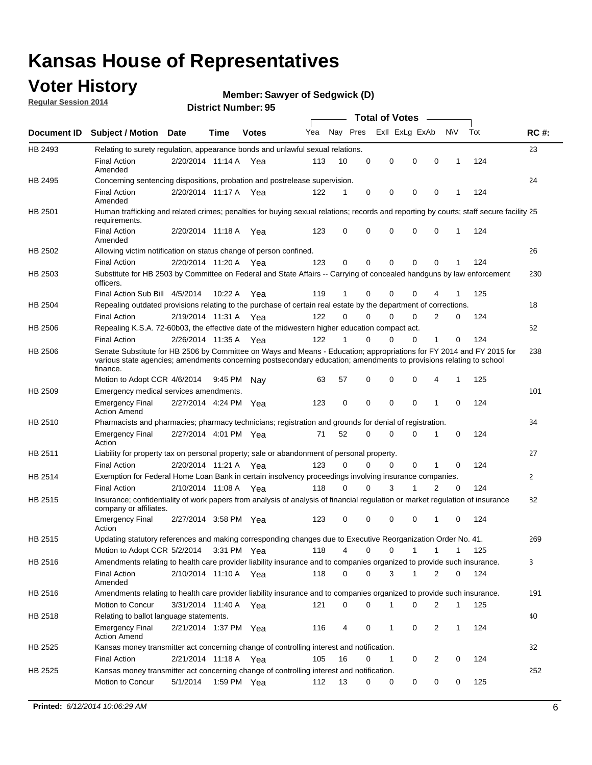### **Voter History**

**Regular Session 2014**

#### **Member: Sawyer of Sedgwick (D)**

|                    |                                                                                                                                                                                                                                                        |                       |             |              |     |          |          | <b>Total of Votes</b> |              |                |              |     |              |
|--------------------|--------------------------------------------------------------------------------------------------------------------------------------------------------------------------------------------------------------------------------------------------------|-----------------------|-------------|--------------|-----|----------|----------|-----------------------|--------------|----------------|--------------|-----|--------------|
| <b>Document ID</b> | <b>Subject / Motion Date</b>                                                                                                                                                                                                                           |                       | Time        | <b>Votes</b> | Yea | Nay Pres |          | Exll ExLg ExAb        |              |                | <b>NV</b>    | Tot | <b>RC#:</b>  |
| HB 2493            | Relating to surety regulation, appearance bonds and unlawful sexual relations.                                                                                                                                                                         |                       |             |              |     |          |          |                       |              |                |              |     | 23           |
|                    | <b>Final Action</b><br>Amended                                                                                                                                                                                                                         | 2/20/2014 11:14 A     |             | Yea          | 113 | 10       | 0        | 0                     | $\mathbf 0$  | 0              | $\mathbf 1$  | 124 |              |
| HB 2495            | Concerning sentencing dispositions, probation and postrelease supervision.                                                                                                                                                                             |                       |             |              |     |          |          |                       |              |                |              |     | 24           |
|                    | <b>Final Action</b><br>Amended                                                                                                                                                                                                                         | 2/20/2014 11:17 A Yea |             |              | 122 | 1        | 0        | 0                     | $\mathbf 0$  | $\mathbf 0$    | -1           | 124 |              |
| HB 2501            | Human trafficking and related crimes; penalties for buying sexual relations; records and reporting by courts; staff secure facility 25<br>requirements.                                                                                                |                       |             |              |     |          |          |                       |              |                |              |     |              |
|                    | <b>Final Action</b><br>Amended                                                                                                                                                                                                                         | 2/20/2014 11:18 A Yea |             |              | 123 | $\Omega$ | 0        | 0                     | $\Omega$     | $\mathbf 0$    | 1            | 124 |              |
| HB 2502            | Allowing victim notification on status change of person confined.                                                                                                                                                                                      |                       |             |              |     |          |          |                       |              |                |              |     | 26           |
|                    | <b>Final Action</b>                                                                                                                                                                                                                                    | 2/20/2014 11:20 A Yea |             |              | 123 | $\Omega$ | 0        | $\mathbf{0}$          | $\Omega$     | $\Omega$       |              | 124 |              |
| HB 2503            | Substitute for HB 2503 by Committee on Federal and State Affairs -- Carrying of concealed handguns by law enforcement<br>officers.                                                                                                                     |                       |             |              |     |          |          |                       |              |                |              |     | 230          |
|                    | Final Action Sub Bill 4/5/2014                                                                                                                                                                                                                         |                       | 10:22 A     | Yea          | 119 |          | 0        | 0                     | 0            | 4              |              | 125 |              |
| HB 2504            | Repealing outdated provisions relating to the purchase of certain real estate by the department of corrections.                                                                                                                                        |                       |             |              |     |          |          |                       |              |                |              |     | 18           |
|                    | <b>Final Action</b>                                                                                                                                                                                                                                    | 2/19/2014 11:31 A Yea |             |              | 122 | $\Omega$ | $\Omega$ | 0                     | $\mathbf{0}$ | $\overline{2}$ | 0            | 124 |              |
| HB 2506            | Repealing K.S.A. 72-60b03, the effective date of the midwestern higher education compact act.                                                                                                                                                          |                       |             |              |     |          |          |                       |              |                |              |     | 52           |
|                    | <b>Final Action</b>                                                                                                                                                                                                                                    | 2/26/2014 11:35 A Yea |             |              | 122 |          | $\Omega$ | 0                     | 0            | 1              | 0            | 124 |              |
| HB 2506            | Senate Substitute for HB 2506 by Committee on Ways and Means - Education; appropriations for FY 2014 and FY 2015 for<br>various state agencies; amendments concerning postsecondary education; amendments to provisions relating to school<br>finance. |                       |             |              |     |          |          |                       |              |                |              |     | 238          |
|                    | Motion to Adopt CCR 4/6/2014                                                                                                                                                                                                                           |                       | 9:45 PM Nav |              | 63  | 57       | 0        | 0                     | 0            | 4              | -1           | 125 |              |
| HB 2509            | Emergency medical services amendments.                                                                                                                                                                                                                 |                       |             |              |     |          |          |                       |              |                |              |     | 101          |
|                    | Emergency Final<br><b>Action Amend</b>                                                                                                                                                                                                                 | 2/27/2014 4:24 PM Yea |             |              | 123 | 0        | 0        | $\mathbf 0$           | 0            | $\mathbf{1}$   | 0            | 124 |              |
| HB 2510            | Pharmacists and pharmacies; pharmacy technicians; registration and grounds for denial of registration.                                                                                                                                                 |                       |             |              |     |          |          |                       |              |                |              |     | 84           |
|                    | <b>Emergency Final</b><br>Action                                                                                                                                                                                                                       | 2/27/2014 4:01 PM Yea |             |              | 71  | 52       | 0        | 0                     | 0            | 1              | 0            | 124 |              |
| HB 2511            | Liability for property tax on personal property; sale or abandonment of personal property.                                                                                                                                                             |                       |             |              |     |          |          |                       |              |                |              |     | 27           |
|                    | <b>Final Action</b>                                                                                                                                                                                                                                    | 2/20/2014 11:21 A     |             | Yea          | 123 | $\Omega$ | $\Omega$ | 0                     | 0            | 1              | 0            | 124 |              |
| HB 2514            | Exemption for Federal Home Loan Bank in certain insolvency proceedings involving insurance companies.                                                                                                                                                  |                       |             |              |     |          |          |                       |              |                |              |     | $\mathbf{2}$ |
|                    | <b>Final Action</b>                                                                                                                                                                                                                                    | 2/10/2014 11:08 A     |             | Yea          | 118 | $\Omega$ | $\Omega$ | 3                     | 1            | 2              | $\mathbf 0$  | 124 |              |
| HB 2515            | Insurance; confidentiality of work papers from analysis of analysis of financial regulation or market regulation of insurance<br>company or affiliates.                                                                                                |                       |             |              |     |          |          |                       |              |                |              |     | 82           |
|                    | <b>Emergency Final</b><br>Action                                                                                                                                                                                                                       | 2/27/2014 3:58 PM Yea |             |              | 123 | 0        | 0        | 0                     | 0            | 1              | 0            | 124 |              |
| HB 2515            | Updating statutory references and making corresponding changes due to Executive Reorganization Order No. 41.                                                                                                                                           |                       |             |              |     |          |          |                       |              |                |              |     | 269          |
|                    | Motion to Adopt CCR 5/2/2014 3:31 PM Yea                                                                                                                                                                                                               |                       |             |              | 118 | 4        | 0        | 0                     | $\mathbf{1}$ | $\mathbf{1}$   | $\mathbf{1}$ | 125 |              |
| HB 2516            | Amendments relating to health care provider liability insurance and to companies organized to provide such insurance.                                                                                                                                  |                       |             |              |     |          |          |                       |              |                |              |     | 3            |
|                    | <b>Final Action</b><br>Amended                                                                                                                                                                                                                         | 2/10/2014 11:10 A Yea |             |              | 118 | 0        | 0        | 3                     | 1            | 2              | 0            | 124 |              |
| HB 2516            | Amendments relating to health care provider liability insurance and to companies organized to provide such insurance.                                                                                                                                  |                       |             |              |     |          |          |                       |              |                |              |     | 191          |
|                    | Motion to Concur                                                                                                                                                                                                                                       | 3/31/2014 11:40 A Yea |             |              | 121 | 0        | 0        | 1                     | 0            | 2              | $\mathbf{1}$ | 125 |              |
| HB 2518            | Relating to ballot language statements.                                                                                                                                                                                                                |                       |             |              |     |          |          |                       |              |                |              |     | 40           |
|                    | Emergency Final<br><b>Action Amend</b>                                                                                                                                                                                                                 | 2/21/2014 1:37 PM Yea |             |              | 116 | 4        | 0        | 1                     | 0            | 2              | 1            | 124 |              |
| HB 2525            | Kansas money transmitter act concerning change of controlling interest and notification.                                                                                                                                                               |                       |             |              |     |          |          |                       |              |                |              |     | 32           |
|                    | <b>Final Action</b>                                                                                                                                                                                                                                    | 2/21/2014 11:18 A Yea |             |              | 105 | 16       | 0        | $\mathbf{1}$          | 0            | 2              | 0            | 124 |              |
| HB 2525            | Kansas money transmitter act concerning change of controlling interest and notification.                                                                                                                                                               |                       |             |              |     |          |          |                       |              |                |              |     | 252          |
|                    | Motion to Concur                                                                                                                                                                                                                                       | 5/1/2014              |             | 1:59 PM Yea  | 112 | 13       | 0        | 0                     | 0            | 0              | 0            | 125 |              |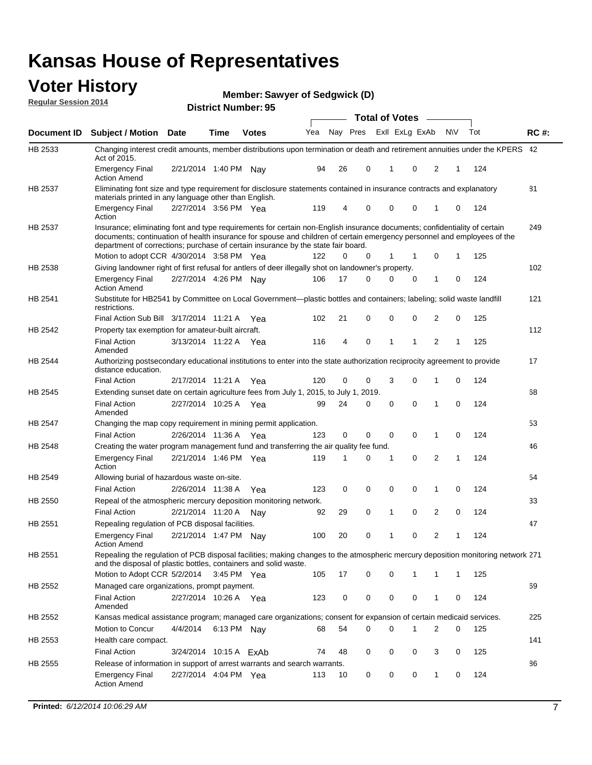#### **Voter History Regular Session 2014**

|                |                                                                                                                                                                                                                                                                                                                                           |                        |             | DISUILU NUIIIDEI . 3J |     |    |          | <b>Total of Votes</b> |                |              |   |     |             |
|----------------|-------------------------------------------------------------------------------------------------------------------------------------------------------------------------------------------------------------------------------------------------------------------------------------------------------------------------------------------|------------------------|-------------|-----------------------|-----|----|----------|-----------------------|----------------|--------------|---|-----|-------------|
| Document ID    | <b>Subject / Motion Date</b>                                                                                                                                                                                                                                                                                                              |                        | Time        | <b>Votes</b>          | Yea |    | Nay Pres |                       | Exll ExLg ExAb | <b>NV</b>    |   | Tot | <b>RC#:</b> |
| HB 2533        | Changing interest credit amounts, member distributions upon termination or death and retirement annuities under the KPERS 42<br>Act of 2015.                                                                                                                                                                                              |                        |             |                       |     |    |          |                       |                |              |   |     |             |
|                | <b>Emergency Final</b><br><b>Action Amend</b>                                                                                                                                                                                                                                                                                             | 2/21/2014 1:40 PM Nav  |             |                       | 94  | 26 | 0        | 1                     | 0              | 2            | 1 | 124 |             |
| HB 2537        | Eliminating font size and type requirement for disclosure statements contained in insurance contracts and explanatory<br>materials printed in any language other than English.                                                                                                                                                            |                        |             |                       |     |    |          |                       |                |              |   |     | 81          |
|                | <b>Emergency Final</b><br>Action                                                                                                                                                                                                                                                                                                          | 2/27/2014 3:56 PM Yea  |             |                       | 119 | 4  | 0        | $\mathbf 0$           | 0              | 1            | 0 | 124 |             |
| <b>HB 2537</b> | Insurance; eliminating font and type requirements for certain non-English insurance documents; confidentiality of certain<br>documents; continuation of health insurance for spouse and children of certain emergency personnel and employees of the<br>department of corrections; purchase of certain insurance by the state fair board. |                        |             |                       |     |    |          |                       |                |              |   |     | 249         |
|                | Motion to adopt CCR 4/30/2014 3:58 PM Yea                                                                                                                                                                                                                                                                                                 |                        |             |                       | 122 | 0  | 0        | 1                     | 1              | 0            | 1 | 125 |             |
| HB 2538        | Giving landowner right of first refusal for antlers of deer illegally shot on landowner's property.                                                                                                                                                                                                                                       |                        |             |                       |     |    |          |                       |                |              |   |     | 102         |
|                | <b>Emergency Final</b><br>Action Amend                                                                                                                                                                                                                                                                                                    | 2/27/2014 4:26 PM Nay  |             |                       | 106 | 17 | 0        | 0                     | 0              | 1            | 0 | 124 |             |
| HB 2541        | Substitute for HB2541 by Committee on Local Government—plastic bottles and containers; labeling; solid waste landfill<br>restrictions.                                                                                                                                                                                                    |                        |             |                       |     |    |          |                       |                |              |   |     | 121         |
|                | Final Action Sub Bill 3/17/2014 11:21 A Yea                                                                                                                                                                                                                                                                                               |                        |             |                       | 102 | 21 | 0        | $\mathbf 0$           | 0              | 2            | 0 | 125 |             |
| HB 2542        | Property tax exemption for amateur-built aircraft.<br><b>Final Action</b>                                                                                                                                                                                                                                                                 | 3/13/2014 11:22 A Yea  |             |                       | 116 | 4  | 0        | 1                     | 1              | 2            | 1 | 125 | 112         |
| <b>HB 2544</b> | Amended<br>Authorizing postsecondary educational institutions to enter into the state authorization reciprocity agreement to provide<br>distance education.                                                                                                                                                                               |                        |             |                       |     |    |          |                       |                |              |   |     | 17          |
|                | Final Action                                                                                                                                                                                                                                                                                                                              | 2/17/2014 11:21 A Yea  |             |                       | 120 | 0  | 0        | 3                     | 0              | 1            | 0 | 124 |             |
| HB 2545        | Extending sunset date on certain agriculture fees from July 1, 2015, to July 1, 2019.                                                                                                                                                                                                                                                     |                        |             |                       |     |    |          |                       |                |              |   |     | 68          |
|                | Final Action<br>Amended                                                                                                                                                                                                                                                                                                                   | 2/27/2014 10:25 A Yea  |             |                       | 99  | 24 | 0        | $\mathbf 0$           | $\Omega$       | 1            | 0 | 124 |             |
| HB 2547        | Changing the map copy requirement in mining permit application.                                                                                                                                                                                                                                                                           |                        |             |                       |     |    |          |                       |                |              |   |     | 53          |
|                | <b>Final Action</b>                                                                                                                                                                                                                                                                                                                       | 2/26/2014 11:36 A      |             | Yea                   | 123 | 0  | 0        | 0                     | 0              | 1            | 0 | 124 |             |
| <b>HB 2548</b> | Creating the water program management fund and transferring the air quality fee fund.                                                                                                                                                                                                                                                     |                        |             |                       |     |    |          |                       |                |              |   |     | 46          |
|                | Emergency Final<br>Action                                                                                                                                                                                                                                                                                                                 | 2/21/2014 1:46 PM Yea  |             |                       | 119 | 1  | 0        | 1                     | 0              | 2            | 1 | 124 |             |
| HB 2549        | Allowing burial of hazardous waste on-site.                                                                                                                                                                                                                                                                                               |                        |             |                       |     |    |          |                       |                |              |   |     | 54          |
|                | <b>Final Action</b>                                                                                                                                                                                                                                                                                                                       | 2/26/2014 11:38 A      |             | Yea                   | 123 | 0  | 0        | $\mathbf 0$           | 0              | 1            | 0 | 124 |             |
| <b>HB 2550</b> | Repeal of the atmospheric mercury deposition monitoring network.                                                                                                                                                                                                                                                                          |                        |             |                       |     |    |          |                       |                |              |   |     | 33          |
|                | <b>Final Action</b>                                                                                                                                                                                                                                                                                                                       | 2/21/2014 11:20 A      |             | Nav                   | 92  | 29 | 0        | 1                     | 0              | 2            | 0 | 124 |             |
| HB 2551        | Repealing regulation of PCB disposal facilities.                                                                                                                                                                                                                                                                                          |                        |             |                       |     |    |          |                       |                |              |   |     | 47          |
|                | Emergency Final<br>Action Amend                                                                                                                                                                                                                                                                                                           | 2/21/2014 1:47 PM Nay  |             |                       | 100 | 20 | 0        | 1                     | 0              | 2            | 1 | 124 |             |
| HB 2551        | Repealing the regulation of PCB disposal facilities; making changes to the atmospheric mercury deposition monitoring network 271<br>and the disposal of plastic bottles, containers and solid waste.                                                                                                                                      |                        |             |                       |     |    |          |                       |                |              |   |     |             |
|                | Motion to Adopt CCR 5/2/2014 3:45 PM Yea                                                                                                                                                                                                                                                                                                  |                        |             |                       | 105 | 17 | 0        | $\mathbf 0$           |                | 1            | 1 | 125 |             |
| HB 2552        | Managed care organizations, prompt payment.                                                                                                                                                                                                                                                                                               |                        |             |                       |     |    |          |                       |                |              |   |     | 69          |
|                | Final Action<br>Amended                                                                                                                                                                                                                                                                                                                   | 2/27/2014 10:26 A Yea  |             |                       | 123 | 0  | 0        | 0                     | 0              | 1            | 0 | 124 |             |
| HB 2552        | Kansas medical assistance program; managed care organizations; consent for expansion of certain medicaid services.                                                                                                                                                                                                                        |                        |             |                       |     |    |          |                       |                |              |   |     | 225         |
|                | Motion to Concur                                                                                                                                                                                                                                                                                                                          | 4/4/2014               | 6:13 PM Nay |                       | 68  | 54 | 0        | $\mathbf 0$           | 1              | 2            | 0 | 125 |             |
| HB 2553        | Health care compact.                                                                                                                                                                                                                                                                                                                      |                        |             |                       |     |    |          |                       |                |              |   |     | 141         |
|                | <b>Final Action</b>                                                                                                                                                                                                                                                                                                                       | 3/24/2014 10:15 A ExAb |             |                       | 74  | 48 | 0        | 0                     | 0              | 3            | 0 | 125 |             |
| HB 2555        | Release of information in support of arrest warrants and search warrants.                                                                                                                                                                                                                                                                 |                        |             |                       |     |    |          |                       |                |              |   |     | 86          |
|                | Emergency Final<br><b>Action Amend</b>                                                                                                                                                                                                                                                                                                    | 2/27/2014 4:04 PM Yea  |             |                       | 113 | 10 | 0        | 0                     | 0              | $\mathbf{1}$ | 0 | 124 |             |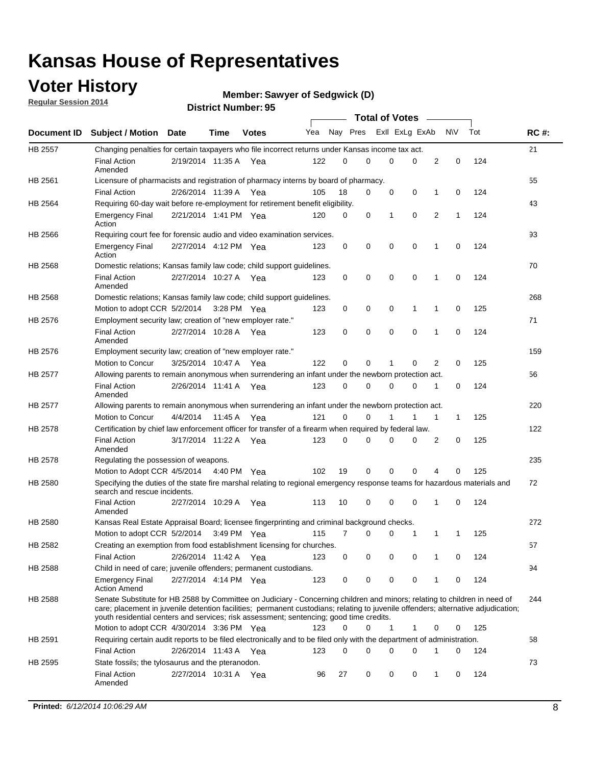### **Voter History**

**Regular Session 2014**

```
Member: Sawyer of Sedgwick (D)
```

|                    |                                                                                                                                                                                                                                                                                                                                                           |                       |             |              |     |          |   | <b>Total of Votes</b> |             |              |             |     |             |
|--------------------|-----------------------------------------------------------------------------------------------------------------------------------------------------------------------------------------------------------------------------------------------------------------------------------------------------------------------------------------------------------|-----------------------|-------------|--------------|-----|----------|---|-----------------------|-------------|--------------|-------------|-----|-------------|
| <b>Document ID</b> | <b>Subject / Motion Date</b>                                                                                                                                                                                                                                                                                                                              |                       | Time        | <b>Votes</b> | Yea | Nay Pres |   | Exll ExLg ExAb        |             |              | <b>NV</b>   | Tot | <b>RC#:</b> |
| <b>HB 2557</b>     | Changing penalties for certain taxpayers who file incorrect returns under Kansas income tax act.                                                                                                                                                                                                                                                          |                       |             |              |     |          |   |                       |             |              |             |     | 21          |
|                    | <b>Final Action</b><br>Amended                                                                                                                                                                                                                                                                                                                            | 2/19/2014 11:35 A     |             | Yea          | 122 | 0        | 0 | 0                     | 0           | 2            | $\mathbf 0$ | 124 |             |
| HB 2561            | Licensure of pharmacists and registration of pharmacy interns by board of pharmacy.                                                                                                                                                                                                                                                                       |                       |             |              |     |          |   |                       |             |              |             |     | 55          |
|                    | <b>Final Action</b>                                                                                                                                                                                                                                                                                                                                       | 2/26/2014 11:39 A Yea |             |              | 105 | 18       | 0 | 0                     | 0           | 1            | 0           | 124 |             |
| HB 2564            | Requiring 60-day wait before re-employment for retirement benefit eligibility.                                                                                                                                                                                                                                                                            |                       |             |              |     |          |   |                       |             |              |             |     | 43          |
|                    | <b>Emergency Final</b><br>Action                                                                                                                                                                                                                                                                                                                          | 2/21/2014 1:41 PM Yea |             |              | 120 | 0        | 0 | 1                     | 0           | 2            | 1           | 124 |             |
| HB 2566            | Requiring court fee for forensic audio and video examination services.                                                                                                                                                                                                                                                                                    |                       |             |              |     |          |   |                       |             |              |             |     | 93          |
|                    | <b>Emergency Final</b><br>Action                                                                                                                                                                                                                                                                                                                          | 2/27/2014 4:12 PM Yea |             |              | 123 | 0        | 0 | 0                     | $\mathbf 0$ | 1            | 0           | 124 |             |
| <b>HB 2568</b>     | Domestic relations; Kansas family law code; child support guidelines.                                                                                                                                                                                                                                                                                     |                       |             |              |     |          |   |                       |             |              |             |     | 70          |
|                    | <b>Final Action</b><br>Amended                                                                                                                                                                                                                                                                                                                            | 2/27/2014 10:27 A     |             | Yea          | 123 | 0        | 0 | 0                     | 0           | $\mathbf{1}$ | $\mathbf 0$ | 124 |             |
| HB 2568            | Domestic relations; Kansas family law code; child support guidelines.                                                                                                                                                                                                                                                                                     |                       |             |              |     |          |   |                       |             |              |             |     | 268         |
|                    | Motion to adopt CCR 5/2/2014                                                                                                                                                                                                                                                                                                                              |                       | 3:28 PM Yea |              | 123 | 0        | 0 | 0                     | 1           | 1            | 0           | 125 |             |
| HB 2576            | Employment security law; creation of "new employer rate."                                                                                                                                                                                                                                                                                                 |                       |             |              |     |          |   |                       |             |              |             |     | 71          |
|                    | <b>Final Action</b><br>Amended                                                                                                                                                                                                                                                                                                                            | 2/27/2014 10:28 A Yea |             |              | 123 | 0        | 0 | 0                     | 0           | $\mathbf{1}$ | 0           | 124 |             |
| HB 2576            | Employment security law; creation of "new employer rate."                                                                                                                                                                                                                                                                                                 |                       |             |              |     |          |   |                       |             |              |             |     | 159         |
|                    | Motion to Concur                                                                                                                                                                                                                                                                                                                                          | 3/25/2014 10:47 A     |             | Yea          | 122 | 0        | 0 | 1                     | 0           | 2            | 0           | 125 |             |
| <b>HB 2577</b>     | Allowing parents to remain anonymous when surrendering an infant under the newborn protection act.                                                                                                                                                                                                                                                        |                       |             |              |     |          |   |                       |             |              |             |     | 56          |
|                    | <b>Final Action</b><br>Amended                                                                                                                                                                                                                                                                                                                            | 2/26/2014 11:41 A Yea |             |              | 123 | $\Omega$ | 0 | 0                     | 0           | 1            | 0           | 124 |             |
| HB 2577            | Allowing parents to remain anonymous when surrendering an infant under the newborn protection act.                                                                                                                                                                                                                                                        |                       |             |              |     |          |   |                       |             |              |             |     | 220         |
|                    | Motion to Concur                                                                                                                                                                                                                                                                                                                                          | 4/4/2014              | 11:45 A     | Yea          | 121 | 0        | 0 | 1                     | 1           | 1            | 1           | 125 |             |
| HB 2578            | Certification by chief law enforcement officer for transfer of a firearm when required by federal law.                                                                                                                                                                                                                                                    |                       |             |              |     |          |   |                       |             |              |             |     | 122         |
|                    | <b>Final Action</b><br>Amended                                                                                                                                                                                                                                                                                                                            | 3/17/2014 11:22 A     |             | Yea          | 123 | 0        | 0 | 0                     | 0           | 2            | 0           | 125 |             |
| HB 2578            | Regulating the possession of weapons.                                                                                                                                                                                                                                                                                                                     |                       |             |              |     |          |   |                       |             |              |             |     | 235         |
|                    | Motion to Adopt CCR 4/5/2014 4:40 PM Yea                                                                                                                                                                                                                                                                                                                  |                       |             |              | 102 | 19       | 0 | 0                     | 0           | 4            | 0           | 125 |             |
| HB 2580            | Specifying the duties of the state fire marshal relating to regional emergency response teams for hazardous materials and<br>search and rescue incidents.                                                                                                                                                                                                 |                       |             |              |     |          |   |                       |             |              |             |     | 72          |
|                    | <b>Final Action</b><br>Amended                                                                                                                                                                                                                                                                                                                            | 2/27/2014 10:29 A     |             | Yea          | 113 | 10       | 0 | 0                     | 0           | 1            | 0           | 124 |             |
| <b>HB 2580</b>     | Kansas Real Estate Appraisal Board; licensee fingerprinting and criminal background checks.                                                                                                                                                                                                                                                               |                       |             |              |     |          |   |                       |             |              |             |     | 272         |
|                    | Motion to adopt CCR 5/2/2014                                                                                                                                                                                                                                                                                                                              |                       |             | 3:49 PM Yea  | 115 | 7        | 0 | 0                     | 1           | 1            | 1           | 125 |             |
| HB 2582            | Creating an exemption from food establishment licensing for churches.                                                                                                                                                                                                                                                                                     |                       |             |              |     |          |   |                       |             |              |             |     | 57          |
|                    | <b>Final Action</b>                                                                                                                                                                                                                                                                                                                                       | 2/26/2014 11:42 A Yea |             |              | 123 | 0        | 0 | 0                     | 0           |              | 0           | 124 |             |
| HB 2588            | Child in need of care; juvenile offenders; permanent custodians.                                                                                                                                                                                                                                                                                          |                       |             |              |     |          |   |                       |             |              |             |     | 94          |
|                    | <b>Emergency Final</b><br><b>Action Amend</b>                                                                                                                                                                                                                                                                                                             | 2/27/2014 4:14 PM Yea |             |              | 123 | 0        | 0 | 0                     | 0           | 1            | 0           | 124 |             |
| HB 2588            | Senate Substitute for HB 2588 by Committee on Judiciary - Concerning children and minors; relating to children in need of<br>care; placement in juvenile detention facilities; permanent custodians; relating to juvenile offenders; alternative adjudication;<br>youth residential centers and services; risk assessment; sentencing; good time credits. |                       |             |              |     |          |   |                       |             |              |             |     | 244         |
|                    | Motion to adopt CCR 4/30/2014 3:36 PM Yea                                                                                                                                                                                                                                                                                                                 |                       |             |              | 123 | 0        | 0 | 1                     | 1           | 0            | 0           | 125 |             |
| HB 2591            | Requiring certain audit reports to be filed electronically and to be filed only with the department of administration.                                                                                                                                                                                                                                    |                       |             |              |     |          |   |                       |             |              |             |     | 58          |
|                    | <b>Final Action</b>                                                                                                                                                                                                                                                                                                                                       | 2/26/2014 11:43 A Yea |             |              | 123 | 0        | 0 | 0                     | 0           | 1            | 0           | 124 |             |
| HB 2595            | State fossils; the tylosaurus and the pteranodon.                                                                                                                                                                                                                                                                                                         |                       |             |              |     |          |   |                       |             |              |             |     | 73          |
|                    | <b>Final Action</b><br>Amended                                                                                                                                                                                                                                                                                                                            | 2/27/2014 10:31 A Yea |             |              | 96  | 27       | 0 | 0                     | 0           | 1            | 0           | 124 |             |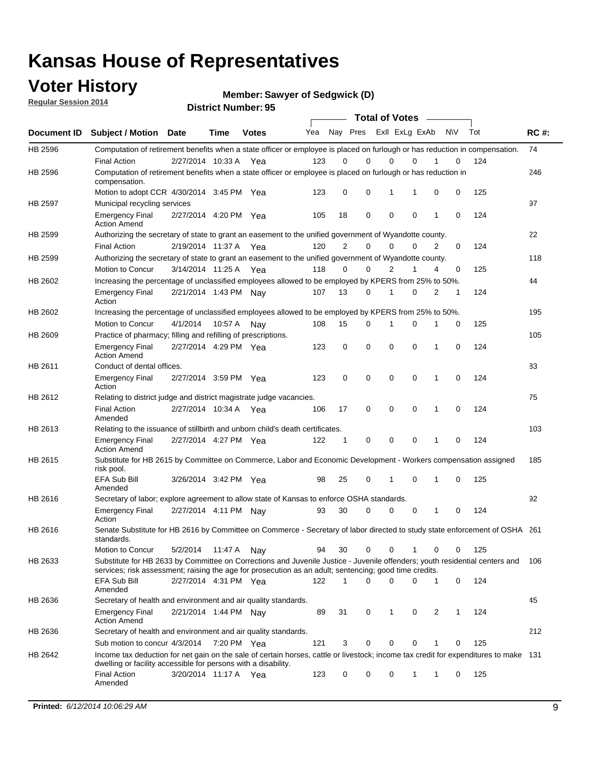### **Voter History**

**Regular Session 2014**

**Member: Sawyer of Sedgwick (D)** 

| Yea<br>123<br>Computation of retirement benefits when a state officer or employee is placed on furlough or has reduction in<br>123<br>105<br>Authorizing the secretary of state to grant an easement to the unified government of Wyandotte county.<br>120<br>Authorizing the secretary of state to grant an easement to the unified government of Wyandotte county.<br>118<br>Increasing the percentage of unclassified employees allowed to be employed by KPERS from 25% to 50%.<br>107<br>Increasing the percentage of unclassified employees allowed to be employed by KPERS from 25% to 50%.<br>108 | 0<br>0<br>18<br>$\overline{2}$<br>0<br>13 | Nay Pres ExII ExLg ExAb<br>$\Omega$<br>$\mathbf 0$<br>$\mathbf 0$<br>0<br>0                          | 0<br>1<br>$\mathbf 0$<br>$\mathbf 0$<br>$\overline{2}$ | 0<br>1<br>$\mathbf 0$<br>0                     | 0<br>1<br>2                                                                                                               | <b>NV</b><br>0<br>0<br>0                                                                                                                                                                                                                                                | Tot<br>Computation of retirement benefits when a state officer or employee is placed on furlough or has reduction in compensation.<br>124<br>125<br>124 | <b>RC#:</b><br>74<br>246<br>97                                                                                                                                                                                                                                                                                                                                                                                          |
|-----------------------------------------------------------------------------------------------------------------------------------------------------------------------------------------------------------------------------------------------------------------------------------------------------------------------------------------------------------------------------------------------------------------------------------------------------------------------------------------------------------------------------------------------------------------------------------------------------------|-------------------------------------------|------------------------------------------------------------------------------------------------------|--------------------------------------------------------|------------------------------------------------|---------------------------------------------------------------------------------------------------------------------------|-------------------------------------------------------------------------------------------------------------------------------------------------------------------------------------------------------------------------------------------------------------------------|---------------------------------------------------------------------------------------------------------------------------------------------------------|-------------------------------------------------------------------------------------------------------------------------------------------------------------------------------------------------------------------------------------------------------------------------------------------------------------------------------------------------------------------------------------------------------------------------|
|                                                                                                                                                                                                                                                                                                                                                                                                                                                                                                                                                                                                           |                                           |                                                                                                      |                                                        |                                                |                                                                                                                           |                                                                                                                                                                                                                                                                         |                                                                                                                                                         |                                                                                                                                                                                                                                                                                                                                                                                                                         |
|                                                                                                                                                                                                                                                                                                                                                                                                                                                                                                                                                                                                           |                                           |                                                                                                      |                                                        |                                                |                                                                                                                           |                                                                                                                                                                                                                                                                         |                                                                                                                                                         |                                                                                                                                                                                                                                                                                                                                                                                                                         |
|                                                                                                                                                                                                                                                                                                                                                                                                                                                                                                                                                                                                           |                                           |                                                                                                      |                                                        |                                                |                                                                                                                           |                                                                                                                                                                                                                                                                         |                                                                                                                                                         |                                                                                                                                                                                                                                                                                                                                                                                                                         |
|                                                                                                                                                                                                                                                                                                                                                                                                                                                                                                                                                                                                           |                                           |                                                                                                      |                                                        |                                                |                                                                                                                           |                                                                                                                                                                                                                                                                         |                                                                                                                                                         |                                                                                                                                                                                                                                                                                                                                                                                                                         |
|                                                                                                                                                                                                                                                                                                                                                                                                                                                                                                                                                                                                           |                                           |                                                                                                      |                                                        |                                                |                                                                                                                           |                                                                                                                                                                                                                                                                         |                                                                                                                                                         |                                                                                                                                                                                                                                                                                                                                                                                                                         |
|                                                                                                                                                                                                                                                                                                                                                                                                                                                                                                                                                                                                           |                                           |                                                                                                      |                                                        |                                                |                                                                                                                           |                                                                                                                                                                                                                                                                         |                                                                                                                                                         |                                                                                                                                                                                                                                                                                                                                                                                                                         |
|                                                                                                                                                                                                                                                                                                                                                                                                                                                                                                                                                                                                           |                                           |                                                                                                      |                                                        |                                                |                                                                                                                           |                                                                                                                                                                                                                                                                         |                                                                                                                                                         |                                                                                                                                                                                                                                                                                                                                                                                                                         |
|                                                                                                                                                                                                                                                                                                                                                                                                                                                                                                                                                                                                           |                                           |                                                                                                      |                                                        |                                                |                                                                                                                           |                                                                                                                                                                                                                                                                         |                                                                                                                                                         | 22                                                                                                                                                                                                                                                                                                                                                                                                                      |
|                                                                                                                                                                                                                                                                                                                                                                                                                                                                                                                                                                                                           |                                           |                                                                                                      |                                                        |                                                |                                                                                                                           | 0                                                                                                                                                                                                                                                                       | 124                                                                                                                                                     |                                                                                                                                                                                                                                                                                                                                                                                                                         |
|                                                                                                                                                                                                                                                                                                                                                                                                                                                                                                                                                                                                           |                                           |                                                                                                      |                                                        |                                                |                                                                                                                           |                                                                                                                                                                                                                                                                         |                                                                                                                                                         | 118                                                                                                                                                                                                                                                                                                                                                                                                                     |
|                                                                                                                                                                                                                                                                                                                                                                                                                                                                                                                                                                                                           |                                           |                                                                                                      |                                                        | 1                                              | 4                                                                                                                         | 0                                                                                                                                                                                                                                                                       | 125                                                                                                                                                     |                                                                                                                                                                                                                                                                                                                                                                                                                         |
|                                                                                                                                                                                                                                                                                                                                                                                                                                                                                                                                                                                                           |                                           |                                                                                                      |                                                        |                                                |                                                                                                                           |                                                                                                                                                                                                                                                                         |                                                                                                                                                         | 44                                                                                                                                                                                                                                                                                                                                                                                                                      |
|                                                                                                                                                                                                                                                                                                                                                                                                                                                                                                                                                                                                           |                                           | 0                                                                                                    | 1                                                      | 0                                              | 2                                                                                                                         | 1                                                                                                                                                                                                                                                                       | 124                                                                                                                                                     |                                                                                                                                                                                                                                                                                                                                                                                                                         |
|                                                                                                                                                                                                                                                                                                                                                                                                                                                                                                                                                                                                           |                                           |                                                                                                      |                                                        |                                                |                                                                                                                           |                                                                                                                                                                                                                                                                         |                                                                                                                                                         | 195                                                                                                                                                                                                                                                                                                                                                                                                                     |
|                                                                                                                                                                                                                                                                                                                                                                                                                                                                                                                                                                                                           | 15                                        | 0                                                                                                    | 1                                                      | 0                                              |                                                                                                                           | 0                                                                                                                                                                                                                                                                       | 125                                                                                                                                                     |                                                                                                                                                                                                                                                                                                                                                                                                                         |
|                                                                                                                                                                                                                                                                                                                                                                                                                                                                                                                                                                                                           |                                           |                                                                                                      |                                                        |                                                |                                                                                                                           |                                                                                                                                                                                                                                                                         |                                                                                                                                                         | 105                                                                                                                                                                                                                                                                                                                                                                                                                     |
| 123                                                                                                                                                                                                                                                                                                                                                                                                                                                                                                                                                                                                       | 0                                         | $\mathbf 0$                                                                                          | $\mathbf 0$                                            | 0                                              | 1                                                                                                                         | 0                                                                                                                                                                                                                                                                       | 124                                                                                                                                                     |                                                                                                                                                                                                                                                                                                                                                                                                                         |
|                                                                                                                                                                                                                                                                                                                                                                                                                                                                                                                                                                                                           |                                           |                                                                                                      |                                                        |                                                |                                                                                                                           |                                                                                                                                                                                                                                                                         |                                                                                                                                                         | 83                                                                                                                                                                                                                                                                                                                                                                                                                      |
| 123                                                                                                                                                                                                                                                                                                                                                                                                                                                                                                                                                                                                       | 0                                         | $\mathbf 0$                                                                                          | $\mathbf 0$                                            | $\mathbf 0$                                    | 1                                                                                                                         | 0                                                                                                                                                                                                                                                                       | 124                                                                                                                                                     |                                                                                                                                                                                                                                                                                                                                                                                                                         |
| Relating to district judge and district magistrate judge vacancies.                                                                                                                                                                                                                                                                                                                                                                                                                                                                                                                                       |                                           |                                                                                                      |                                                        |                                                |                                                                                                                           |                                                                                                                                                                                                                                                                         |                                                                                                                                                         | 75                                                                                                                                                                                                                                                                                                                                                                                                                      |
| 106                                                                                                                                                                                                                                                                                                                                                                                                                                                                                                                                                                                                       | 17                                        |                                                                                                      |                                                        | $\mathbf 0$                                    | 1                                                                                                                         | 0                                                                                                                                                                                                                                                                       | 124                                                                                                                                                     |                                                                                                                                                                                                                                                                                                                                                                                                                         |
|                                                                                                                                                                                                                                                                                                                                                                                                                                                                                                                                                                                                           |                                           |                                                                                                      |                                                        |                                                |                                                                                                                           |                                                                                                                                                                                                                                                                         |                                                                                                                                                         | 103                                                                                                                                                                                                                                                                                                                                                                                                                     |
| 122                                                                                                                                                                                                                                                                                                                                                                                                                                                                                                                                                                                                       | 1                                         |                                                                                                      |                                                        |                                                | 1                                                                                                                         | 0                                                                                                                                                                                                                                                                       |                                                                                                                                                         |                                                                                                                                                                                                                                                                                                                                                                                                                         |
|                                                                                                                                                                                                                                                                                                                                                                                                                                                                                                                                                                                                           |                                           |                                                                                                      |                                                        |                                                |                                                                                                                           |                                                                                                                                                                                                                                                                         |                                                                                                                                                         | 185                                                                                                                                                                                                                                                                                                                                                                                                                     |
|                                                                                                                                                                                                                                                                                                                                                                                                                                                                                                                                                                                                           |                                           |                                                                                                      |                                                        |                                                |                                                                                                                           |                                                                                                                                                                                                                                                                         |                                                                                                                                                         |                                                                                                                                                                                                                                                                                                                                                                                                                         |
|                                                                                                                                                                                                                                                                                                                                                                                                                                                                                                                                                                                                           |                                           |                                                                                                      |                                                        |                                                |                                                                                                                           |                                                                                                                                                                                                                                                                         |                                                                                                                                                         | 92                                                                                                                                                                                                                                                                                                                                                                                                                      |
|                                                                                                                                                                                                                                                                                                                                                                                                                                                                                                                                                                                                           |                                           |                                                                                                      |                                                        |                                                |                                                                                                                           |                                                                                                                                                                                                                                                                         |                                                                                                                                                         |                                                                                                                                                                                                                                                                                                                                                                                                                         |
|                                                                                                                                                                                                                                                                                                                                                                                                                                                                                                                                                                                                           |                                           |                                                                                                      |                                                        |                                                |                                                                                                                           |                                                                                                                                                                                                                                                                         |                                                                                                                                                         |                                                                                                                                                                                                                                                                                                                                                                                                                         |
|                                                                                                                                                                                                                                                                                                                                                                                                                                                                                                                                                                                                           |                                           |                                                                                                      |                                                        |                                                |                                                                                                                           |                                                                                                                                                                                                                                                                         |                                                                                                                                                         |                                                                                                                                                                                                                                                                                                                                                                                                                         |
|                                                                                                                                                                                                                                                                                                                                                                                                                                                                                                                                                                                                           |                                           |                                                                                                      |                                                        |                                                |                                                                                                                           |                                                                                                                                                                                                                                                                         |                                                                                                                                                         | 106                                                                                                                                                                                                                                                                                                                                                                                                                     |
|                                                                                                                                                                                                                                                                                                                                                                                                                                                                                                                                                                                                           |                                           |                                                                                                      |                                                        |                                                |                                                                                                                           |                                                                                                                                                                                                                                                                         |                                                                                                                                                         |                                                                                                                                                                                                                                                                                                                                                                                                                         |
| Secretary of health and environment and air quality standards.                                                                                                                                                                                                                                                                                                                                                                                                                                                                                                                                            |                                           |                                                                                                      |                                                        |                                                |                                                                                                                           |                                                                                                                                                                                                                                                                         |                                                                                                                                                         | 45                                                                                                                                                                                                                                                                                                                                                                                                                      |
| 89                                                                                                                                                                                                                                                                                                                                                                                                                                                                                                                                                                                                        | 31                                        |                                                                                                      | 1                                                      | 0                                              |                                                                                                                           | 1                                                                                                                                                                                                                                                                       |                                                                                                                                                         |                                                                                                                                                                                                                                                                                                                                                                                                                         |
| Secretary of health and environment and air quality standards.                                                                                                                                                                                                                                                                                                                                                                                                                                                                                                                                            |                                           |                                                                                                      |                                                        |                                                |                                                                                                                           |                                                                                                                                                                                                                                                                         |                                                                                                                                                         | 212                                                                                                                                                                                                                                                                                                                                                                                                                     |
| 121                                                                                                                                                                                                                                                                                                                                                                                                                                                                                                                                                                                                       | 3                                         | 0                                                                                                    | 0                                                      | 0                                              | 1                                                                                                                         | 0                                                                                                                                                                                                                                                                       | 125                                                                                                                                                     |                                                                                                                                                                                                                                                                                                                                                                                                                         |
|                                                                                                                                                                                                                                                                                                                                                                                                                                                                                                                                                                                                           |                                           |                                                                                                      |                                                        |                                                |                                                                                                                           |                                                                                                                                                                                                                                                                         |                                                                                                                                                         |                                                                                                                                                                                                                                                                                                                                                                                                                         |
|                                                                                                                                                                                                                                                                                                                                                                                                                                                                                                                                                                                                           |                                           |                                                                                                      |                                                        |                                                |                                                                                                                           |                                                                                                                                                                                                                                                                         |                                                                                                                                                         |                                                                                                                                                                                                                                                                                                                                                                                                                         |
|                                                                                                                                                                                                                                                                                                                                                                                                                                                                                                                                                                                                           | 98<br>93<br>94<br>122                     | Relating to the issuance of stillbirth and unborn child's death certificates.<br>25<br>30<br>30<br>1 | $\mathbf 0$<br>0<br>0<br>0<br>0<br>0<br>0              | $\mathbf 0$<br>$\mathbf 0$<br>1<br>0<br>0<br>0 | $\Omega$<br>0<br>Secretary of labor; explore agreement to allow state of Kansas to enforce OSHA standards.<br>0<br>1<br>0 | 1<br>1<br>0<br>services; risk assessment; raising the age for prosecution as an adult; sentencing; good time credits.<br>1<br>2<br>Income tax deduction for net gain on the sale of certain horses, cattle or livestock; income tax credit for expenditures to make 131 | 0<br>0<br>0<br>0                                                                                                                                        | 124<br>Substitute for HB 2615 by Committee on Commerce, Labor and Economic Development - Workers compensation assigned<br>125<br>124<br>Senate Substitute for HB 2616 by Committee on Commerce - Secretary of labor directed to study state enforcement of OSHA 261<br>125<br>Substitute for HB 2633 by Committee on Corrections and Juvenile Justice - Juvenile offenders; youth residential centers and<br>124<br>124 |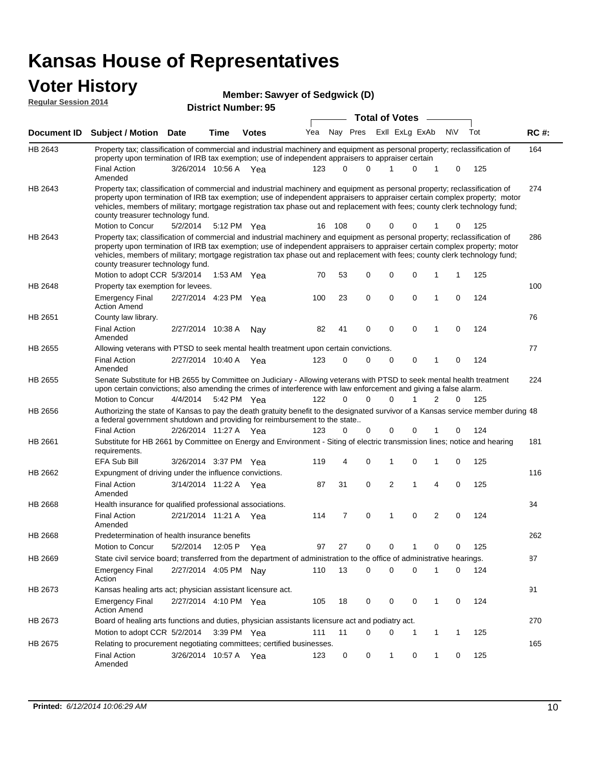### **Voter History**

|                             |                                                                                                                                                                                                                                                                                                                                                                                                                               |                       |             | Member: Sawyer of Sedgwick (D) |     |                       |               |  |                |             |   |     |     |       |  |
|-----------------------------|-------------------------------------------------------------------------------------------------------------------------------------------------------------------------------------------------------------------------------------------------------------------------------------------------------------------------------------------------------------------------------------------------------------------------------|-----------------------|-------------|--------------------------------|-----|-----------------------|---------------|--|----------------|-------------|---|-----|-----|-------|--|
| <b>Regular Session 2014</b> |                                                                                                                                                                                                                                                                                                                                                                                                                               |                       |             | <b>District Number: 95</b>     |     |                       |               |  |                |             |   |     |     |       |  |
|                             |                                                                                                                                                                                                                                                                                                                                                                                                                               |                       |             |                                |     | <b>Total of Votes</b> |               |  |                |             |   |     |     |       |  |
| Document ID                 | <b>Subject / Motion Date</b>                                                                                                                                                                                                                                                                                                                                                                                                  |                       | Time        | <b>Votes</b>                   | Yea |                       | Nay Pres      |  | Exll ExLg ExAb |             |   | N\V | Tot | RC #: |  |
| HB 2643                     | Property tax; classification of commercial and industrial machinery and equipment as personal property; reclassification of<br>property upon termination of IRB tax exemption; use of independent appraisers to appraiser certain                                                                                                                                                                                             |                       |             |                                |     |                       |               |  |                |             |   |     |     | 164   |  |
|                             | <b>Final Action</b><br>Amended                                                                                                                                                                                                                                                                                                                                                                                                | 3/26/2014 10:56 A Yea |             |                                | 123 |                       | $\Omega$<br>0 |  | 1              | 0           | 1 | 0   | 125 |       |  |
| HB 2643                     | Property tax; classification of commercial and industrial machinery and equipment as personal property; reclassification of<br>property upon termination of IRB tax exemption; use of independent appraisers to appraiser certain complex property; motor<br>vehicles, members of military; mortgage registration tax phase out and replacement with fees; county clerk technology fund;<br>county treasurer technology fund. |                       |             |                                |     |                       |               |  |                |             |   |     |     | 274   |  |
|                             | Motion to Concur                                                                                                                                                                                                                                                                                                                                                                                                              | 5/2/2014              |             | 5:12 PM Yea                    | 16  | 108                   | 0             |  | 0              | 0           |   | 0   | 125 |       |  |
| HB 2643                     | Property tax; classification of commercial and industrial machinery and equipment as personal property; reclassification of<br>property upon termination of IRB tax exemption; use of independent appraisers to appraiser certain complex property; motor<br>vehicles, members of military; mortgage registration tax phase out and replacement with fees; county clerk technology fund;<br>county treasurer technology fund. |                       |             |                                |     |                       |               |  |                |             |   |     |     | 286   |  |
|                             | Motion to adopt CCR 5/3/2014                                                                                                                                                                                                                                                                                                                                                                                                  |                       |             | 1:53 AM $Yea$                  | 70  | 53                    | 0             |  | 0              | 0           | 1 |     | 125 |       |  |
| HB 2648                     | Property tax exemption for levees.<br><b>Emergency Final</b><br><b>Action Amend</b>                                                                                                                                                                                                                                                                                                                                           | 2/27/2014 4:23 PM Yea |             |                                | 100 | 23                    | 0             |  | 0              | 0           | 1 | 0   | 124 | 100   |  |
| HB 2651                     | County law library.                                                                                                                                                                                                                                                                                                                                                                                                           |                       |             |                                |     |                       |               |  |                |             |   |     |     | 76    |  |
|                             | <b>Final Action</b><br>Amended                                                                                                                                                                                                                                                                                                                                                                                                | 2/27/2014 10:38 A     |             | Nav                            | 82  | 41                    | 0             |  | $\mathbf 0$    | $\mathbf 0$ | 1 | 0   | 124 |       |  |
| HB 2655                     | Allowing veterans with PTSD to seek mental health treatment upon certain convictions.                                                                                                                                                                                                                                                                                                                                         |                       |             |                                |     |                       |               |  |                |             |   |     |     | 77    |  |
|                             | <b>Final Action</b><br>Amended                                                                                                                                                                                                                                                                                                                                                                                                | 2/27/2014 10:40 A     |             | Yea                            | 123 |                       | 0<br>0        |  | $\mathbf 0$    | 0           | 1 | 0   | 124 |       |  |
| HB 2655                     | Senate Substitute for HB 2655 by Committee on Judiciary - Allowing veterans with PTSD to seek mental health treatment<br>upon certain convictions; also amending the crimes of interference with law enforcement and giving a false alarm.                                                                                                                                                                                    |                       |             |                                |     |                       |               |  |                |             |   |     |     | 224   |  |
|                             | Motion to Concur                                                                                                                                                                                                                                                                                                                                                                                                              | 4/4/2014              |             | 5:42 PM Yea                    | 122 |                       | 0<br>$\Omega$ |  | 0              |             | 2 | 0   | 125 |       |  |
| HB 2656                     | Authorizing the state of Kansas to pay the death gratuity benefit to the designated survivor of a Kansas service member during 48<br>a federal government shutdown and providing for reimbursement to the state                                                                                                                                                                                                               |                       |             |                                |     |                       |               |  |                |             |   |     |     |       |  |
|                             | <b>Final Action</b>                                                                                                                                                                                                                                                                                                                                                                                                           | 2/26/2014 11:27 A Yea |             |                                | 123 |                       | 0<br>0        |  | 0              | 0           |   | 0   | 124 |       |  |
| HB 2661                     | Substitute for HB 2661 by Committee on Energy and Environment - Siting of electric transmission lines; notice and hearing<br>requirements.                                                                                                                                                                                                                                                                                    |                       |             |                                |     |                       |               |  |                |             |   |     |     | 181   |  |
|                             | EFA Sub Bill                                                                                                                                                                                                                                                                                                                                                                                                                  | 3/26/2014 3:37 PM Yea |             |                                | 119 |                       | 4<br>0        |  | 1              | 0           | 1 | 0   | 125 |       |  |
| HB 2662                     | Expungment of driving under the influence convictions.                                                                                                                                                                                                                                                                                                                                                                        |                       |             |                                |     |                       |               |  |                |             |   |     |     | 116   |  |
|                             | <b>Final Action</b><br>Amended                                                                                                                                                                                                                                                                                                                                                                                                | 3/14/2014 11:22 A Yea |             |                                | 87  | 31                    | 0             |  | 2              | 1           | 4 | 0   | 125 |       |  |
| HB 2668                     | Health insurance for qualified professional associations.                                                                                                                                                                                                                                                                                                                                                                     |                       |             |                                |     |                       |               |  |                |             |   |     |     | 34    |  |
|                             | <b>Final Action</b><br>Amended                                                                                                                                                                                                                                                                                                                                                                                                | 2/21/2014 11:21 A Yea |             |                                | 114 |                       | 7<br>0        |  | 1              | 0           | 2 | 0   | 124 |       |  |
| HB 2668                     | Predetermination of health insurance benefits                                                                                                                                                                                                                                                                                                                                                                                 |                       |             |                                |     |                       |               |  |                |             |   |     |     | 262   |  |
|                             | Motion to Concur                                                                                                                                                                                                                                                                                                                                                                                                              | 5/2/2014              | 12:05 P Yea |                                | 97  | 27                    | 0             |  | 0              | 1           | 0 | 0   | 125 |       |  |
| HB 2669                     | State civil service board; transferred from the department of administration to the office of administrative hearings.                                                                                                                                                                                                                                                                                                        |                       |             |                                |     |                       |               |  |                |             |   |     |     | 87    |  |
|                             | <b>Emergency Final</b><br>Action                                                                                                                                                                                                                                                                                                                                                                                              | 2/27/2014 4:05 PM Nay |             |                                | 110 | 13                    | 0             |  | 0              | 0           | 1 | 0   | 124 |       |  |
| HB 2673                     | Kansas healing arts act; physician assistant licensure act.                                                                                                                                                                                                                                                                                                                                                                   |                       |             |                                |     |                       |               |  |                |             |   |     |     | 91    |  |
|                             | <b>Emergency Final</b>                                                                                                                                                                                                                                                                                                                                                                                                        | 2/27/2014 4:10 PM Yea |             |                                | 105 | 18                    | 0             |  | 0              | 0           | 1 | 0   | 124 |       |  |

Action Amend 270 Motion to adopt CCR 5/2/2014 3:39 PM Yea 111 11 0 0 1 1 1 125 HB 2673 Board of healing arts functions and duties, physician assistants licensure act and podiatry act. 165 Final Action 3/26/2014 10:57 A Yea 123 0 0 1 0 125 HB 2675 Amended Relating to procurement negotiating committees; certified businesses.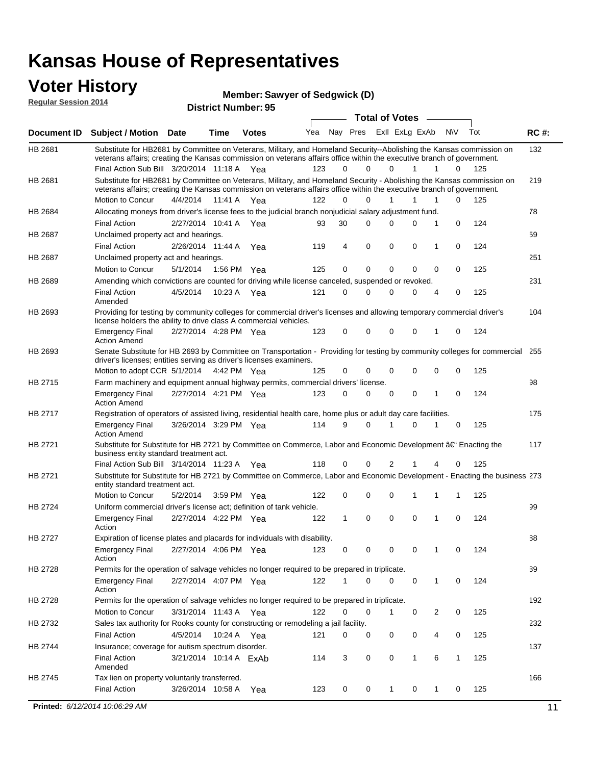#### **Voter History Regular Session 2014**

**Member: Sawyer of Sedgwick (D)** 

| <b>Total of Votes</b><br>Nay Pres ExII ExLg ExAb<br>Yea<br>N\V<br>Tot<br><b>Document ID</b><br><b>Subject / Motion Date</b><br><b>Time</b><br><b>Votes</b><br>HB 2681<br>Substitute for HB2681 by Committee on Veterans, Military, and Homeland Security--Abolishing the Kansas commission on<br>veterans affairs; creating the Kansas commission on veterans affairs office within the executive branch of government.<br>Final Action Sub Bill 3/20/2014 11:18 A Yea<br>123<br>$\Omega$<br>0<br>125<br>0<br>1<br>1<br>0<br>HB 2681<br>Substitute for HB2681 by Committee on Veterans, Military, and Homeland Security - Abolishing the Kansas commission on<br>veterans affairs; creating the Kansas commission on veterans affairs office within the executive branch of government.<br>Motion to Concur<br>4/4/2014<br>11:41 A<br>122<br>0<br>$\Omega$<br>1<br>1<br>0<br>125<br>1<br>Yea<br>Allocating moneys from driver's license fees to the judicial branch nonjudicial salary adjustment fund.<br>HB 2684<br>124<br><b>Final Action</b><br>2/27/2014 10:41 A Yea<br>30<br>$\Omega$<br>0<br>0<br>1<br>0<br>93<br>HB 2687<br>Unclaimed property act and hearings.<br>$\mathbf 0$<br>0<br><b>Final Action</b><br>2/26/2014 11:44 A<br>119<br>4<br>0<br>0<br>124<br>Yea<br>1<br><b>HB 2687</b><br>Unclaimed property act and hearings.<br>0<br>$\mathbf 0$<br>0<br>125<br>Motion to Concur<br>5/1/2014<br>1:56 PM Yea<br>125<br>0<br>0<br>0<br><b>HB 2689</b><br>Amending which convictions are counted for driving while license canceled, suspended or revoked.<br><b>Final Action</b><br>4/5/2014<br>10:23 A<br>121<br>0<br>0<br>0<br>0<br>4<br>0<br>125<br>Yea<br>Amended<br>Providing for testing by community colleges for commercial driver's licenses and allowing temporary commercial driver's<br>HB 2693<br>license holders the ability to drive class A commercial vehicles.<br>2/27/2014 4:28 PM Yea<br>123<br>0<br>0<br>0<br>0<br>0<br>124<br><b>Emergency Final</b><br>1<br><b>Action Amend</b><br>Senate Substitute for HB 2693 by Committee on Transportation - Providing for testing by community colleges for commercial<br>HB 2693<br>driver's licenses; entities serving as driver's licenses examiners.<br>Motion to adopt CCR 5/1/2014<br>0<br>0<br>125<br>4:42 PM Yea<br>125<br>0<br>$\Omega$<br>0<br>0<br>HB 2715<br>Farm machinery and equipment annual highway permits, commercial drivers' license.<br>2/27/2014 4:21 PM Yea<br>123<br>0<br>$\Omega$<br>0<br>0<br>124<br><b>Emergency Final</b><br>0<br>1<br><b>Action Amend</b><br>HB 2717<br>Registration of operators of assisted living, residential health care, home plus or adult day care facilities.<br>3/26/2014 3:29 PM Yea<br>114<br>9<br>$\Omega$<br>0<br>125<br><b>Emergency Final</b><br>1<br>0<br><b>Action Amend</b><br>HB 2721<br>Substitute for Substitute for HB 2721 by Committee on Commerce, Labor and Economic Development †Enacting the<br>business entity standard treatment act.<br>Final Action Sub Bill 3/14/2014 11:23 A Yea<br>118<br>0<br>0<br>2<br>0<br>125<br>1<br>4<br>HB 2721<br>Substitute for Substitute for HB 2721 by Committee on Commerce, Labor and Economic Development - Enacting the business 273<br>entity standard treatment act.<br>Motion to Concur<br>5/2/2014<br>122<br>0<br>0<br>125<br>3:59 PM Yea<br>0<br>1<br>1<br>1<br><b>HB 2724</b><br>Uniform commercial driver's license act; definition of tank vehicle.<br>2/27/2014 4:22 PM Yea<br>0<br>0<br>0<br>124<br><b>Emergency Final</b><br>122<br>1<br>1<br>0<br>Action<br>HB 2727<br>Expiration of license plates and placards for individuals with disability.<br><b>Emergency Final</b><br>2/27/2014 4:06 PM Yea<br>123<br>0<br>0<br>124<br>0<br>0<br>1<br>0<br>Action<br>HB 2728<br>Permits for the operation of salvage vehicles no longer required to be prepared in triplicate.<br>2/27/2014 4:07 PM Yea<br>122<br>$\Omega$<br>0<br>0<br>124<br><b>Emergency Final</b><br>1<br>0<br>1<br>Action<br>HB 2728<br>Permits for the operation of salvage vehicles no longer required to be prepared in triplicate.<br>Motion to Concur<br>3/31/2014 11:43 A Yea<br>122<br>0<br>0<br>0<br>2<br>0<br>125<br>1 |             |  |  |  |  |  | <b>District Number: 95</b> |  | noguidi ocoololi 4014 |
|-------------------------------------------------------------------------------------------------------------------------------------------------------------------------------------------------------------------------------------------------------------------------------------------------------------------------------------------------------------------------------------------------------------------------------------------------------------------------------------------------------------------------------------------------------------------------------------------------------------------------------------------------------------------------------------------------------------------------------------------------------------------------------------------------------------------------------------------------------------------------------------------------------------------------------------------------------------------------------------------------------------------------------------------------------------------------------------------------------------------------------------------------------------------------------------------------------------------------------------------------------------------------------------------------------------------------------------------------------------------------------------------------------------------------------------------------------------------------------------------------------------------------------------------------------------------------------------------------------------------------------------------------------------------------------------------------------------------------------------------------------------------------------------------------------------------------------------------------------------------------------------------------------------------------------------------------------------------------------------------------------------------------------------------------------------------------------------------------------------------------------------------------------------------------------------------------------------------------------------------------------------------------------------------------------------------------------------------------------------------------------------------------------------------------------------------------------------------------------------------------------------------------------------------------------------------------------------------------------------------------------------------------------------------------------------------------------------------------------------------------------------------------------------------------------------------------------------------------------------------------------------------------------------------------------------------------------------------------------------------------------------------------------------------------------------------------------------------------------------------------------------------------------------------------------------------------------------------------------------------------------------------------------------------------------------------------------------------------------------------------------------------------------------------------------------------------------------------------------------------------------------------------------------------------------------------------------------------------------------------------------------------------------------------------------------------------------------------------------------------------------------------------------------------------------------------------------------------------------------------------------------------------------------------------------------------------------------------------------------------------------------------------------------------------------------------------------------------------------------------------------------------------------------------------------------------------------|-------------|--|--|--|--|--|----------------------------|--|-----------------------|
|                                                                                                                                                                                                                                                                                                                                                                                                                                                                                                                                                                                                                                                                                                                                                                                                                                                                                                                                                                                                                                                                                                                                                                                                                                                                                                                                                                                                                                                                                                                                                                                                                                                                                                                                                                                                                                                                                                                                                                                                                                                                                                                                                                                                                                                                                                                                                                                                                                                                                                                                                                                                                                                                                                                                                                                                                                                                                                                                                                                                                                                                                                                                                                                                                                                                                                                                                                                                                                                                                                                                                                                                                                                                                                                                                                                                                                                                                                                                                                                                                                                                                                                                                                                                       |             |  |  |  |  |  |                            |  |                       |
|                                                                                                                                                                                                                                                                                                                                                                                                                                                                                                                                                                                                                                                                                                                                                                                                                                                                                                                                                                                                                                                                                                                                                                                                                                                                                                                                                                                                                                                                                                                                                                                                                                                                                                                                                                                                                                                                                                                                                                                                                                                                                                                                                                                                                                                                                                                                                                                                                                                                                                                                                                                                                                                                                                                                                                                                                                                                                                                                                                                                                                                                                                                                                                                                                                                                                                                                                                                                                                                                                                                                                                                                                                                                                                                                                                                                                                                                                                                                                                                                                                                                                                                                                                                                       | <b>RC#:</b> |  |  |  |  |  |                            |  |                       |
|                                                                                                                                                                                                                                                                                                                                                                                                                                                                                                                                                                                                                                                                                                                                                                                                                                                                                                                                                                                                                                                                                                                                                                                                                                                                                                                                                                                                                                                                                                                                                                                                                                                                                                                                                                                                                                                                                                                                                                                                                                                                                                                                                                                                                                                                                                                                                                                                                                                                                                                                                                                                                                                                                                                                                                                                                                                                                                                                                                                                                                                                                                                                                                                                                                                                                                                                                                                                                                                                                                                                                                                                                                                                                                                                                                                                                                                                                                                                                                                                                                                                                                                                                                                                       | 132         |  |  |  |  |  |                            |  |                       |
|                                                                                                                                                                                                                                                                                                                                                                                                                                                                                                                                                                                                                                                                                                                                                                                                                                                                                                                                                                                                                                                                                                                                                                                                                                                                                                                                                                                                                                                                                                                                                                                                                                                                                                                                                                                                                                                                                                                                                                                                                                                                                                                                                                                                                                                                                                                                                                                                                                                                                                                                                                                                                                                                                                                                                                                                                                                                                                                                                                                                                                                                                                                                                                                                                                                                                                                                                                                                                                                                                                                                                                                                                                                                                                                                                                                                                                                                                                                                                                                                                                                                                                                                                                                                       | 219         |  |  |  |  |  |                            |  |                       |
|                                                                                                                                                                                                                                                                                                                                                                                                                                                                                                                                                                                                                                                                                                                                                                                                                                                                                                                                                                                                                                                                                                                                                                                                                                                                                                                                                                                                                                                                                                                                                                                                                                                                                                                                                                                                                                                                                                                                                                                                                                                                                                                                                                                                                                                                                                                                                                                                                                                                                                                                                                                                                                                                                                                                                                                                                                                                                                                                                                                                                                                                                                                                                                                                                                                                                                                                                                                                                                                                                                                                                                                                                                                                                                                                                                                                                                                                                                                                                                                                                                                                                                                                                                                                       |             |  |  |  |  |  |                            |  |                       |
|                                                                                                                                                                                                                                                                                                                                                                                                                                                                                                                                                                                                                                                                                                                                                                                                                                                                                                                                                                                                                                                                                                                                                                                                                                                                                                                                                                                                                                                                                                                                                                                                                                                                                                                                                                                                                                                                                                                                                                                                                                                                                                                                                                                                                                                                                                                                                                                                                                                                                                                                                                                                                                                                                                                                                                                                                                                                                                                                                                                                                                                                                                                                                                                                                                                                                                                                                                                                                                                                                                                                                                                                                                                                                                                                                                                                                                                                                                                                                                                                                                                                                                                                                                                                       | 78          |  |  |  |  |  |                            |  |                       |
|                                                                                                                                                                                                                                                                                                                                                                                                                                                                                                                                                                                                                                                                                                                                                                                                                                                                                                                                                                                                                                                                                                                                                                                                                                                                                                                                                                                                                                                                                                                                                                                                                                                                                                                                                                                                                                                                                                                                                                                                                                                                                                                                                                                                                                                                                                                                                                                                                                                                                                                                                                                                                                                                                                                                                                                                                                                                                                                                                                                                                                                                                                                                                                                                                                                                                                                                                                                                                                                                                                                                                                                                                                                                                                                                                                                                                                                                                                                                                                                                                                                                                                                                                                                                       |             |  |  |  |  |  |                            |  |                       |
|                                                                                                                                                                                                                                                                                                                                                                                                                                                                                                                                                                                                                                                                                                                                                                                                                                                                                                                                                                                                                                                                                                                                                                                                                                                                                                                                                                                                                                                                                                                                                                                                                                                                                                                                                                                                                                                                                                                                                                                                                                                                                                                                                                                                                                                                                                                                                                                                                                                                                                                                                                                                                                                                                                                                                                                                                                                                                                                                                                                                                                                                                                                                                                                                                                                                                                                                                                                                                                                                                                                                                                                                                                                                                                                                                                                                                                                                                                                                                                                                                                                                                                                                                                                                       | 59          |  |  |  |  |  |                            |  |                       |
|                                                                                                                                                                                                                                                                                                                                                                                                                                                                                                                                                                                                                                                                                                                                                                                                                                                                                                                                                                                                                                                                                                                                                                                                                                                                                                                                                                                                                                                                                                                                                                                                                                                                                                                                                                                                                                                                                                                                                                                                                                                                                                                                                                                                                                                                                                                                                                                                                                                                                                                                                                                                                                                                                                                                                                                                                                                                                                                                                                                                                                                                                                                                                                                                                                                                                                                                                                                                                                                                                                                                                                                                                                                                                                                                                                                                                                                                                                                                                                                                                                                                                                                                                                                                       |             |  |  |  |  |  |                            |  |                       |
|                                                                                                                                                                                                                                                                                                                                                                                                                                                                                                                                                                                                                                                                                                                                                                                                                                                                                                                                                                                                                                                                                                                                                                                                                                                                                                                                                                                                                                                                                                                                                                                                                                                                                                                                                                                                                                                                                                                                                                                                                                                                                                                                                                                                                                                                                                                                                                                                                                                                                                                                                                                                                                                                                                                                                                                                                                                                                                                                                                                                                                                                                                                                                                                                                                                                                                                                                                                                                                                                                                                                                                                                                                                                                                                                                                                                                                                                                                                                                                                                                                                                                                                                                                                                       | 251         |  |  |  |  |  |                            |  |                       |
|                                                                                                                                                                                                                                                                                                                                                                                                                                                                                                                                                                                                                                                                                                                                                                                                                                                                                                                                                                                                                                                                                                                                                                                                                                                                                                                                                                                                                                                                                                                                                                                                                                                                                                                                                                                                                                                                                                                                                                                                                                                                                                                                                                                                                                                                                                                                                                                                                                                                                                                                                                                                                                                                                                                                                                                                                                                                                                                                                                                                                                                                                                                                                                                                                                                                                                                                                                                                                                                                                                                                                                                                                                                                                                                                                                                                                                                                                                                                                                                                                                                                                                                                                                                                       |             |  |  |  |  |  |                            |  |                       |
|                                                                                                                                                                                                                                                                                                                                                                                                                                                                                                                                                                                                                                                                                                                                                                                                                                                                                                                                                                                                                                                                                                                                                                                                                                                                                                                                                                                                                                                                                                                                                                                                                                                                                                                                                                                                                                                                                                                                                                                                                                                                                                                                                                                                                                                                                                                                                                                                                                                                                                                                                                                                                                                                                                                                                                                                                                                                                                                                                                                                                                                                                                                                                                                                                                                                                                                                                                                                                                                                                                                                                                                                                                                                                                                                                                                                                                                                                                                                                                                                                                                                                                                                                                                                       | 231         |  |  |  |  |  |                            |  |                       |
|                                                                                                                                                                                                                                                                                                                                                                                                                                                                                                                                                                                                                                                                                                                                                                                                                                                                                                                                                                                                                                                                                                                                                                                                                                                                                                                                                                                                                                                                                                                                                                                                                                                                                                                                                                                                                                                                                                                                                                                                                                                                                                                                                                                                                                                                                                                                                                                                                                                                                                                                                                                                                                                                                                                                                                                                                                                                                                                                                                                                                                                                                                                                                                                                                                                                                                                                                                                                                                                                                                                                                                                                                                                                                                                                                                                                                                                                                                                                                                                                                                                                                                                                                                                                       |             |  |  |  |  |  |                            |  |                       |
|                                                                                                                                                                                                                                                                                                                                                                                                                                                                                                                                                                                                                                                                                                                                                                                                                                                                                                                                                                                                                                                                                                                                                                                                                                                                                                                                                                                                                                                                                                                                                                                                                                                                                                                                                                                                                                                                                                                                                                                                                                                                                                                                                                                                                                                                                                                                                                                                                                                                                                                                                                                                                                                                                                                                                                                                                                                                                                                                                                                                                                                                                                                                                                                                                                                                                                                                                                                                                                                                                                                                                                                                                                                                                                                                                                                                                                                                                                                                                                                                                                                                                                                                                                                                       | 104         |  |  |  |  |  |                            |  |                       |
|                                                                                                                                                                                                                                                                                                                                                                                                                                                                                                                                                                                                                                                                                                                                                                                                                                                                                                                                                                                                                                                                                                                                                                                                                                                                                                                                                                                                                                                                                                                                                                                                                                                                                                                                                                                                                                                                                                                                                                                                                                                                                                                                                                                                                                                                                                                                                                                                                                                                                                                                                                                                                                                                                                                                                                                                                                                                                                                                                                                                                                                                                                                                                                                                                                                                                                                                                                                                                                                                                                                                                                                                                                                                                                                                                                                                                                                                                                                                                                                                                                                                                                                                                                                                       |             |  |  |  |  |  |                            |  |                       |
|                                                                                                                                                                                                                                                                                                                                                                                                                                                                                                                                                                                                                                                                                                                                                                                                                                                                                                                                                                                                                                                                                                                                                                                                                                                                                                                                                                                                                                                                                                                                                                                                                                                                                                                                                                                                                                                                                                                                                                                                                                                                                                                                                                                                                                                                                                                                                                                                                                                                                                                                                                                                                                                                                                                                                                                                                                                                                                                                                                                                                                                                                                                                                                                                                                                                                                                                                                                                                                                                                                                                                                                                                                                                                                                                                                                                                                                                                                                                                                                                                                                                                                                                                                                                       | 255         |  |  |  |  |  |                            |  |                       |
|                                                                                                                                                                                                                                                                                                                                                                                                                                                                                                                                                                                                                                                                                                                                                                                                                                                                                                                                                                                                                                                                                                                                                                                                                                                                                                                                                                                                                                                                                                                                                                                                                                                                                                                                                                                                                                                                                                                                                                                                                                                                                                                                                                                                                                                                                                                                                                                                                                                                                                                                                                                                                                                                                                                                                                                                                                                                                                                                                                                                                                                                                                                                                                                                                                                                                                                                                                                                                                                                                                                                                                                                                                                                                                                                                                                                                                                                                                                                                                                                                                                                                                                                                                                                       | 98          |  |  |  |  |  |                            |  |                       |
|                                                                                                                                                                                                                                                                                                                                                                                                                                                                                                                                                                                                                                                                                                                                                                                                                                                                                                                                                                                                                                                                                                                                                                                                                                                                                                                                                                                                                                                                                                                                                                                                                                                                                                                                                                                                                                                                                                                                                                                                                                                                                                                                                                                                                                                                                                                                                                                                                                                                                                                                                                                                                                                                                                                                                                                                                                                                                                                                                                                                                                                                                                                                                                                                                                                                                                                                                                                                                                                                                                                                                                                                                                                                                                                                                                                                                                                                                                                                                                                                                                                                                                                                                                                                       |             |  |  |  |  |  |                            |  |                       |
|                                                                                                                                                                                                                                                                                                                                                                                                                                                                                                                                                                                                                                                                                                                                                                                                                                                                                                                                                                                                                                                                                                                                                                                                                                                                                                                                                                                                                                                                                                                                                                                                                                                                                                                                                                                                                                                                                                                                                                                                                                                                                                                                                                                                                                                                                                                                                                                                                                                                                                                                                                                                                                                                                                                                                                                                                                                                                                                                                                                                                                                                                                                                                                                                                                                                                                                                                                                                                                                                                                                                                                                                                                                                                                                                                                                                                                                                                                                                                                                                                                                                                                                                                                                                       | 175         |  |  |  |  |  |                            |  |                       |
|                                                                                                                                                                                                                                                                                                                                                                                                                                                                                                                                                                                                                                                                                                                                                                                                                                                                                                                                                                                                                                                                                                                                                                                                                                                                                                                                                                                                                                                                                                                                                                                                                                                                                                                                                                                                                                                                                                                                                                                                                                                                                                                                                                                                                                                                                                                                                                                                                                                                                                                                                                                                                                                                                                                                                                                                                                                                                                                                                                                                                                                                                                                                                                                                                                                                                                                                                                                                                                                                                                                                                                                                                                                                                                                                                                                                                                                                                                                                                                                                                                                                                                                                                                                                       |             |  |  |  |  |  |                            |  |                       |
|                                                                                                                                                                                                                                                                                                                                                                                                                                                                                                                                                                                                                                                                                                                                                                                                                                                                                                                                                                                                                                                                                                                                                                                                                                                                                                                                                                                                                                                                                                                                                                                                                                                                                                                                                                                                                                                                                                                                                                                                                                                                                                                                                                                                                                                                                                                                                                                                                                                                                                                                                                                                                                                                                                                                                                                                                                                                                                                                                                                                                                                                                                                                                                                                                                                                                                                                                                                                                                                                                                                                                                                                                                                                                                                                                                                                                                                                                                                                                                                                                                                                                                                                                                                                       | 117         |  |  |  |  |  |                            |  |                       |
|                                                                                                                                                                                                                                                                                                                                                                                                                                                                                                                                                                                                                                                                                                                                                                                                                                                                                                                                                                                                                                                                                                                                                                                                                                                                                                                                                                                                                                                                                                                                                                                                                                                                                                                                                                                                                                                                                                                                                                                                                                                                                                                                                                                                                                                                                                                                                                                                                                                                                                                                                                                                                                                                                                                                                                                                                                                                                                                                                                                                                                                                                                                                                                                                                                                                                                                                                                                                                                                                                                                                                                                                                                                                                                                                                                                                                                                                                                                                                                                                                                                                                                                                                                                                       |             |  |  |  |  |  |                            |  |                       |
|                                                                                                                                                                                                                                                                                                                                                                                                                                                                                                                                                                                                                                                                                                                                                                                                                                                                                                                                                                                                                                                                                                                                                                                                                                                                                                                                                                                                                                                                                                                                                                                                                                                                                                                                                                                                                                                                                                                                                                                                                                                                                                                                                                                                                                                                                                                                                                                                                                                                                                                                                                                                                                                                                                                                                                                                                                                                                                                                                                                                                                                                                                                                                                                                                                                                                                                                                                                                                                                                                                                                                                                                                                                                                                                                                                                                                                                                                                                                                                                                                                                                                                                                                                                                       |             |  |  |  |  |  |                            |  |                       |
|                                                                                                                                                                                                                                                                                                                                                                                                                                                                                                                                                                                                                                                                                                                                                                                                                                                                                                                                                                                                                                                                                                                                                                                                                                                                                                                                                                                                                                                                                                                                                                                                                                                                                                                                                                                                                                                                                                                                                                                                                                                                                                                                                                                                                                                                                                                                                                                                                                                                                                                                                                                                                                                                                                                                                                                                                                                                                                                                                                                                                                                                                                                                                                                                                                                                                                                                                                                                                                                                                                                                                                                                                                                                                                                                                                                                                                                                                                                                                                                                                                                                                                                                                                                                       |             |  |  |  |  |  |                            |  |                       |
|                                                                                                                                                                                                                                                                                                                                                                                                                                                                                                                                                                                                                                                                                                                                                                                                                                                                                                                                                                                                                                                                                                                                                                                                                                                                                                                                                                                                                                                                                                                                                                                                                                                                                                                                                                                                                                                                                                                                                                                                                                                                                                                                                                                                                                                                                                                                                                                                                                                                                                                                                                                                                                                                                                                                                                                                                                                                                                                                                                                                                                                                                                                                                                                                                                                                                                                                                                                                                                                                                                                                                                                                                                                                                                                                                                                                                                                                                                                                                                                                                                                                                                                                                                                                       | 99          |  |  |  |  |  |                            |  |                       |
|                                                                                                                                                                                                                                                                                                                                                                                                                                                                                                                                                                                                                                                                                                                                                                                                                                                                                                                                                                                                                                                                                                                                                                                                                                                                                                                                                                                                                                                                                                                                                                                                                                                                                                                                                                                                                                                                                                                                                                                                                                                                                                                                                                                                                                                                                                                                                                                                                                                                                                                                                                                                                                                                                                                                                                                                                                                                                                                                                                                                                                                                                                                                                                                                                                                                                                                                                                                                                                                                                                                                                                                                                                                                                                                                                                                                                                                                                                                                                                                                                                                                                                                                                                                                       | 88          |  |  |  |  |  |                            |  |                       |
|                                                                                                                                                                                                                                                                                                                                                                                                                                                                                                                                                                                                                                                                                                                                                                                                                                                                                                                                                                                                                                                                                                                                                                                                                                                                                                                                                                                                                                                                                                                                                                                                                                                                                                                                                                                                                                                                                                                                                                                                                                                                                                                                                                                                                                                                                                                                                                                                                                                                                                                                                                                                                                                                                                                                                                                                                                                                                                                                                                                                                                                                                                                                                                                                                                                                                                                                                                                                                                                                                                                                                                                                                                                                                                                                                                                                                                                                                                                                                                                                                                                                                                                                                                                                       |             |  |  |  |  |  |                            |  |                       |
|                                                                                                                                                                                                                                                                                                                                                                                                                                                                                                                                                                                                                                                                                                                                                                                                                                                                                                                                                                                                                                                                                                                                                                                                                                                                                                                                                                                                                                                                                                                                                                                                                                                                                                                                                                                                                                                                                                                                                                                                                                                                                                                                                                                                                                                                                                                                                                                                                                                                                                                                                                                                                                                                                                                                                                                                                                                                                                                                                                                                                                                                                                                                                                                                                                                                                                                                                                                                                                                                                                                                                                                                                                                                                                                                                                                                                                                                                                                                                                                                                                                                                                                                                                                                       | 89          |  |  |  |  |  |                            |  |                       |
|                                                                                                                                                                                                                                                                                                                                                                                                                                                                                                                                                                                                                                                                                                                                                                                                                                                                                                                                                                                                                                                                                                                                                                                                                                                                                                                                                                                                                                                                                                                                                                                                                                                                                                                                                                                                                                                                                                                                                                                                                                                                                                                                                                                                                                                                                                                                                                                                                                                                                                                                                                                                                                                                                                                                                                                                                                                                                                                                                                                                                                                                                                                                                                                                                                                                                                                                                                                                                                                                                                                                                                                                                                                                                                                                                                                                                                                                                                                                                                                                                                                                                                                                                                                                       |             |  |  |  |  |  |                            |  |                       |
|                                                                                                                                                                                                                                                                                                                                                                                                                                                                                                                                                                                                                                                                                                                                                                                                                                                                                                                                                                                                                                                                                                                                                                                                                                                                                                                                                                                                                                                                                                                                                                                                                                                                                                                                                                                                                                                                                                                                                                                                                                                                                                                                                                                                                                                                                                                                                                                                                                                                                                                                                                                                                                                                                                                                                                                                                                                                                                                                                                                                                                                                                                                                                                                                                                                                                                                                                                                                                                                                                                                                                                                                                                                                                                                                                                                                                                                                                                                                                                                                                                                                                                                                                                                                       | 192         |  |  |  |  |  |                            |  |                       |
|                                                                                                                                                                                                                                                                                                                                                                                                                                                                                                                                                                                                                                                                                                                                                                                                                                                                                                                                                                                                                                                                                                                                                                                                                                                                                                                                                                                                                                                                                                                                                                                                                                                                                                                                                                                                                                                                                                                                                                                                                                                                                                                                                                                                                                                                                                                                                                                                                                                                                                                                                                                                                                                                                                                                                                                                                                                                                                                                                                                                                                                                                                                                                                                                                                                                                                                                                                                                                                                                                                                                                                                                                                                                                                                                                                                                                                                                                                                                                                                                                                                                                                                                                                                                       |             |  |  |  |  |  |                            |  |                       |
| Sales tax authority for Rooks county for constructing or remodeling a jail facility.                                                                                                                                                                                                                                                                                                                                                                                                                                                                                                                                                                                                                                                                                                                                                                                                                                                                                                                                                                                                                                                                                                                                                                                                                                                                                                                                                                                                                                                                                                                                                                                                                                                                                                                                                                                                                                                                                                                                                                                                                                                                                                                                                                                                                                                                                                                                                                                                                                                                                                                                                                                                                                                                                                                                                                                                                                                                                                                                                                                                                                                                                                                                                                                                                                                                                                                                                                                                                                                                                                                                                                                                                                                                                                                                                                                                                                                                                                                                                                                                                                                                                                                  | 232         |  |  |  |  |  |                            |  | HB 2732               |
| <b>Final Action</b><br>4/5/2014<br>10:24 A Yea<br>0<br>0<br>0<br>125<br>121<br>0<br>0<br>4                                                                                                                                                                                                                                                                                                                                                                                                                                                                                                                                                                                                                                                                                                                                                                                                                                                                                                                                                                                                                                                                                                                                                                                                                                                                                                                                                                                                                                                                                                                                                                                                                                                                                                                                                                                                                                                                                                                                                                                                                                                                                                                                                                                                                                                                                                                                                                                                                                                                                                                                                                                                                                                                                                                                                                                                                                                                                                                                                                                                                                                                                                                                                                                                                                                                                                                                                                                                                                                                                                                                                                                                                                                                                                                                                                                                                                                                                                                                                                                                                                                                                                            |             |  |  |  |  |  |                            |  |                       |
| Insurance; coverage for autism spectrum disorder.<br>HB 2744                                                                                                                                                                                                                                                                                                                                                                                                                                                                                                                                                                                                                                                                                                                                                                                                                                                                                                                                                                                                                                                                                                                                                                                                                                                                                                                                                                                                                                                                                                                                                                                                                                                                                                                                                                                                                                                                                                                                                                                                                                                                                                                                                                                                                                                                                                                                                                                                                                                                                                                                                                                                                                                                                                                                                                                                                                                                                                                                                                                                                                                                                                                                                                                                                                                                                                                                                                                                                                                                                                                                                                                                                                                                                                                                                                                                                                                                                                                                                                                                                                                                                                                                          | 137         |  |  |  |  |  |                            |  |                       |
| <b>Final Action</b><br>3/21/2014 10:14 A ExAb<br>114<br>3<br>0<br>0<br>$\mathbf{1}$<br>6<br>$\mathbf{1}$<br>125<br>Amended                                                                                                                                                                                                                                                                                                                                                                                                                                                                                                                                                                                                                                                                                                                                                                                                                                                                                                                                                                                                                                                                                                                                                                                                                                                                                                                                                                                                                                                                                                                                                                                                                                                                                                                                                                                                                                                                                                                                                                                                                                                                                                                                                                                                                                                                                                                                                                                                                                                                                                                                                                                                                                                                                                                                                                                                                                                                                                                                                                                                                                                                                                                                                                                                                                                                                                                                                                                                                                                                                                                                                                                                                                                                                                                                                                                                                                                                                                                                                                                                                                                                            |             |  |  |  |  |  |                            |  |                       |
| HB 2745<br>Tax lien on property voluntarily transferred.                                                                                                                                                                                                                                                                                                                                                                                                                                                                                                                                                                                                                                                                                                                                                                                                                                                                                                                                                                                                                                                                                                                                                                                                                                                                                                                                                                                                                                                                                                                                                                                                                                                                                                                                                                                                                                                                                                                                                                                                                                                                                                                                                                                                                                                                                                                                                                                                                                                                                                                                                                                                                                                                                                                                                                                                                                                                                                                                                                                                                                                                                                                                                                                                                                                                                                                                                                                                                                                                                                                                                                                                                                                                                                                                                                                                                                                                                                                                                                                                                                                                                                                                              | 166         |  |  |  |  |  |                            |  |                       |
| <b>Final Action</b><br>3/26/2014 10:58 A<br>0<br>0<br>125<br>123<br>$\mathbf{1}$<br>0<br>1<br>0<br>Yea                                                                                                                                                                                                                                                                                                                                                                                                                                                                                                                                                                                                                                                                                                                                                                                                                                                                                                                                                                                                                                                                                                                                                                                                                                                                                                                                                                                                                                                                                                                                                                                                                                                                                                                                                                                                                                                                                                                                                                                                                                                                                                                                                                                                                                                                                                                                                                                                                                                                                                                                                                                                                                                                                                                                                                                                                                                                                                                                                                                                                                                                                                                                                                                                                                                                                                                                                                                                                                                                                                                                                                                                                                                                                                                                                                                                                                                                                                                                                                                                                                                                                                |             |  |  |  |  |  |                            |  |                       |
| Printed: 6/12/2014 10:06:29 AM                                                                                                                                                                                                                                                                                                                                                                                                                                                                                                                                                                                                                                                                                                                                                                                                                                                                                                                                                                                                                                                                                                                                                                                                                                                                                                                                                                                                                                                                                                                                                                                                                                                                                                                                                                                                                                                                                                                                                                                                                                                                                                                                                                                                                                                                                                                                                                                                                                                                                                                                                                                                                                                                                                                                                                                                                                                                                                                                                                                                                                                                                                                                                                                                                                                                                                                                                                                                                                                                                                                                                                                                                                                                                                                                                                                                                                                                                                                                                                                                                                                                                                                                                                        | 11          |  |  |  |  |  |                            |  |                       |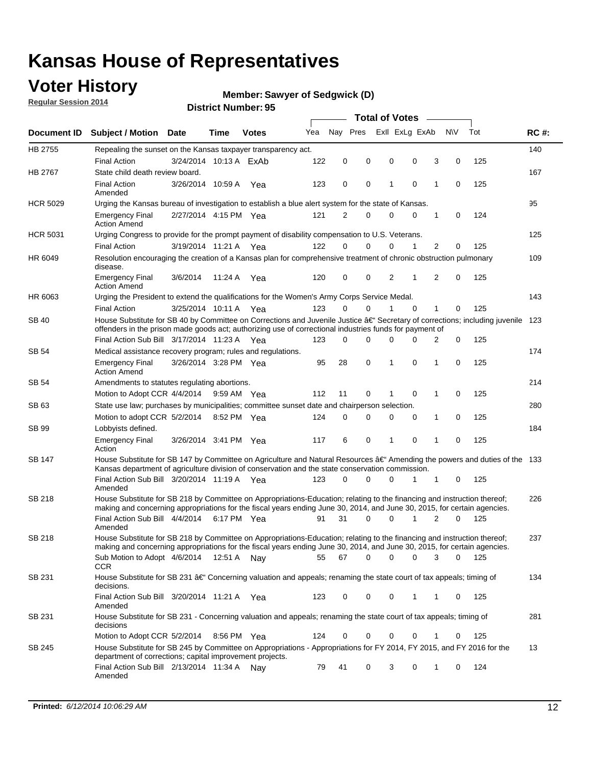### **Voter History**

**Regular Session 2014**

#### **Member: Sawyer of Sedgwick (D)**

| Exll ExLg ExAb<br>Nay Pres<br>N\V<br>Tot<br>Yea<br><b>RC#:</b><br><b>Document ID</b><br><b>Subject / Motion Date</b><br>Time<br><b>Votes</b><br>HB 2755<br>140<br>Repealing the sunset on the Kansas taxpayer transparency act.<br>122<br>0<br>0<br>0<br>3<br>0<br>125<br><b>Final Action</b><br>3/24/2014 10:13 A ExAb<br>0<br>HB 2767<br>State child death review board.<br>167<br><b>Final Action</b><br>3/26/2014 10:59 A<br>123<br>0<br>0<br>1<br>$\mathbf 0$<br>1<br>0<br>125<br>Yea<br>Amended<br>95<br><b>HCR 5029</b><br>Urging the Kansas bureau of investigation to establish a blue alert system for the state of Kansas.<br>2/27/2014 4:15 PM Yea<br>121<br>2<br>0<br>1<br>0<br>124<br><b>Emergency Final</b><br>0<br>0<br><b>Action Amend</b><br>125<br><b>HCR 5031</b><br>Urging Congress to provide for the prompt payment of disability compensation to U.S. Veterans.<br><b>Final Action</b><br>122<br>$\Omega$<br>$\Omega$<br>0<br>1<br>2<br>125<br>3/19/2014 11:21 A Yea<br>0<br>109<br>HR 6049<br>Resolution encouraging the creation of a Kansas plan for comprehensive treatment of chronic obstruction pulmonary<br>disease.<br>$\overline{2}$<br>$\overline{2}$<br>120<br>0<br>0<br>$\mathbf 0$<br>125<br><b>Emergency Final</b><br>3/6/2014<br>11:24 A<br>Yea<br>1<br><b>Action Amend</b><br>HR 6063<br>143<br>Urging the President to extend the qualifications for the Women's Army Corps Service Medal.<br>123<br>$\Omega$<br>$\Omega$<br>$\Omega$<br>1<br>125<br><b>Final Action</b><br>3/25/2014 10:11 A Yea<br>1<br>0<br>House Substitute for SB 40 by Committee on Corrections and Juvenile Justice †Secretary of corrections; including juvenile<br>SB 40<br>123<br>offenders in the prison made goods act; authorizing use of correctional industries funds for payment of<br>Final Action Sub Bill 3/17/2014 11:23 A Yea<br>0<br>0<br>125<br>123<br>0<br>0<br>$\Omega$<br>2<br>174<br>SB 54<br>Medical assistance recovery program; rules and regulations.<br>3/26/2014 3:28 PM Yea<br>95<br>28<br>0<br>1<br>0<br>1<br>0<br>125<br><b>Emergency Final</b><br><b>Action Amend</b><br>214<br>SB 54<br>Amendments to statutes regulating abortions.<br>Motion to Adopt CCR 4/4/2014<br>112<br>11<br>0<br>$\mathbf 0$<br>0<br>125<br>9:59 AM Yea<br>1<br>State use law; purchases by municipalities; committee sunset date and chairperson selection.<br>280<br>SB 63<br>0<br>0<br>0<br>0<br>0<br>125<br>Motion to adopt CCR 5/2/2014<br>8:52 PM Yea<br>124<br>1<br>184<br>SB 99<br>Lobbyists defined.<br>6<br>0<br>0<br>0<br>125<br><b>Emergency Final</b><br>3/26/2014 3:41 PM Yea<br>117<br>1<br>1<br>Action<br>House Substitute for SB 147 by Committee on Agriculture and Natural Resources †Amending the powers and duties of the 133<br>SB 147<br>Kansas department of agriculture division of conservation and the state conservation commission.<br>$\Omega$<br>125<br>Final Action Sub Bill 3/20/2014 11:19 A Yea<br>123<br>0<br>0<br>1<br>1<br>0<br>Amended<br><b>SB 218</b><br>House Substitute for SB 218 by Committee on Appropriations-Education; relating to the financing and instruction thereof;<br>226<br>making and concerning appropriations for the fiscal years ending June 30, 2014, and June 30, 2015, for certain agencies.<br>Final Action Sub Bill 4/4/2014<br>$\Omega$<br>0<br>2<br>$\Omega$<br>125<br>6:17 PM Yea<br>91<br>31<br>1<br>Amended<br><b>SB 218</b><br>House Substitute for SB 218 by Committee on Appropriations-Education; relating to the financing and instruction thereof;<br>237<br>making and concerning appropriations for the fiscal years ending June 30, 2014, and June 30, 2015, for certain agencies.<br>0<br>Sub Motion to Adopt 4/6/2014 12:51 A Nay<br>55<br>67<br>0<br>0<br>3<br>0<br>125<br><b>CCR</b><br>SB 231<br>House Substitute for SB 231 †Concerning valuation and appeals; renaming the state court of tax appeals; timing of<br>134<br>decisions.<br>Final Action Sub Bill 3/20/2014 11:21 A Yea<br>0<br>0<br>0<br>125<br>123<br>1<br>1<br>0<br>Amended<br>SB 231<br>House Substitute for SB 231 - Concerning valuation and appeals; renaming the state court of tax appeals; timing of<br>281<br>decisions<br>Motion to Adopt CCR 5/2/2014<br>124<br>0<br>0<br>$\mathbf 0$<br>125<br>8:56 PM Yea<br>0<br>1<br>0<br>House Substitute for SB 245 by Committee on Appropriations - Appropriations for FY 2014, FY 2015, and FY 2016 for the<br>SB 245<br>13<br>department of corrections; capital improvement projects.<br>Final Action Sub Bill 2/13/2014 11:34 A Nay<br>124<br>79<br>41<br>0<br>3<br>0<br>0<br>1<br>Amended |  |  |  |  | <b>Total of Votes</b> |  |  |  |
|----------------------------------------------------------------------------------------------------------------------------------------------------------------------------------------------------------------------------------------------------------------------------------------------------------------------------------------------------------------------------------------------------------------------------------------------------------------------------------------------------------------------------------------------------------------------------------------------------------------------------------------------------------------------------------------------------------------------------------------------------------------------------------------------------------------------------------------------------------------------------------------------------------------------------------------------------------------------------------------------------------------------------------------------------------------------------------------------------------------------------------------------------------------------------------------------------------------------------------------------------------------------------------------------------------------------------------------------------------------------------------------------------------------------------------------------------------------------------------------------------------------------------------------------------------------------------------------------------------------------------------------------------------------------------------------------------------------------------------------------------------------------------------------------------------------------------------------------------------------------------------------------------------------------------------------------------------------------------------------------------------------------------------------------------------------------------------------------------------------------------------------------------------------------------------------------------------------------------------------------------------------------------------------------------------------------------------------------------------------------------------------------------------------------------------------------------------------------------------------------------------------------------------------------------------------------------------------------------------------------------------------------------------------------------------------------------------------------------------------------------------------------------------------------------------------------------------------------------------------------------------------------------------------------------------------------------------------------------------------------------------------------------------------------------------------------------------------------------------------------------------------------------------------------------------------------------------------------------------------------------------------------------------------------------------------------------------------------------------------------------------------------------------------------------------------------------------------------------------------------------------------------------------------------------------------------------------------------------------------------------------------------------------------------------------------------------------------------------------------------------------------------------------------------------------------------------------------------------------------------------------------------------------------------------------------------------------------------------------------------------------------------------------------------------------------------------------------------------------------------------------------------------------------------------------------------------------------------------------------------------------------------------------------------------------------------------------------------------------------------------------------------------------------------------------------------------------------------------------------------------------------------------------------------------------------------------------------------------------------------------------|--|--|--|--|-----------------------|--|--|--|
|                                                                                                                                                                                                                                                                                                                                                                                                                                                                                                                                                                                                                                                                                                                                                                                                                                                                                                                                                                                                                                                                                                                                                                                                                                                                                                                                                                                                                                                                                                                                                                                                                                                                                                                                                                                                                                                                                                                                                                                                                                                                                                                                                                                                                                                                                                                                                                                                                                                                                                                                                                                                                                                                                                                                                                                                                                                                                                                                                                                                                                                                                                                                                                                                                                                                                                                                                                                                                                                                                                                                                                                                                                                                                                                                                                                                                                                                                                                                                                                                                                                                                                                                                                                                                                                                                                                                                                                                                                                                                                                                                                                                                                  |  |  |  |  |                       |  |  |  |
|                                                                                                                                                                                                                                                                                                                                                                                                                                                                                                                                                                                                                                                                                                                                                                                                                                                                                                                                                                                                                                                                                                                                                                                                                                                                                                                                                                                                                                                                                                                                                                                                                                                                                                                                                                                                                                                                                                                                                                                                                                                                                                                                                                                                                                                                                                                                                                                                                                                                                                                                                                                                                                                                                                                                                                                                                                                                                                                                                                                                                                                                                                                                                                                                                                                                                                                                                                                                                                                                                                                                                                                                                                                                                                                                                                                                                                                                                                                                                                                                                                                                                                                                                                                                                                                                                                                                                                                                                                                                                                                                                                                                                                  |  |  |  |  |                       |  |  |  |
|                                                                                                                                                                                                                                                                                                                                                                                                                                                                                                                                                                                                                                                                                                                                                                                                                                                                                                                                                                                                                                                                                                                                                                                                                                                                                                                                                                                                                                                                                                                                                                                                                                                                                                                                                                                                                                                                                                                                                                                                                                                                                                                                                                                                                                                                                                                                                                                                                                                                                                                                                                                                                                                                                                                                                                                                                                                                                                                                                                                                                                                                                                                                                                                                                                                                                                                                                                                                                                                                                                                                                                                                                                                                                                                                                                                                                                                                                                                                                                                                                                                                                                                                                                                                                                                                                                                                                                                                                                                                                                                                                                                                                                  |  |  |  |  |                       |  |  |  |
|                                                                                                                                                                                                                                                                                                                                                                                                                                                                                                                                                                                                                                                                                                                                                                                                                                                                                                                                                                                                                                                                                                                                                                                                                                                                                                                                                                                                                                                                                                                                                                                                                                                                                                                                                                                                                                                                                                                                                                                                                                                                                                                                                                                                                                                                                                                                                                                                                                                                                                                                                                                                                                                                                                                                                                                                                                                                                                                                                                                                                                                                                                                                                                                                                                                                                                                                                                                                                                                                                                                                                                                                                                                                                                                                                                                                                                                                                                                                                                                                                                                                                                                                                                                                                                                                                                                                                                                                                                                                                                                                                                                                                                  |  |  |  |  |                       |  |  |  |
|                                                                                                                                                                                                                                                                                                                                                                                                                                                                                                                                                                                                                                                                                                                                                                                                                                                                                                                                                                                                                                                                                                                                                                                                                                                                                                                                                                                                                                                                                                                                                                                                                                                                                                                                                                                                                                                                                                                                                                                                                                                                                                                                                                                                                                                                                                                                                                                                                                                                                                                                                                                                                                                                                                                                                                                                                                                                                                                                                                                                                                                                                                                                                                                                                                                                                                                                                                                                                                                                                                                                                                                                                                                                                                                                                                                                                                                                                                                                                                                                                                                                                                                                                                                                                                                                                                                                                                                                                                                                                                                                                                                                                                  |  |  |  |  |                       |  |  |  |
|                                                                                                                                                                                                                                                                                                                                                                                                                                                                                                                                                                                                                                                                                                                                                                                                                                                                                                                                                                                                                                                                                                                                                                                                                                                                                                                                                                                                                                                                                                                                                                                                                                                                                                                                                                                                                                                                                                                                                                                                                                                                                                                                                                                                                                                                                                                                                                                                                                                                                                                                                                                                                                                                                                                                                                                                                                                                                                                                                                                                                                                                                                                                                                                                                                                                                                                                                                                                                                                                                                                                                                                                                                                                                                                                                                                                                                                                                                                                                                                                                                                                                                                                                                                                                                                                                                                                                                                                                                                                                                                                                                                                                                  |  |  |  |  |                       |  |  |  |
|                                                                                                                                                                                                                                                                                                                                                                                                                                                                                                                                                                                                                                                                                                                                                                                                                                                                                                                                                                                                                                                                                                                                                                                                                                                                                                                                                                                                                                                                                                                                                                                                                                                                                                                                                                                                                                                                                                                                                                                                                                                                                                                                                                                                                                                                                                                                                                                                                                                                                                                                                                                                                                                                                                                                                                                                                                                                                                                                                                                                                                                                                                                                                                                                                                                                                                                                                                                                                                                                                                                                                                                                                                                                                                                                                                                                                                                                                                                                                                                                                                                                                                                                                                                                                                                                                                                                                                                                                                                                                                                                                                                                                                  |  |  |  |  |                       |  |  |  |
|                                                                                                                                                                                                                                                                                                                                                                                                                                                                                                                                                                                                                                                                                                                                                                                                                                                                                                                                                                                                                                                                                                                                                                                                                                                                                                                                                                                                                                                                                                                                                                                                                                                                                                                                                                                                                                                                                                                                                                                                                                                                                                                                                                                                                                                                                                                                                                                                                                                                                                                                                                                                                                                                                                                                                                                                                                                                                                                                                                                                                                                                                                                                                                                                                                                                                                                                                                                                                                                                                                                                                                                                                                                                                                                                                                                                                                                                                                                                                                                                                                                                                                                                                                                                                                                                                                                                                                                                                                                                                                                                                                                                                                  |  |  |  |  |                       |  |  |  |
|                                                                                                                                                                                                                                                                                                                                                                                                                                                                                                                                                                                                                                                                                                                                                                                                                                                                                                                                                                                                                                                                                                                                                                                                                                                                                                                                                                                                                                                                                                                                                                                                                                                                                                                                                                                                                                                                                                                                                                                                                                                                                                                                                                                                                                                                                                                                                                                                                                                                                                                                                                                                                                                                                                                                                                                                                                                                                                                                                                                                                                                                                                                                                                                                                                                                                                                                                                                                                                                                                                                                                                                                                                                                                                                                                                                                                                                                                                                                                                                                                                                                                                                                                                                                                                                                                                                                                                                                                                                                                                                                                                                                                                  |  |  |  |  |                       |  |  |  |
|                                                                                                                                                                                                                                                                                                                                                                                                                                                                                                                                                                                                                                                                                                                                                                                                                                                                                                                                                                                                                                                                                                                                                                                                                                                                                                                                                                                                                                                                                                                                                                                                                                                                                                                                                                                                                                                                                                                                                                                                                                                                                                                                                                                                                                                                                                                                                                                                                                                                                                                                                                                                                                                                                                                                                                                                                                                                                                                                                                                                                                                                                                                                                                                                                                                                                                                                                                                                                                                                                                                                                                                                                                                                                                                                                                                                                                                                                                                                                                                                                                                                                                                                                                                                                                                                                                                                                                                                                                                                                                                                                                                                                                  |  |  |  |  |                       |  |  |  |
|                                                                                                                                                                                                                                                                                                                                                                                                                                                                                                                                                                                                                                                                                                                                                                                                                                                                                                                                                                                                                                                                                                                                                                                                                                                                                                                                                                                                                                                                                                                                                                                                                                                                                                                                                                                                                                                                                                                                                                                                                                                                                                                                                                                                                                                                                                                                                                                                                                                                                                                                                                                                                                                                                                                                                                                                                                                                                                                                                                                                                                                                                                                                                                                                                                                                                                                                                                                                                                                                                                                                                                                                                                                                                                                                                                                                                                                                                                                                                                                                                                                                                                                                                                                                                                                                                                                                                                                                                                                                                                                                                                                                                                  |  |  |  |  |                       |  |  |  |
|                                                                                                                                                                                                                                                                                                                                                                                                                                                                                                                                                                                                                                                                                                                                                                                                                                                                                                                                                                                                                                                                                                                                                                                                                                                                                                                                                                                                                                                                                                                                                                                                                                                                                                                                                                                                                                                                                                                                                                                                                                                                                                                                                                                                                                                                                                                                                                                                                                                                                                                                                                                                                                                                                                                                                                                                                                                                                                                                                                                                                                                                                                                                                                                                                                                                                                                                                                                                                                                                                                                                                                                                                                                                                                                                                                                                                                                                                                                                                                                                                                                                                                                                                                                                                                                                                                                                                                                                                                                                                                                                                                                                                                  |  |  |  |  |                       |  |  |  |
|                                                                                                                                                                                                                                                                                                                                                                                                                                                                                                                                                                                                                                                                                                                                                                                                                                                                                                                                                                                                                                                                                                                                                                                                                                                                                                                                                                                                                                                                                                                                                                                                                                                                                                                                                                                                                                                                                                                                                                                                                                                                                                                                                                                                                                                                                                                                                                                                                                                                                                                                                                                                                                                                                                                                                                                                                                                                                                                                                                                                                                                                                                                                                                                                                                                                                                                                                                                                                                                                                                                                                                                                                                                                                                                                                                                                                                                                                                                                                                                                                                                                                                                                                                                                                                                                                                                                                                                                                                                                                                                                                                                                                                  |  |  |  |  |                       |  |  |  |
|                                                                                                                                                                                                                                                                                                                                                                                                                                                                                                                                                                                                                                                                                                                                                                                                                                                                                                                                                                                                                                                                                                                                                                                                                                                                                                                                                                                                                                                                                                                                                                                                                                                                                                                                                                                                                                                                                                                                                                                                                                                                                                                                                                                                                                                                                                                                                                                                                                                                                                                                                                                                                                                                                                                                                                                                                                                                                                                                                                                                                                                                                                                                                                                                                                                                                                                                                                                                                                                                                                                                                                                                                                                                                                                                                                                                                                                                                                                                                                                                                                                                                                                                                                                                                                                                                                                                                                                                                                                                                                                                                                                                                                  |  |  |  |  |                       |  |  |  |
|                                                                                                                                                                                                                                                                                                                                                                                                                                                                                                                                                                                                                                                                                                                                                                                                                                                                                                                                                                                                                                                                                                                                                                                                                                                                                                                                                                                                                                                                                                                                                                                                                                                                                                                                                                                                                                                                                                                                                                                                                                                                                                                                                                                                                                                                                                                                                                                                                                                                                                                                                                                                                                                                                                                                                                                                                                                                                                                                                                                                                                                                                                                                                                                                                                                                                                                                                                                                                                                                                                                                                                                                                                                                                                                                                                                                                                                                                                                                                                                                                                                                                                                                                                                                                                                                                                                                                                                                                                                                                                                                                                                                                                  |  |  |  |  |                       |  |  |  |
|                                                                                                                                                                                                                                                                                                                                                                                                                                                                                                                                                                                                                                                                                                                                                                                                                                                                                                                                                                                                                                                                                                                                                                                                                                                                                                                                                                                                                                                                                                                                                                                                                                                                                                                                                                                                                                                                                                                                                                                                                                                                                                                                                                                                                                                                                                                                                                                                                                                                                                                                                                                                                                                                                                                                                                                                                                                                                                                                                                                                                                                                                                                                                                                                                                                                                                                                                                                                                                                                                                                                                                                                                                                                                                                                                                                                                                                                                                                                                                                                                                                                                                                                                                                                                                                                                                                                                                                                                                                                                                                                                                                                                                  |  |  |  |  |                       |  |  |  |
|                                                                                                                                                                                                                                                                                                                                                                                                                                                                                                                                                                                                                                                                                                                                                                                                                                                                                                                                                                                                                                                                                                                                                                                                                                                                                                                                                                                                                                                                                                                                                                                                                                                                                                                                                                                                                                                                                                                                                                                                                                                                                                                                                                                                                                                                                                                                                                                                                                                                                                                                                                                                                                                                                                                                                                                                                                                                                                                                                                                                                                                                                                                                                                                                                                                                                                                                                                                                                                                                                                                                                                                                                                                                                                                                                                                                                                                                                                                                                                                                                                                                                                                                                                                                                                                                                                                                                                                                                                                                                                                                                                                                                                  |  |  |  |  |                       |  |  |  |
|                                                                                                                                                                                                                                                                                                                                                                                                                                                                                                                                                                                                                                                                                                                                                                                                                                                                                                                                                                                                                                                                                                                                                                                                                                                                                                                                                                                                                                                                                                                                                                                                                                                                                                                                                                                                                                                                                                                                                                                                                                                                                                                                                                                                                                                                                                                                                                                                                                                                                                                                                                                                                                                                                                                                                                                                                                                                                                                                                                                                                                                                                                                                                                                                                                                                                                                                                                                                                                                                                                                                                                                                                                                                                                                                                                                                                                                                                                                                                                                                                                                                                                                                                                                                                                                                                                                                                                                                                                                                                                                                                                                                                                  |  |  |  |  |                       |  |  |  |
|                                                                                                                                                                                                                                                                                                                                                                                                                                                                                                                                                                                                                                                                                                                                                                                                                                                                                                                                                                                                                                                                                                                                                                                                                                                                                                                                                                                                                                                                                                                                                                                                                                                                                                                                                                                                                                                                                                                                                                                                                                                                                                                                                                                                                                                                                                                                                                                                                                                                                                                                                                                                                                                                                                                                                                                                                                                                                                                                                                                                                                                                                                                                                                                                                                                                                                                                                                                                                                                                                                                                                                                                                                                                                                                                                                                                                                                                                                                                                                                                                                                                                                                                                                                                                                                                                                                                                                                                                                                                                                                                                                                                                                  |  |  |  |  |                       |  |  |  |
|                                                                                                                                                                                                                                                                                                                                                                                                                                                                                                                                                                                                                                                                                                                                                                                                                                                                                                                                                                                                                                                                                                                                                                                                                                                                                                                                                                                                                                                                                                                                                                                                                                                                                                                                                                                                                                                                                                                                                                                                                                                                                                                                                                                                                                                                                                                                                                                                                                                                                                                                                                                                                                                                                                                                                                                                                                                                                                                                                                                                                                                                                                                                                                                                                                                                                                                                                                                                                                                                                                                                                                                                                                                                                                                                                                                                                                                                                                                                                                                                                                                                                                                                                                                                                                                                                                                                                                                                                                                                                                                                                                                                                                  |  |  |  |  |                       |  |  |  |
|                                                                                                                                                                                                                                                                                                                                                                                                                                                                                                                                                                                                                                                                                                                                                                                                                                                                                                                                                                                                                                                                                                                                                                                                                                                                                                                                                                                                                                                                                                                                                                                                                                                                                                                                                                                                                                                                                                                                                                                                                                                                                                                                                                                                                                                                                                                                                                                                                                                                                                                                                                                                                                                                                                                                                                                                                                                                                                                                                                                                                                                                                                                                                                                                                                                                                                                                                                                                                                                                                                                                                                                                                                                                                                                                                                                                                                                                                                                                                                                                                                                                                                                                                                                                                                                                                                                                                                                                                                                                                                                                                                                                                                  |  |  |  |  |                       |  |  |  |
|                                                                                                                                                                                                                                                                                                                                                                                                                                                                                                                                                                                                                                                                                                                                                                                                                                                                                                                                                                                                                                                                                                                                                                                                                                                                                                                                                                                                                                                                                                                                                                                                                                                                                                                                                                                                                                                                                                                                                                                                                                                                                                                                                                                                                                                                                                                                                                                                                                                                                                                                                                                                                                                                                                                                                                                                                                                                                                                                                                                                                                                                                                                                                                                                                                                                                                                                                                                                                                                                                                                                                                                                                                                                                                                                                                                                                                                                                                                                                                                                                                                                                                                                                                                                                                                                                                                                                                                                                                                                                                                                                                                                                                  |  |  |  |  |                       |  |  |  |
|                                                                                                                                                                                                                                                                                                                                                                                                                                                                                                                                                                                                                                                                                                                                                                                                                                                                                                                                                                                                                                                                                                                                                                                                                                                                                                                                                                                                                                                                                                                                                                                                                                                                                                                                                                                                                                                                                                                                                                                                                                                                                                                                                                                                                                                                                                                                                                                                                                                                                                                                                                                                                                                                                                                                                                                                                                                                                                                                                                                                                                                                                                                                                                                                                                                                                                                                                                                                                                                                                                                                                                                                                                                                                                                                                                                                                                                                                                                                                                                                                                                                                                                                                                                                                                                                                                                                                                                                                                                                                                                                                                                                                                  |  |  |  |  |                       |  |  |  |
|                                                                                                                                                                                                                                                                                                                                                                                                                                                                                                                                                                                                                                                                                                                                                                                                                                                                                                                                                                                                                                                                                                                                                                                                                                                                                                                                                                                                                                                                                                                                                                                                                                                                                                                                                                                                                                                                                                                                                                                                                                                                                                                                                                                                                                                                                                                                                                                                                                                                                                                                                                                                                                                                                                                                                                                                                                                                                                                                                                                                                                                                                                                                                                                                                                                                                                                                                                                                                                                                                                                                                                                                                                                                                                                                                                                                                                                                                                                                                                                                                                                                                                                                                                                                                                                                                                                                                                                                                                                                                                                                                                                                                                  |  |  |  |  |                       |  |  |  |
|                                                                                                                                                                                                                                                                                                                                                                                                                                                                                                                                                                                                                                                                                                                                                                                                                                                                                                                                                                                                                                                                                                                                                                                                                                                                                                                                                                                                                                                                                                                                                                                                                                                                                                                                                                                                                                                                                                                                                                                                                                                                                                                                                                                                                                                                                                                                                                                                                                                                                                                                                                                                                                                                                                                                                                                                                                                                                                                                                                                                                                                                                                                                                                                                                                                                                                                                                                                                                                                                                                                                                                                                                                                                                                                                                                                                                                                                                                                                                                                                                                                                                                                                                                                                                                                                                                                                                                                                                                                                                                                                                                                                                                  |  |  |  |  |                       |  |  |  |
|                                                                                                                                                                                                                                                                                                                                                                                                                                                                                                                                                                                                                                                                                                                                                                                                                                                                                                                                                                                                                                                                                                                                                                                                                                                                                                                                                                                                                                                                                                                                                                                                                                                                                                                                                                                                                                                                                                                                                                                                                                                                                                                                                                                                                                                                                                                                                                                                                                                                                                                                                                                                                                                                                                                                                                                                                                                                                                                                                                                                                                                                                                                                                                                                                                                                                                                                                                                                                                                                                                                                                                                                                                                                                                                                                                                                                                                                                                                                                                                                                                                                                                                                                                                                                                                                                                                                                                                                                                                                                                                                                                                                                                  |  |  |  |  |                       |  |  |  |
|                                                                                                                                                                                                                                                                                                                                                                                                                                                                                                                                                                                                                                                                                                                                                                                                                                                                                                                                                                                                                                                                                                                                                                                                                                                                                                                                                                                                                                                                                                                                                                                                                                                                                                                                                                                                                                                                                                                                                                                                                                                                                                                                                                                                                                                                                                                                                                                                                                                                                                                                                                                                                                                                                                                                                                                                                                                                                                                                                                                                                                                                                                                                                                                                                                                                                                                                                                                                                                                                                                                                                                                                                                                                                                                                                                                                                                                                                                                                                                                                                                                                                                                                                                                                                                                                                                                                                                                                                                                                                                                                                                                                                                  |  |  |  |  |                       |  |  |  |
|                                                                                                                                                                                                                                                                                                                                                                                                                                                                                                                                                                                                                                                                                                                                                                                                                                                                                                                                                                                                                                                                                                                                                                                                                                                                                                                                                                                                                                                                                                                                                                                                                                                                                                                                                                                                                                                                                                                                                                                                                                                                                                                                                                                                                                                                                                                                                                                                                                                                                                                                                                                                                                                                                                                                                                                                                                                                                                                                                                                                                                                                                                                                                                                                                                                                                                                                                                                                                                                                                                                                                                                                                                                                                                                                                                                                                                                                                                                                                                                                                                                                                                                                                                                                                                                                                                                                                                                                                                                                                                                                                                                                                                  |  |  |  |  |                       |  |  |  |
|                                                                                                                                                                                                                                                                                                                                                                                                                                                                                                                                                                                                                                                                                                                                                                                                                                                                                                                                                                                                                                                                                                                                                                                                                                                                                                                                                                                                                                                                                                                                                                                                                                                                                                                                                                                                                                                                                                                                                                                                                                                                                                                                                                                                                                                                                                                                                                                                                                                                                                                                                                                                                                                                                                                                                                                                                                                                                                                                                                                                                                                                                                                                                                                                                                                                                                                                                                                                                                                                                                                                                                                                                                                                                                                                                                                                                                                                                                                                                                                                                                                                                                                                                                                                                                                                                                                                                                                                                                                                                                                                                                                                                                  |  |  |  |  |                       |  |  |  |
|                                                                                                                                                                                                                                                                                                                                                                                                                                                                                                                                                                                                                                                                                                                                                                                                                                                                                                                                                                                                                                                                                                                                                                                                                                                                                                                                                                                                                                                                                                                                                                                                                                                                                                                                                                                                                                                                                                                                                                                                                                                                                                                                                                                                                                                                                                                                                                                                                                                                                                                                                                                                                                                                                                                                                                                                                                                                                                                                                                                                                                                                                                                                                                                                                                                                                                                                                                                                                                                                                                                                                                                                                                                                                                                                                                                                                                                                                                                                                                                                                                                                                                                                                                                                                                                                                                                                                                                                                                                                                                                                                                                                                                  |  |  |  |  |                       |  |  |  |
|                                                                                                                                                                                                                                                                                                                                                                                                                                                                                                                                                                                                                                                                                                                                                                                                                                                                                                                                                                                                                                                                                                                                                                                                                                                                                                                                                                                                                                                                                                                                                                                                                                                                                                                                                                                                                                                                                                                                                                                                                                                                                                                                                                                                                                                                                                                                                                                                                                                                                                                                                                                                                                                                                                                                                                                                                                                                                                                                                                                                                                                                                                                                                                                                                                                                                                                                                                                                                                                                                                                                                                                                                                                                                                                                                                                                                                                                                                                                                                                                                                                                                                                                                                                                                                                                                                                                                                                                                                                                                                                                                                                                                                  |  |  |  |  |                       |  |  |  |
|                                                                                                                                                                                                                                                                                                                                                                                                                                                                                                                                                                                                                                                                                                                                                                                                                                                                                                                                                                                                                                                                                                                                                                                                                                                                                                                                                                                                                                                                                                                                                                                                                                                                                                                                                                                                                                                                                                                                                                                                                                                                                                                                                                                                                                                                                                                                                                                                                                                                                                                                                                                                                                                                                                                                                                                                                                                                                                                                                                                                                                                                                                                                                                                                                                                                                                                                                                                                                                                                                                                                                                                                                                                                                                                                                                                                                                                                                                                                                                                                                                                                                                                                                                                                                                                                                                                                                                                                                                                                                                                                                                                                                                  |  |  |  |  |                       |  |  |  |
|                                                                                                                                                                                                                                                                                                                                                                                                                                                                                                                                                                                                                                                                                                                                                                                                                                                                                                                                                                                                                                                                                                                                                                                                                                                                                                                                                                                                                                                                                                                                                                                                                                                                                                                                                                                                                                                                                                                                                                                                                                                                                                                                                                                                                                                                                                                                                                                                                                                                                                                                                                                                                                                                                                                                                                                                                                                                                                                                                                                                                                                                                                                                                                                                                                                                                                                                                                                                                                                                                                                                                                                                                                                                                                                                                                                                                                                                                                                                                                                                                                                                                                                                                                                                                                                                                                                                                                                                                                                                                                                                                                                                                                  |  |  |  |  |                       |  |  |  |
|                                                                                                                                                                                                                                                                                                                                                                                                                                                                                                                                                                                                                                                                                                                                                                                                                                                                                                                                                                                                                                                                                                                                                                                                                                                                                                                                                                                                                                                                                                                                                                                                                                                                                                                                                                                                                                                                                                                                                                                                                                                                                                                                                                                                                                                                                                                                                                                                                                                                                                                                                                                                                                                                                                                                                                                                                                                                                                                                                                                                                                                                                                                                                                                                                                                                                                                                                                                                                                                                                                                                                                                                                                                                                                                                                                                                                                                                                                                                                                                                                                                                                                                                                                                                                                                                                                                                                                                                                                                                                                                                                                                                                                  |  |  |  |  |                       |  |  |  |
|                                                                                                                                                                                                                                                                                                                                                                                                                                                                                                                                                                                                                                                                                                                                                                                                                                                                                                                                                                                                                                                                                                                                                                                                                                                                                                                                                                                                                                                                                                                                                                                                                                                                                                                                                                                                                                                                                                                                                                                                                                                                                                                                                                                                                                                                                                                                                                                                                                                                                                                                                                                                                                                                                                                                                                                                                                                                                                                                                                                                                                                                                                                                                                                                                                                                                                                                                                                                                                                                                                                                                                                                                                                                                                                                                                                                                                                                                                                                                                                                                                                                                                                                                                                                                                                                                                                                                                                                                                                                                                                                                                                                                                  |  |  |  |  |                       |  |  |  |
|                                                                                                                                                                                                                                                                                                                                                                                                                                                                                                                                                                                                                                                                                                                                                                                                                                                                                                                                                                                                                                                                                                                                                                                                                                                                                                                                                                                                                                                                                                                                                                                                                                                                                                                                                                                                                                                                                                                                                                                                                                                                                                                                                                                                                                                                                                                                                                                                                                                                                                                                                                                                                                                                                                                                                                                                                                                                                                                                                                                                                                                                                                                                                                                                                                                                                                                                                                                                                                                                                                                                                                                                                                                                                                                                                                                                                                                                                                                                                                                                                                                                                                                                                                                                                                                                                                                                                                                                                                                                                                                                                                                                                                  |  |  |  |  |                       |  |  |  |
|                                                                                                                                                                                                                                                                                                                                                                                                                                                                                                                                                                                                                                                                                                                                                                                                                                                                                                                                                                                                                                                                                                                                                                                                                                                                                                                                                                                                                                                                                                                                                                                                                                                                                                                                                                                                                                                                                                                                                                                                                                                                                                                                                                                                                                                                                                                                                                                                                                                                                                                                                                                                                                                                                                                                                                                                                                                                                                                                                                                                                                                                                                                                                                                                                                                                                                                                                                                                                                                                                                                                                                                                                                                                                                                                                                                                                                                                                                                                                                                                                                                                                                                                                                                                                                                                                                                                                                                                                                                                                                                                                                                                                                  |  |  |  |  |                       |  |  |  |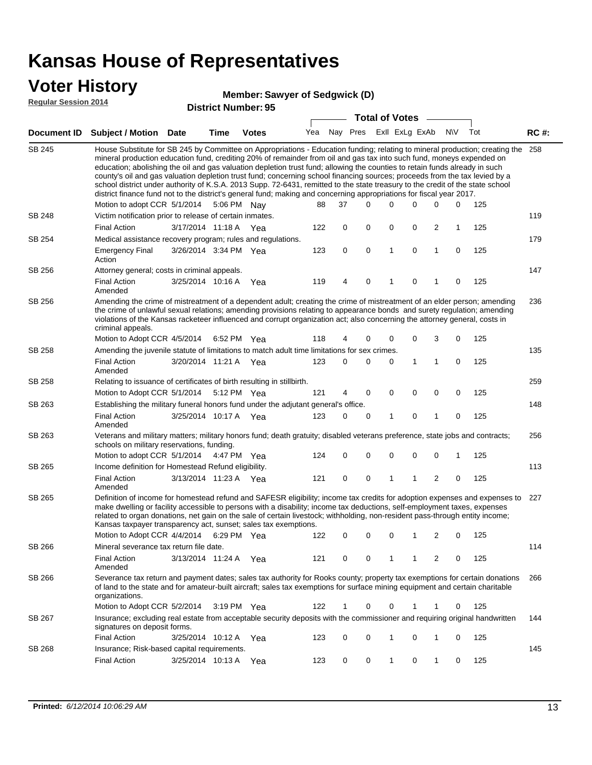### **Voter History**

#### **Member: Sawyer of Sedgwick (D)**

**Regular Session 2014**

|               |                                                                                                                                                                                                                                                                                                                                                                                                                                                                                                                                                                                                                                                                                                                                                                                                                   |                       |                       | DISUILU NUIIIDEI . JJ |     |    | <b>Total of Votes</b>       |             | $\sim$      |              |             |     |             |
|---------------|-------------------------------------------------------------------------------------------------------------------------------------------------------------------------------------------------------------------------------------------------------------------------------------------------------------------------------------------------------------------------------------------------------------------------------------------------------------------------------------------------------------------------------------------------------------------------------------------------------------------------------------------------------------------------------------------------------------------------------------------------------------------------------------------------------------------|-----------------------|-----------------------|-----------------------|-----|----|-----------------------------|-------------|-------------|--------------|-------------|-----|-------------|
|               | Document ID Subject / Motion Date                                                                                                                                                                                                                                                                                                                                                                                                                                                                                                                                                                                                                                                                                                                                                                                 |                       | <b>Time</b>           | <b>Votes</b>          |     |    | Yea Nay Pres ExII ExLg ExAb |             |             |              | N\V         | Tot | <b>RC#:</b> |
| <b>SB 245</b> | House Substitute for SB 245 by Committee on Appropriations - Education funding; relating to mineral production; creating the 258<br>mineral production education fund, crediting 20% of remainder from oil and gas tax into such fund, moneys expended on<br>education; abolishing the oil and gas valuation depletion trust fund; allowing the counties to retain funds already in such<br>county's oil and gas valuation depletion trust fund; concerning school financing sources; proceeds from the tax levied by a<br>school district under authority of K.S.A. 2013 Supp. 72-6431, remitted to the state treasury to the credit of the state school<br>district finance fund not to the district's general fund; making and concerning appropriations for fiscal year 2017.<br>Motion to adopt CCR 5/1/2014 |                       | 5:06 PM Nay           |                       | 88  | 37 | 0                           | 0           | 0           | 0            | 0           | 125 |             |
| <b>SB 248</b> | Victim notification prior to release of certain inmates.                                                                                                                                                                                                                                                                                                                                                                                                                                                                                                                                                                                                                                                                                                                                                          |                       |                       |                       |     |    |                             |             |             |              |             |     | 119         |
|               | <b>Final Action</b>                                                                                                                                                                                                                                                                                                                                                                                                                                                                                                                                                                                                                                                                                                                                                                                               | 3/17/2014 11:18 A     |                       | Yea                   | 122 | 0  | 0                           | 0           | 0           | 2            | 1           | 125 |             |
| SB 254        | Medical assistance recovery program; rules and regulations.                                                                                                                                                                                                                                                                                                                                                                                                                                                                                                                                                                                                                                                                                                                                                       |                       |                       |                       |     |    |                             |             |             |              |             |     | 179         |
|               | <b>Emergency Final</b><br>Action                                                                                                                                                                                                                                                                                                                                                                                                                                                                                                                                                                                                                                                                                                                                                                                  | 3/26/2014 3:34 PM Yea |                       |                       | 123 | 0  | 0                           | 1           | $\mathbf 0$ | 1            | $\mathbf 0$ | 125 |             |
| SB 256        | Attorney general; costs in criminal appeals.                                                                                                                                                                                                                                                                                                                                                                                                                                                                                                                                                                                                                                                                                                                                                                      |                       |                       |                       |     |    |                             |             |             |              |             |     | 147         |
|               | <b>Final Action</b><br>Amended                                                                                                                                                                                                                                                                                                                                                                                                                                                                                                                                                                                                                                                                                                                                                                                    | 3/25/2014 10:16 A     |                       | Yea                   | 119 | 4  | 0                           | 1           | 0           | 1            | 0           | 125 |             |
| SB 256        | Amending the crime of mistreatment of a dependent adult; creating the crime of mistreatment of an elder person; amending<br>the crime of unlawful sexual relations; amending provisions relating to appearance bonds and surety regulation; amending<br>violations of the Kansas racketeer influenced and corrupt organization act; also concerning the attorney general, costs in<br>criminal appeals.                                                                                                                                                                                                                                                                                                                                                                                                           |                       |                       |                       |     |    |                             |             |             |              |             |     | 236         |
|               | Motion to Adopt CCR 4/5/2014                                                                                                                                                                                                                                                                                                                                                                                                                                                                                                                                                                                                                                                                                                                                                                                      |                       | 6:52 PM Yea           |                       | 118 | 4  | 0                           | 0           | 0           | 3            | 0           | 125 |             |
| SB 258        | Amending the juvenile statute of limitations to match adult time limitations for sex crimes.                                                                                                                                                                                                                                                                                                                                                                                                                                                                                                                                                                                                                                                                                                                      |                       |                       |                       |     |    |                             |             |             |              |             |     | 135         |
|               | <b>Final Action</b><br>Amended                                                                                                                                                                                                                                                                                                                                                                                                                                                                                                                                                                                                                                                                                                                                                                                    | 3/20/2014 11:21 A Yea |                       |                       | 123 | 0  | 0                           | 0           | 1           | 1            | 0           | 125 |             |
| <b>SB 258</b> | Relating to issuance of certificates of birth resulting in stillbirth.                                                                                                                                                                                                                                                                                                                                                                                                                                                                                                                                                                                                                                                                                                                                            |                       |                       |                       |     |    |                             |             |             |              |             |     | 259         |
|               | Motion to Adopt CCR 5/1/2014 5:12 PM Yea                                                                                                                                                                                                                                                                                                                                                                                                                                                                                                                                                                                                                                                                                                                                                                          |                       |                       |                       | 121 | 4  | 0                           | 0           | 0           | 0            | 0           | 125 |             |
| SB 263        | Establishing the military funeral honors fund under the adjutant general's office.                                                                                                                                                                                                                                                                                                                                                                                                                                                                                                                                                                                                                                                                                                                                |                       |                       |                       |     |    |                             |             |             |              |             |     | 148         |
|               | <b>Final Action</b><br>Amended                                                                                                                                                                                                                                                                                                                                                                                                                                                                                                                                                                                                                                                                                                                                                                                    | 3/25/2014 10:17 A Yea |                       |                       | 123 | 0  | 0                           | 1           | 0           | $\mathbf{1}$ | 0           | 125 |             |
| SB 263        | Veterans and military matters; military honors fund; death gratuity; disabled veterans preference, state jobs and contracts;<br>schools on military reservations, funding.                                                                                                                                                                                                                                                                                                                                                                                                                                                                                                                                                                                                                                        |                       |                       |                       |     |    |                             |             |             |              |             |     | 256         |
|               | Motion to adopt CCR 5/1/2014 4:47 PM Yea                                                                                                                                                                                                                                                                                                                                                                                                                                                                                                                                                                                                                                                                                                                                                                          |                       |                       |                       | 124 | 0  | 0                           | 0           | 0           | $\mathbf 0$  | 1           | 125 |             |
| SB 265        | Income definition for Homestead Refund eligibility.                                                                                                                                                                                                                                                                                                                                                                                                                                                                                                                                                                                                                                                                                                                                                               |                       |                       |                       |     |    |                             |             |             |              |             |     | 113         |
|               | <b>Final Action</b><br>Amended                                                                                                                                                                                                                                                                                                                                                                                                                                                                                                                                                                                                                                                                                                                                                                                    | 3/13/2014 11:23 A Yea |                       |                       | 121 | 0  | 0                           | 1           | 1           | 2            | 0           | 125 |             |
| SB 265        | Definition of income for homestead refund and SAFESR eligibility; income tax credits for adoption expenses and expenses to<br>make dwelling or facility accessible to persons with a disability; income tax deductions, self-employment taxes, expenses<br>related to organ donations, net gain on the sale of certain livestock; withholding, non-resident pass-through entity income;<br>Kansas taxpayer transparency act, sunset; sales tax exemptions.<br>Motion to Adopt CCR 4/4/2014 6:29 PM Yea                                                                                                                                                                                                                                                                                                            |                       |                       |                       | 122 | 0  | 0                           | 0           | 1           | 2            | 0           | 125 | 227         |
| SB 266        | Mineral severance tax return file date.                                                                                                                                                                                                                                                                                                                                                                                                                                                                                                                                                                                                                                                                                                                                                                           |                       |                       |                       |     |    |                             |             |             |              |             |     | 114         |
|               | <b>Final Action</b><br>Amended                                                                                                                                                                                                                                                                                                                                                                                                                                                                                                                                                                                                                                                                                                                                                                                    | 3/13/2014 11:24 A     |                       | Yea                   | 121 | 0  | 0                           | 1           | 1           | 2            | 0           | 125 |             |
| SB 266        | Severance tax return and payment dates; sales tax authority for Rooks county; property tax exemptions for certain donations<br>of land to the state and for amateur-built aircraft; sales tax exemptions for surface mining equipment and certain charitable<br>organizations.                                                                                                                                                                                                                                                                                                                                                                                                                                                                                                                                    |                       |                       |                       |     |    |                             |             |             |              |             |     | 266         |
|               | Motion to Adopt CCR 5/2/2014                                                                                                                                                                                                                                                                                                                                                                                                                                                                                                                                                                                                                                                                                                                                                                                      |                       | $3:19 \text{ PM}$ Yea |                       | 122 | 1  | 0                           | $\mathbf 0$ |             | 1            | 0           | 125 |             |
| SB 267        | Insurance; excluding real estate from acceptable security deposits with the commissioner and requiring original handwritten<br>signatures on deposit forms.                                                                                                                                                                                                                                                                                                                                                                                                                                                                                                                                                                                                                                                       |                       |                       |                       |     |    |                             |             |             |              |             |     | 144         |
|               | <b>Final Action</b>                                                                                                                                                                                                                                                                                                                                                                                                                                                                                                                                                                                                                                                                                                                                                                                               | 3/25/2014 10:12 A     |                       | Yea                   | 123 | 0  | 0                           | 1           | 0           | $\mathbf{1}$ | 0           | 125 |             |
| SB 268        | Insurance; Risk-based capital requirements.                                                                                                                                                                                                                                                                                                                                                                                                                                                                                                                                                                                                                                                                                                                                                                       |                       |                       |                       |     |    |                             |             |             |              |             |     | 145         |
|               | <b>Final Action</b>                                                                                                                                                                                                                                                                                                                                                                                                                                                                                                                                                                                                                                                                                                                                                                                               | 3/25/2014 10:13 A     |                       | Yea                   | 123 | 0  | 0                           | 1           | 0           | $\mathbf{1}$ | 0           | 125 |             |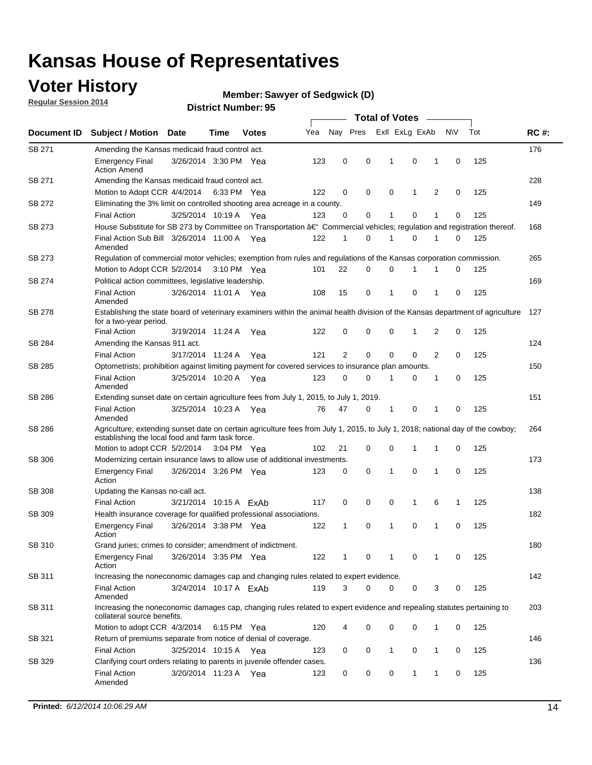### **Voter History**

**Regular Session 2014**

#### **Member: Sawyer of Sedgwick (D)**

|               |                                                                                                                                                                                    |                        |             |              | <b>Total of Votes</b> |                |  |          |             |                         |                |             |     |             |
|---------------|------------------------------------------------------------------------------------------------------------------------------------------------------------------------------------|------------------------|-------------|--------------|-----------------------|----------------|--|----------|-------------|-------------------------|----------------|-------------|-----|-------------|
| Document ID   | <b>Subject / Motion Date</b>                                                                                                                                                       |                        | Time        | <b>Votes</b> | Yea                   |                |  |          |             | Nay Pres Exll ExLg ExAb |                | <b>NV</b>   | Tot | <b>RC#:</b> |
| SB 271        | Amending the Kansas medicaid fraud control act.                                                                                                                                    |                        |             |              |                       |                |  |          |             |                         |                |             |     | 176         |
|               | <b>Emergency Final</b><br><b>Action Amend</b>                                                                                                                                      | 3/26/2014 3:30 PM Yea  |             |              | 123                   | 0              |  | 0        | 1           | $\mathbf 0$             | 1              | $\mathbf 0$ | 125 |             |
| SB 271        | Amending the Kansas medicaid fraud control act.                                                                                                                                    |                        |             |              |                       |                |  |          |             |                         |                |             |     | 228         |
|               | Motion to Adopt CCR 4/4/2014 6:33 PM Yea                                                                                                                                           |                        |             |              | 122                   | 0              |  | 0        | $\mathbf 0$ | 1                       | 2              | 0           | 125 |             |
| SB 272        | Eliminating the 3% limit on controlled shooting area acreage in a county.                                                                                                          |                        |             |              |                       |                |  |          |             |                         |                |             |     | 149         |
|               | <b>Final Action</b>                                                                                                                                                                | 3/25/2014 10:19 A Yea  |             |              | 123                   | 0              |  | 0        | 1           | $\mathbf 0$             | 1              | 0           | 125 |             |
| SB 273        | House Substitute for SB 273 by Committee on Transportation †Commercial vehicles; regulation and registration thereof.                                                              |                        |             |              |                       |                |  |          |             |                         |                |             |     | 168         |
|               | Final Action Sub Bill 3/26/2014 11:00 A Yea<br>Amended                                                                                                                             |                        |             |              | 122                   | 1              |  | 0        | 1           | $\mathbf 0$             | 1              | 0           | 125 |             |
| SB 273        | Regulation of commercial motor vehicles; exemption from rules and regulations of the Kansas corporation commission.                                                                |                        |             |              |                       |                |  |          |             |                         |                |             |     | 265         |
|               | Motion to Adopt CCR 5/2/2014                                                                                                                                                       |                        | 3:10 PM Yea |              | 101                   | 22             |  | 0        | 0           |                         |                | 0           | 125 |             |
| SB 274        | Political action committees, legislative leadership.                                                                                                                               |                        |             |              |                       |                |  |          |             |                         |                |             |     | 169         |
|               | <b>Final Action</b><br>Amended                                                                                                                                                     | 3/26/2014 11:01 A Yea  |             |              | 108                   | 15             |  | 0        | 1           | $\mathbf 0$             | 1              | 0           | 125 |             |
| SB 278        | Establishing the state board of veterinary examiners within the animal health division of the Kansas department of agriculture<br>for a two-year period.                           |                        |             |              |                       |                |  |          |             |                         |                |             |     | 127         |
|               | <b>Final Action</b>                                                                                                                                                                | 3/19/2014 11:24 A      |             | Yea          | 122                   | 0              |  | 0        | 0           | 1                       | 2              | 0           | 125 |             |
| SB 284        | Amending the Kansas 911 act.                                                                                                                                                       |                        |             |              |                       |                |  |          |             |                         |                |             |     | 124         |
|               | <b>Final Action</b>                                                                                                                                                                | 3/17/2014 11:24 A      |             | Yea          | 121                   | $\overline{2}$ |  | 0        | $\mathbf 0$ | $\mathbf 0$             | $\overline{2}$ | $\mathbf 0$ | 125 |             |
| SB 285        | Optometrists; prohibition against limiting payment for covered services to insurance plan amounts.                                                                                 |                        |             |              |                       |                |  |          |             |                         |                |             |     | 150         |
|               | <b>Final Action</b><br>Amended                                                                                                                                                     | 3/25/2014 10:20 A Yea  |             |              | 123                   | 0              |  | 0        | 1           | 0                       | 1              | 0           | 125 |             |
| SB 286        | Extending sunset date on certain agriculture fees from July 1, 2015, to July 1, 2019.                                                                                              |                        |             |              |                       |                |  |          |             |                         |                |             |     | 151         |
|               | <b>Final Action</b><br>Amended                                                                                                                                                     | 3/25/2014 10:23 A Yea  |             |              | 76                    | 47             |  | 0        | 1           | $\mathbf 0$             | 1              | $\mathbf 0$ | 125 |             |
| SB 286        | Agriculture; extending sunset date on certain agriculture fees from July 1, 2015, to July 1, 2018; national day of the cowboy;<br>establishing the local food and farm task force. |                        |             |              |                       |                |  |          |             |                         |                |             |     | 264         |
|               | Motion to adopt CCR 5/2/2014 3:04 PM Yea                                                                                                                                           |                        |             |              | 102                   | 21             |  | 0        | 0           | 1                       | 1              | 0           | 125 |             |
| SB 306        | Modernizing certain insurance laws to allow use of additional investments.                                                                                                         |                        |             |              |                       |                |  |          |             |                         |                |             |     | 173         |
|               | <b>Emergency Final</b><br>Action                                                                                                                                                   | 3/26/2014 3:26 PM Yea  |             |              | 123                   | 0              |  | 0        | 1           | 0                       | 1              | $\mathbf 0$ | 125 |             |
| <b>SB 308</b> | Updating the Kansas no-call act.                                                                                                                                                   |                        |             |              |                       |                |  |          |             |                         |                |             |     | 138         |
|               | <b>Final Action</b>                                                                                                                                                                | 3/21/2014 10:15 A ExAb |             |              | 117                   | 0              |  | 0        | 0           | 1                       | 6              | 1           | 125 |             |
| SB 309        | Health insurance coverage for qualified professional associations.                                                                                                                 |                        |             |              |                       |                |  |          |             |                         |                |             |     | 182         |
|               | <b>Emergency Final</b><br>Action                                                                                                                                                   | 3/26/2014 3:38 PM Yea  |             |              | 122                   | 1              |  | 0        | 1           | $\mathbf 0$             | 1              | $\mathbf 0$ | 125 |             |
| SB 310        | Grand juries; crimes to consider; amendment of indictment.                                                                                                                         |                        |             |              |                       |                |  |          |             |                         |                |             |     | 180         |
|               | <b>Emergency Final</b><br>Action                                                                                                                                                   | 3/26/2014 3:35 PM Yea  |             |              | 122                   | 1              |  | 0        | 1           | 0                       | 1              | 0           | 125 |             |
| SB 311        | Increasing the noneconomic damages cap and changing rules related to expert evidence.                                                                                              |                        |             |              |                       |                |  |          |             |                         |                |             |     | 142         |
|               | <b>Final Action</b><br>Amended                                                                                                                                                     | 3/24/2014 10:17 A ExAb |             |              | 119                   | 3              |  | $\Omega$ | 0           | 0                       | 3              | 0           | 125 |             |
| SB 311        | Increasing the noneconomic damages cap, changing rules related to expert evidence and repealing statutes pertaining to<br>collateral source benefits.                              |                        |             |              |                       |                |  |          |             |                         |                |             |     | 203         |
|               | Motion to adopt CCR 4/3/2014 6:15 PM Yea                                                                                                                                           |                        |             |              | 120                   | 4              |  | 0        | 0           | 0                       | 1              | 0           | 125 |             |
| SB 321        | Return of premiums separate from notice of denial of coverage.                                                                                                                     |                        |             |              |                       |                |  |          |             |                         |                |             |     | 146         |
|               | <b>Final Action</b>                                                                                                                                                                | 3/25/2014 10:15 A Yea  |             |              | 123                   | 0              |  | 0        | 1           | 0                       | 1              | 0           | 125 |             |
| SB 329        | Clarifying court orders relating to parents in juvenile offender cases.<br><b>Final Action</b>                                                                                     | 3/20/2014 11:23 A Yea  |             |              | 123                   | 0              |  | 0        | 0           | 1                       | $\mathbf{1}$   | 0           | 125 | 136         |
|               | Amended                                                                                                                                                                            |                        |             |              |                       |                |  |          |             |                         |                |             |     |             |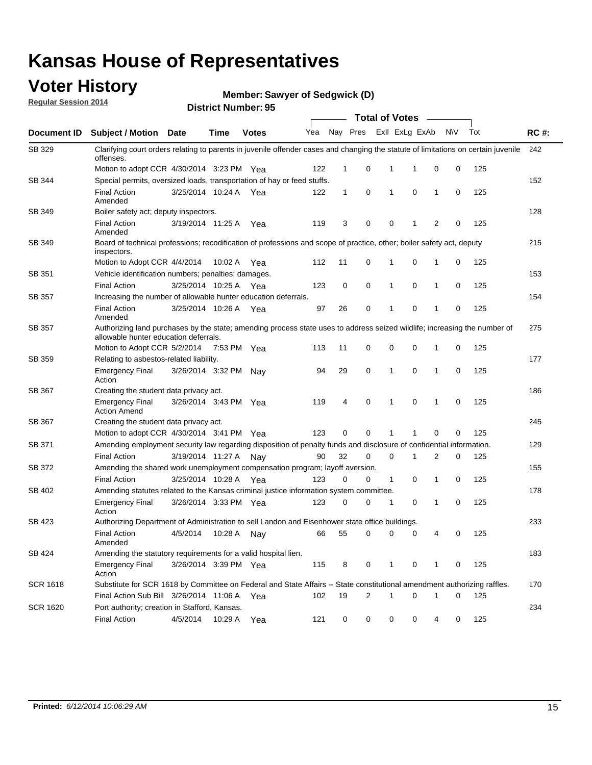### **Voter History**

**Regular Session 2014**

**Member: Sawyer of Sedgwick (D)** 

|                 |                                                                                                                                                                    |                       | ul Ituliiwu . |              |     |              |             | <b>Total of Votes</b> |                |                |           |     |             |
|-----------------|--------------------------------------------------------------------------------------------------------------------------------------------------------------------|-----------------------|---------------|--------------|-----|--------------|-------------|-----------------------|----------------|----------------|-----------|-----|-------------|
| Document ID     | Subject / Motion Date                                                                                                                                              |                       | <b>Time</b>   | <b>Votes</b> | Yea | Nay Pres     |             |                       | Exll ExLg ExAb |                | <b>NV</b> | Tot | <b>RC#:</b> |
| SB 329          | Clarifying court orders relating to parents in juvenile offender cases and changing the statute of limitations on certain juvenile<br>offenses.                    |                       |               |              |     |              |             |                       |                |                |           |     | 242         |
|                 | Motion to adopt CCR 4/30/2014 3:23 PM Yea                                                                                                                          |                       |               |              | 122 | 1            | 0           | 1                     | 1              | 0              | 0         | 125 |             |
| SB 344          | Special permits, oversized loads, transportation of hay or feed stuffs.                                                                                            |                       |               |              |     |              |             |                       |                |                |           |     | 152         |
|                 | <b>Final Action</b><br>Amended                                                                                                                                     | 3/25/2014 10:24 A     |               | Yea          | 122 | $\mathbf{1}$ | 0           | 1                     | $\mathbf 0$    | 1              | 0         | 125 |             |
| SB 349          | Boiler safety act; deputy inspectors.                                                                                                                              |                       |               |              |     |              |             |                       |                |                |           |     | 128         |
|                 | <b>Final Action</b><br>Amended                                                                                                                                     | 3/19/2014 11:25 A     |               | Yea          | 119 | 3            | 0           | 0                     | 1              | $\overline{2}$ | 0         | 125 |             |
| SB 349          | Board of technical professions; recodification of professions and scope of practice, other; boiler safety act, deputy<br>inspectors.                               |                       |               |              |     |              |             |                       |                |                |           |     | 215         |
|                 | Motion to Adopt CCR 4/4/2014                                                                                                                                       |                       | 10:02 A       | Yea          | 112 | 11           | 0           | 1                     | $\mathbf 0$    | 1              | 0         | 125 |             |
| SB 351          | Vehicle identification numbers; penalties; damages.                                                                                                                |                       |               |              |     |              |             |                       |                |                |           |     | 153         |
|                 | <b>Final Action</b>                                                                                                                                                | 3/25/2014 10:25 A     |               | Yea          | 123 | 0            | 0           | 1                     | $\mathbf 0$    | 1              | 0         | 125 |             |
| SB 357          | Increasing the number of allowable hunter education deferrals.                                                                                                     |                       |               |              |     |              |             |                       |                |                |           |     | 154         |
|                 | <b>Final Action</b><br>Amended                                                                                                                                     | 3/25/2014 10:26 A     |               | Yea          | 97  | 26           | 0           | 1                     | $\mathbf 0$    | 1              | 0         | 125 |             |
| <b>SB 357</b>   | Authorizing land purchases by the state; amending process state uses to address seized wildlife; increasing the number of<br>allowable hunter education deferrals. |                       |               |              |     |              |             |                       |                |                |           |     | 275         |
|                 | Motion to Adopt CCR 5/2/2014                                                                                                                                       |                       | 7:53 PM Yea   |              | 113 | 11           | 0           | 0                     | $\mathbf 0$    | 1              | 0         | 125 |             |
| SB 359          | Relating to asbestos-related liability.                                                                                                                            |                       |               |              |     |              |             |                       |                |                |           |     | 177         |
|                 | <b>Emergency Final</b><br>Action                                                                                                                                   | 3/26/2014 3:32 PM     |               | Nav          | 94  | 29           | 0           | 1                     | $\mathbf 0$    | 1              | 0         | 125 |             |
| SB 367          | Creating the student data privacy act.                                                                                                                             |                       |               |              |     |              |             |                       |                |                |           |     | 186         |
|                 | <b>Emergency Final</b><br><b>Action Amend</b>                                                                                                                      | 3/26/2014 3:43 PM Yea |               |              | 119 | 4            | $\mathbf 0$ | 1                     | $\mathbf 0$    | 1              | 0         | 125 |             |
| SB 367          | Creating the student data privacy act.                                                                                                                             |                       |               |              |     |              |             |                       |                |                |           |     | 245         |
|                 | Motion to adopt CCR 4/30/2014 3:41 PM Yea                                                                                                                          |                       |               |              | 123 | 0            | $\Omega$    | 1                     | 1              | 0              | 0         | 125 |             |
| SB 371          | Amending employment security law regarding disposition of penalty funds and disclosure of confidential information.                                                |                       |               |              |     |              |             |                       |                |                |           |     | 129         |
|                 | <b>Final Action</b>                                                                                                                                                | 3/19/2014 11:27 A     |               | . Nav        | 90  | 32           | $\mathbf 0$ | $\mathbf 0$           | 1              | 2              | 0         | 125 |             |
| <b>SB 372</b>   | Amending the shared work unemployment compensation program; layoff aversion.                                                                                       |                       |               |              |     |              |             |                       |                |                |           |     | 155         |
|                 | <b>Final Action</b>                                                                                                                                                | 3/25/2014 10:28 A     |               | Yea          | 123 | 0            | 0           | $\mathbf{1}$          | $\mathbf 0$    | 1              | 0         | 125 |             |
| SB 402          | Amending statutes related to the Kansas criminal justice information system committee.                                                                             |                       |               |              |     |              |             |                       |                |                |           |     | 178         |
|                 | <b>Emergency Final</b><br>Action                                                                                                                                   | 3/26/2014 3:33 PM Yea |               |              | 123 | 0            | 0           | 1                     | 0              | 1              | 0         | 125 |             |
| SB 423          | Authorizing Department of Administration to sell Landon and Eisenhower state office buildings.                                                                     |                       |               |              |     |              |             |                       |                |                |           |     | 233         |
|                 | <b>Final Action</b><br>Amended                                                                                                                                     | 4/5/2014              | 10:28 A       | Nay          | 66  | 55           | 0           | 0                     | 0              | 4              | 0         | 125 |             |
| SB 424          | Amending the statutory requirements for a valid hospital lien.                                                                                                     |                       |               |              |     |              |             |                       |                |                |           |     | 183         |
|                 | <b>Emergency Final</b><br>Action                                                                                                                                   | 3/26/2014 3:39 PM Yea |               |              | 115 | 8            | 0           | 1                     | 0              | 1              | 0         | 125 |             |
| <b>SCR 1618</b> | Substitute for SCR 1618 by Committee on Federal and State Affairs -- State constitutional amendment authorizing raffles.                                           |                       |               |              |     |              |             |                       |                |                |           |     | 170         |
|                 | Final Action Sub Bill 3/26/2014 11:06 A Yea                                                                                                                        |                       |               |              | 102 | 19           | 2           | 1                     | $\mathbf 0$    | $\mathbf 1$    | 0         | 125 |             |
| <b>SCR 1620</b> | Port authority; creation in Stafford, Kansas.                                                                                                                      |                       |               |              |     |              |             |                       |                |                |           |     | 234         |
|                 | <b>Final Action</b>                                                                                                                                                | 4/5/2014              | 10:29 A       | Yea          | 121 | 0            | 0           | 0                     | 0              | 4              | 0         | 125 |             |